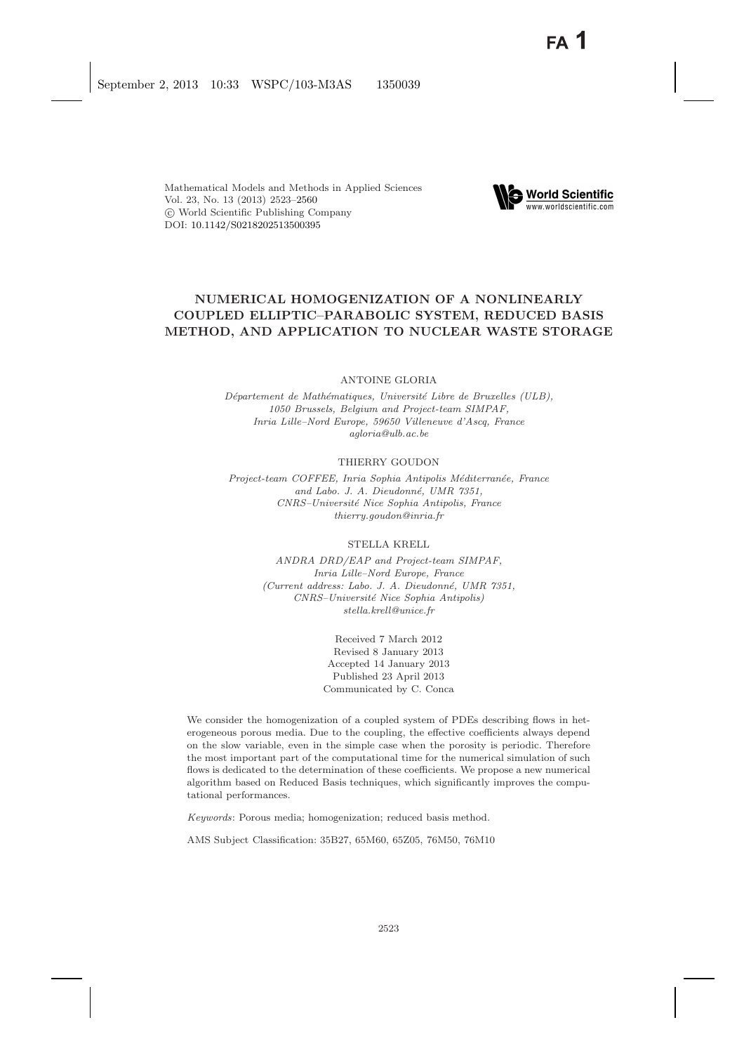Mathematical Models and Methods in Applied Sciences Vol. 23, No. 13 (2013) 2523[–2560](#page-36-0) c World Scientific Publishing Company DOI: [10.1142/S0218202513500395](http://dx.doi.org/10.1142/S0218202513500395)



# **NUMERICAL HOMOGENIZATION OF A NONLINEARLY COUPLED ELLIPTIC–PARABOLIC SYSTEM, REDUCED BASIS METHOD, AND APPLICATION TO NUCLEAR WASTE STORAGE**

ANTOINE GLORIA

*D´epartement de Math´ematiques, Universit´e Libre de Bruxelles (ULB), 1050 Brussels, Belgium and Project-team SIMPAF, Inria Lille–Nord Europe, 59650 Villeneuve d'Ascq, France agloria@ulb.ac.be*

#### THIERRY GOUDON

*Project-team COFFEE, Inria Sophia Antipolis M´editerran´ee, France and Labo. J. A. Dieudonn´e, UMR 7351, CNRS–Universit´e Nice Sophia Antipolis, France thierry.goudon@inria.fr*

#### STELLA KRELL

*ANDRA DRD/EAP and Project-team SIMPAF, Inria Lille–Nord Europe, France (Current address: Labo. J. A. Dieudonn´e, UMR 7351, CNRS–Universit´e Nice Sophia Antipolis) stella.krell@unice.fr*

> Received 7 March 2012 Revised 8 January 2013 Accepted 14 January 2013 Published 23 April 2013 Communicated by C. Conca

We consider the homogenization of a coupled system of PDEs describing flows in heterogeneous porous media. Due to the coupling, the effective coefficients always depend on the slow variable, even in the simple case when the porosity is periodic. Therefore the most important part of the computational time for the numerical simulation of such flows is dedicated to the determination of these coefficients. We propose a new numerical algorithm based on Reduced Basis techniques, which significantly improves the computational performances.

*Keywords*: Porous media; homogenization; reduced basis method.

AMS Subject Classification: 35B27, 65M60, 65Z05, 76M50, 76M10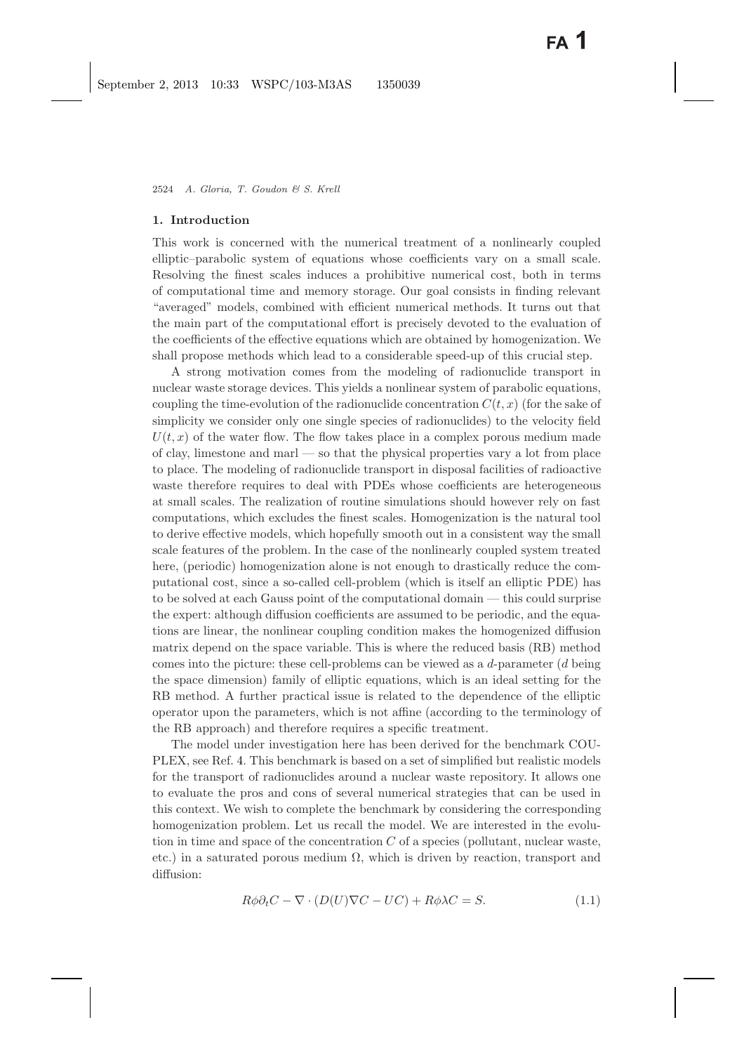#### **1. Introduction**

This work is concerned with the numerical treatment of a nonlinearly coupled elliptic–parabolic system of equations whose coefficients vary on a small scale. Resolving the finest scales induces a prohibitive numerical cost, both in terms of computational time and memory storage. Our goal consists in finding relevant "averaged" models, combined with efficient numerical methods. It turns out that the main part of the computational effort is precisely devoted to the evaluation of the coefficients of the effective equations which are obtained by homogenization. We shall propose methods which lead to a considerable speed-up of this crucial step.

A strong motivation comes from the modeling of radionuclide transport in nuclear waste storage devices. This yields a nonlinear system of parabolic equations, coupling the time-evolution of the radionuclide concentration  $C(t, x)$  (for the sake of simplicity we consider only one single species of radionuclides) to the velocity field  $U(t, x)$  of the water flow. The flow takes place in a complex porous medium made of clay, limestone and marl — so that the physical properties vary a lot from place to place. The modeling of radionuclide transport in disposal facilities of radioactive waste therefore requires to deal with PDEs whose coefficients are heterogeneous at small scales. The realization of routine simulations should however rely on fast computations, which excludes the finest scales. Homogenization is the natural tool to derive effective models, which hopefully smooth out in a consistent way the small scale features of the problem. In the case of the nonlinearly coupled system treated here, (periodic) homogenization alone is not enough to drastically reduce the computational cost, since a so-called cell-problem (which is itself an elliptic PDE) has to be solved at each Gauss point of the computational domain — this could surprise the expert: although diffusion coefficients are assumed to be periodic, and the equations are linear, the nonlinear coupling condition makes the homogenized diffusion matrix depend on the space variable. This is where the reduced basis (RB) method comes into the picture: these cell-problems can be viewed as a d-parameter (d being the space dimension) family of elliptic equations, which is an ideal setting for the RB method. A further practical issue is related to the dependence of the elliptic operator upon the parameters, which is not affine (according to the terminology of the RB approach) and therefore requires a specific treatment.

<span id="page-1-0"></span>The model under investigation here has been derived for the benchmark COU-PLEX, see Ref. [4.](#page-36-1) This benchmark is based on a set of simplified but realistic models for the transport of radionuclides around a nuclear waste repository. It allows one to evaluate the pros and cons of several numerical strategies that can be used in this context. We wish to complete the benchmark by considering the corresponding homogenization problem. Let us recall the model. We are interested in the evolution in time and space of the concentration  $C$  of a species (pollutant, nuclear waste, etc.) in a saturated porous medium  $\Omega$ , which is driven by reaction, transport and diffusion:

<span id="page-1-1"></span>
$$
R\phi\partial_t C - \nabla \cdot (D(U)\nabla C - UC) + R\phi\lambda C = S.
$$
\n(1.1)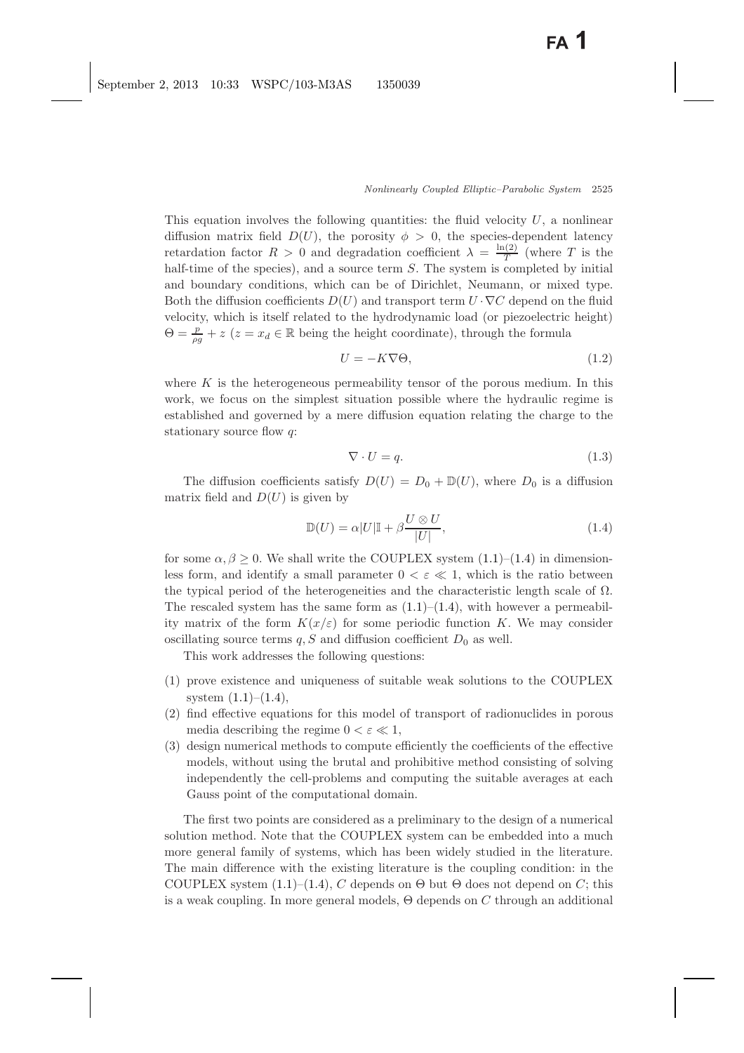This equation involves the following quantities: the fluid velocity  $U$ , a nonlinear diffusion matrix field  $D(U)$ , the porosity  $\phi > 0$ , the species-dependent latency retardation factor  $R > 0$  and degradation coefficient  $\lambda = \frac{\ln(2)}{T}$  (where T is the half-time of the species), and a source term S. The system is completed by initial and boundary conditions, which can be of Dirichlet, Neumann, or mixed type. Both the diffusion coefficients  $D(U)$  and transport term  $U \cdot \nabla C$  depend on the fluid velocity, which is itself related to the hydrodynamic load (or piezoelectric height)  $\Theta = \frac{p}{\rho g} + z$  ( $z = x_d \in \mathbb{R}$  being the height coordinate), through the formula

$$
U = -K\nabla\Theta,\t\t(1.2)
$$

<span id="page-2-1"></span>where  $K$  is the heterogeneous permeability tensor of the porous medium. In this work, we focus on the simplest situation possible where the hydraulic regime is established and governed by a mere diffusion equation relating the charge to the stationary source flow q:

$$
\nabla \cdot U = q. \tag{1.3}
$$

The diffusion coefficients satisfy  $D(U) = D_0 + D(U)$ , where  $D_0$  is a diffusion matrix field and  $D(U)$  is given by

<span id="page-2-2"></span><span id="page-2-0"></span>
$$
\mathbb{D}(U) = \alpha |U| \mathbb{I} + \beta \frac{U \otimes U}{|U|},\tag{1.4}
$$

for some  $\alpha, \beta \geq 0$ . We shall write the COUPLEX system  $(1.1)$ – $(1.4)$  in dimensionless form, and identify a small parameter  $0 < \varepsilon \ll 1$ , which is the ratio between the typical period of the heterogeneities and the characteristic length scale of  $\Omega$ . The rescaled system has the same form as  $(1.1)$ – $(1.4)$ , with however a permeability matrix of the form  $K(x/\varepsilon)$  for some periodic function K. We may consider oscillating source terms  $q$ , S and diffusion coefficient  $D_0$  as well.

This work addresses the following questions:

- (1) prove existence and uniqueness of suitable weak solutions to the COUPLEX system  $(1.1)–(1.4)$  $(1.1)–(1.4)$  $(1.1)–(1.4)$ ,
- (2) find effective equations for this model of transport of radionuclides in porous media describing the regime  $0 < \varepsilon \ll 1$ ,
- (3) design numerical methods to compute efficiently the coefficients of the effective models, without using the brutal and prohibitive method consisting of solving independently the cell-problems and computing the suitable averages at each Gauss point of the computational domain.

The first two points are considered as a preliminary to the design of a numerical solution method. Note that the COUPLEX system can be embedded into a much more general family of systems, which has been widely studied in the literature. The main difference with the existing literature is the coupling condition: in the COUPLEX system  $(1.1)$ – $(1.4)$ , C depends on  $\Theta$  but  $\Theta$  does not depend on C; this is a weak coupling. In more general models, Θ depends on C through an additional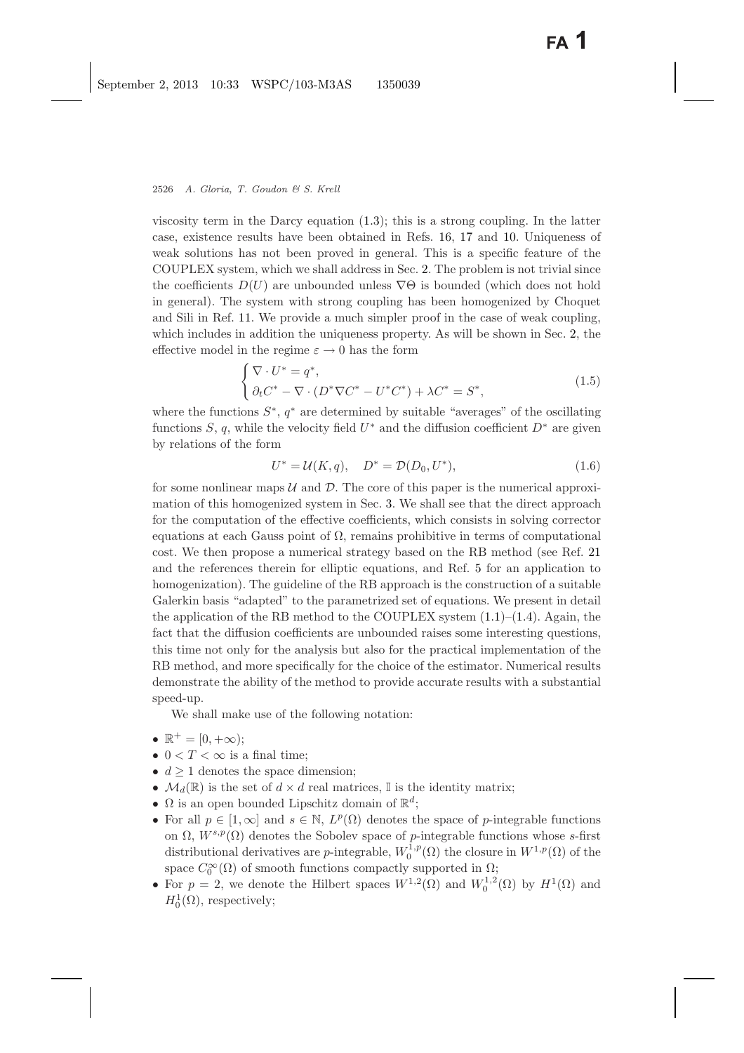viscosity term in the Darcy equation [\(1.3\)](#page-2-1); this is a strong coupling. In the latter case, existence results have been obtained in Refs. [16,](#page-36-2) [17](#page-36-3) and [10.](#page-36-4) Uniqueness of weak solutions has not been proved in general. This is a specific feature of the COUPLEX system, which we shall address in Sec. [2.](#page-4-0) The problem is not trivial since the coefficients  $D(U)$  are unbounded unless  $\nabla\Theta$  is bounded (which does not hold in general). The system with strong coupling has been homogenized by Choquet and Sili in Ref. [11.](#page-36-5) We provide a much simpler proof in the case of weak coupling, which includes in addition the uniqueness property. As will be shown in Sec. [2,](#page-4-0) the effective model in the regime  $\varepsilon \to 0$  has the form

$$
\begin{cases} \nabla \cdot U^* = q^*, \\ \partial_t C^* - \nabla \cdot (D^* \nabla C^* - U^* C^*) + \lambda C^* = S^*, \end{cases}
$$
 (1.5)

where the functions  $S^*$ ,  $q^*$  are determined by suitable "averages" of the oscillating functions S, q, while the velocity field  $U^*$  and the diffusion coefficient  $D^*$  are given by relations of the form

$$
U^* = \mathcal{U}(K, q), \quad D^* = \mathcal{D}(D_0, U^*), \tag{1.6}
$$

for some nonlinear maps  $U$  and  $D$ . The core of this paper is the numerical approximation of this homogenized system in Sec. [3.](#page-13-0) We shall see that the direct approach for the computation of the effective coefficients, which consists in solving corrector equations at each Gauss point of  $\Omega$ , remains prohibitive in terms of computational cost. We then propose a numerical strategy based on the RB method (see Ref. [21](#page-37-0) and the references therein for elliptic equations, and Ref. [5](#page-36-6) for an application to homogenization). The guideline of the RB approach is the construction of a suitable Galerkin basis "adapted" to the parametrized set of equations. We present in detail the application of the RB method to the COUPLEX system  $(1.1)$ – $(1.4)$ . Again, the fact that the diffusion coefficients are unbounded raises some interesting questions, this time not only for the analysis but also for the practical implementation of the RB method, and more specifically for the choice of the estimator. Numerical results demonstrate the ability of the method to provide accurate results with a substantial speed-up.

We shall make use of the following notation:

- $\mathbb{R}^+ = [0, +\infty);$
- $0 < T < \infty$  is a final time;
- $d \geq 1$  denotes the space dimension;
- $\mathcal{M}_d(\mathbb{R})$  is the set of  $d \times d$  real matrices, I is the identity matrix;
- $\Omega$  is an open bounded Lipschitz domain of  $\mathbb{R}^d$ ;
- For all  $p \in [1,\infty]$  and  $s \in \mathbb{N}$ ,  $L^p(\Omega)$  denotes the space of p-integrable functions on  $\Omega$ ,  $W^{s,p}(\Omega)$  denotes the Sobolev space of p-integrable functions whose s-first distributional derivatives are *p*-integrable,  $W_0^{1,p}(\Omega)$  the closure in  $W^{1,p}(\Omega)$  of the space  $C_0^{\infty}(\Omega)$  of smooth functions compactly supported in  $\Omega$ ;
- For  $p = 2$ , we denote the Hilbert spaces  $W^{1,2}(\Omega)$  and  $W_0^{1,2}(\Omega)$  by  $H^1(\Omega)$  and  $H_0^1(\Omega)$ , respectively;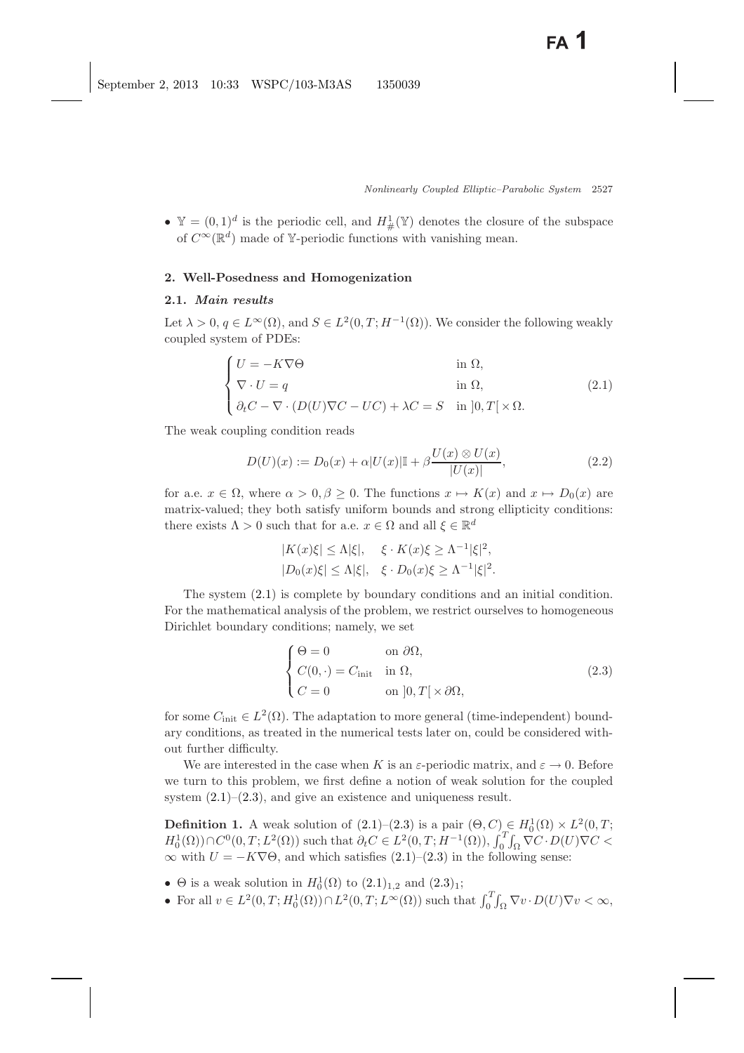•  $\mathbb{Y} = (0, 1)^d$  is the periodic cell, and  $H^1_{\#}(\mathbb{Y})$  denotes the closure of the subspace of  $C^{\infty}(\mathbb{R}^d)$  made of Y-periodic functions with vanishing mean.

#### <span id="page-4-8"></span><span id="page-4-0"></span>**2. Well-Posedness and Homogenization**

# **2.1.** *Main results*

Let  $\lambda > 0, q \in L^{\infty}(\Omega)$ , and  $S \in L^2(0,T; H^{-1}(\Omega))$ . We consider the following weakly coupled system of PDEs:

<span id="page-4-3"></span><span id="page-4-1"></span>
$$
\begin{cases}\nU = -K\nabla\Theta & \text{in } \Omega, \\
\nabla \cdot U = q & \text{in } \Omega, \\
\partial_t C - \nabla \cdot (D(U)\nabla C - UC) + \lambda C = S & \text{in } [0, T[ \times \Omega.\n\end{cases}
$$
\n(2.1)

The weak coupling condition reads

<span id="page-4-9"></span><span id="page-4-6"></span>
$$
D(U)(x) := D_0(x) + \alpha |U(x)| \mathbb{I} + \beta \frac{U(x) \otimes U(x)}{|U(x)|},
$$
\n(2.2)

for a.e.  $x \in \Omega$ , where  $\alpha > 0, \beta \geq 0$ . The functions  $x \mapsto K(x)$  and  $x \mapsto D_0(x)$  are matrix-valued; they both satisfy uniform bounds and strong ellipticity conditions: there exists  $\Lambda > 0$  such that for a.e.  $x \in \Omega$  and all  $\xi \in \mathbb{R}^d$ 

$$
|K(x)\xi| \le \Lambda |\xi|, \quad \xi \cdot K(x)\xi \ge \Lambda^{-1} |\xi|^2,
$$
  

$$
|D_0(x)\xi| \le \Lambda |\xi|, \quad \xi \cdot D_0(x)\xi \ge \Lambda^{-1} |\xi|^2.
$$

The system [\(2.1\)](#page-4-1) is complete by boundary conditions and an initial condition. For the mathematical analysis of the problem, we restrict ourselves to homogeneous Dirichlet boundary conditions; namely, we set

<span id="page-4-4"></span><span id="page-4-2"></span>
$$
\begin{cases}\n\Theta = 0 & \text{on } \partial\Omega, \\
C(0, \cdot) = C_{\text{init}} & \text{in } \Omega, \\
C = 0 & \text{on } ]0, T[ \times \partial\Omega,\n\end{cases}
$$
\n(2.3)

for some  $C_{\text{init}} \in L^2(\Omega)$ . The adaptation to more general (time-independent) boundary conditions, as treated in the numerical tests later on, could be considered without further difficulty.

We are interested in the case when K is an  $\varepsilon$ -periodic matrix, and  $\varepsilon \to 0$ . Before we turn to this problem, we first define a notion of weak solution for the coupled system  $(2.1)$ – $(2.3)$ , and give an existence and uniqueness result.

<span id="page-4-7"></span><span id="page-4-5"></span>**Definition 1.** A weak solution of  $(2.1)$ – $(2.3)$  is a pair  $(\Theta, C) \in H_0^1(\Omega) \times L^2(0, T;$  $H_0^1(\Omega) \cap C^0(0,T; L^2(\Omega))$  such that  $\partial_t C \in L^2(0,T; H^{-1}(\Omega)), \int_0^T \int_{\Omega} \nabla C \cdot D(U) \nabla C$  $\infty$  with  $U = -K\nabla\Theta$ , and which satisfies [\(2.1\)](#page-4-1)–[\(2.3\)](#page-4-2) in the following sense:

- $\Theta$  is a weak solution in  $H_0^1(\Omega)$  to  $(2.1)_{1,2}$  $(2.1)_{1,2}$  and  $(2.3)_1$  $(2.3)_1$ ;
- For all  $v \in L^2(0,T; H_0^1(\Omega)) \cap L^2(0,T; L^{\infty}(\Omega))$  such that  $\int_0^T \int_{\Omega} \nabla v \cdot D(U) \nabla v < \infty$ ,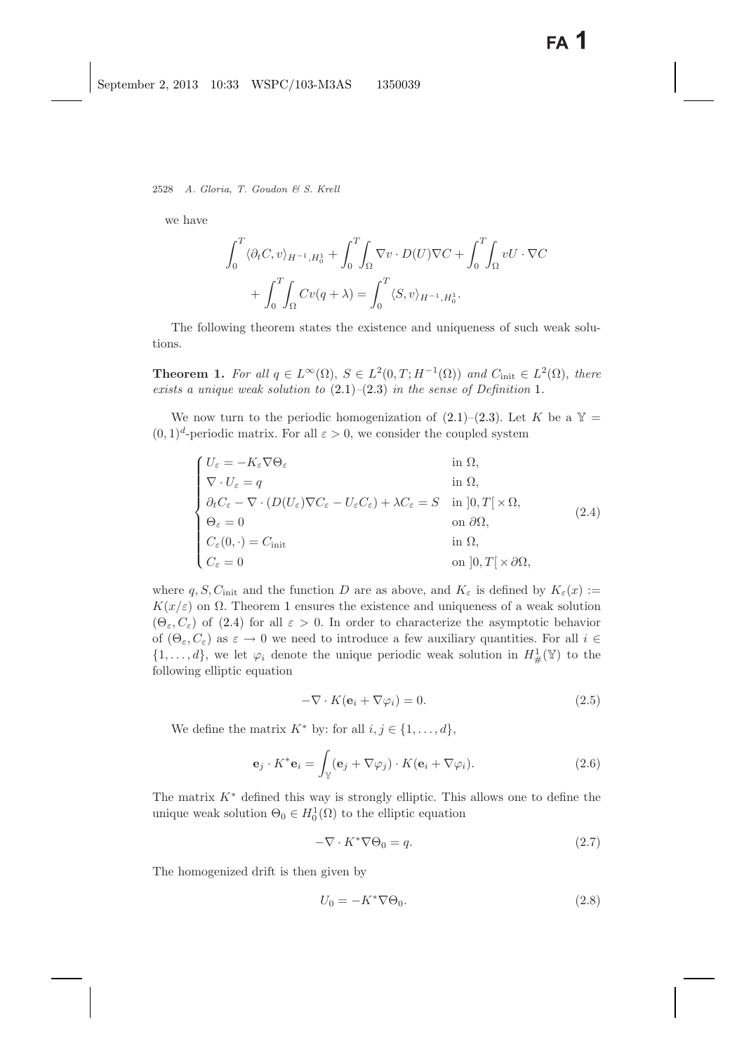2528 *A. Gloria, T. Goudon & S. Krell*

we have

$$
\int_0^T \langle \partial_t C, v \rangle_{H^{-1}, H_0^1} + \int_0^T \int_{\Omega} \nabla v \cdot D(U) \nabla C + \int_0^T \int_{\Omega} vU \cdot \nabla C + \int_0^T \int_{\Omega} C v(q + \lambda) = \int_0^T \langle S, v \rangle_{H^{-1}, H_0^1}.
$$

<span id="page-5-6"></span><span id="page-5-0"></span>The following theorem states the existence and uniqueness of such weak solutions.

**Theorem 1.** For all  $q \in L^{\infty}(\Omega)$ ,  $S \in L^{2}(0,T;H^{-1}(\Omega))$  and  $C_{\text{init}} \in L^{2}(\Omega)$ , there *exists a unique weak solution to* [\(2.1\)](#page-4-3)*–*[\(2.3\)](#page-4-4) *in the sense of Definition* [1](#page-4-5)*.*

We now turn to the periodic homogenization of  $(2.1)$ – $(2.3)$ . Let K be a Y =  $(0, 1)^d$ -periodic matrix. For all  $\varepsilon > 0$ , we consider the coupled system

<span id="page-5-5"></span><span id="page-5-1"></span>
$$
\begin{cases}\nU_{\varepsilon} = -K_{\varepsilon} \nabla \Theta_{\varepsilon} & \text{in } \Omega, \\
\nabla \cdot U_{\varepsilon} = q & \text{in } \Omega, \\
\partial_t C_{\varepsilon} - \nabla \cdot (D(U_{\varepsilon}) \nabla C_{\varepsilon} - U_{\varepsilon} C_{\varepsilon}) + \lambda C_{\varepsilon} = S & \text{in } [0, T[ \times \Omega, \\
\Theta_{\varepsilon} = 0 & \text{on } \partial \Omega, \\
C_{\varepsilon}(0, \cdot) = C_{\text{init}} & \text{in } \Omega, \\
C_{\varepsilon} = 0 & \text{on } [0, T[ \times \partial \Omega, \\
\end{cases}
$$
\n(2.4)

where q, S, C<sub>init</sub> and the function D are as above, and  $K_{\varepsilon}$  is defined by  $K_{\varepsilon}(x) :=$  $K(x/\varepsilon)$  on  $\Omega$ . Theorem [1](#page-5-0) ensures the existence and uniqueness of a weak solution  $(\Theta_{\varepsilon}, C_{\varepsilon})$  of [\(2.4\)](#page-5-1) for all  $\varepsilon > 0$ . In order to characterize the asymptotic behavior of  $(\Theta_{\varepsilon}, C_{\varepsilon})$  as  $\varepsilon \to 0$  we need to introduce a few auxiliary quantities. For all  $i \in$  $\{1,\ldots,d\}$ , we let  $\varphi_i$  denote the unique periodic weak solution in  $H^1_{\#}(\mathbb{Y})$  to the following elliptic equation

<span id="page-5-2"></span>
$$
-\nabla \cdot K(\mathbf{e}_i + \nabla \varphi_i) = 0. \tag{2.5}
$$

<span id="page-5-8"></span>We define the matrix  $K^*$  by: for all  $i, j \in \{1, \ldots, d\}$ ,

$$
\mathbf{e}_j \cdot K^* \mathbf{e}_i = \int_{\mathbb{Y}} (\mathbf{e}_j + \nabla \varphi_j) \cdot K(\mathbf{e}_i + \nabla \varphi_i). \tag{2.6}
$$

The matrix  $K^*$  defined this way is strongly elliptic. This allows one to define the unique weak solution  $\Theta_0 \in H_0^1(\Omega)$  to the elliptic equation

<span id="page-5-7"></span><span id="page-5-4"></span><span id="page-5-3"></span>
$$
-\nabla \cdot K^* \nabla \Theta_0 = q. \tag{2.7}
$$

The homogenized drift is then given by

$$
U_0 = -K^* \nabla \Theta_0. \tag{2.8}
$$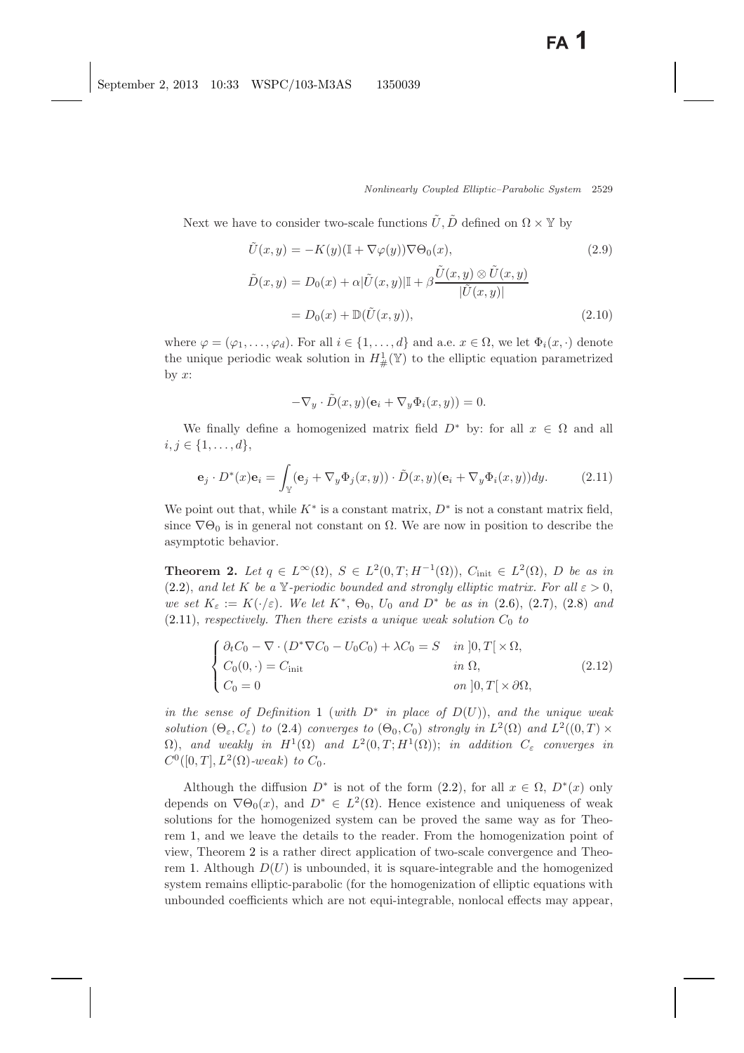<span id="page-6-6"></span><span id="page-6-5"></span>Next we have to consider two-scale functions  $\hat{U}, \hat{D}$  defined on  $\Omega \times \mathbb{Y}$  by

$$
\tilde{U}(x,y) = -K(y)(\mathbb{I} + \nabla\varphi(y))\nabla\Theta_0(x),
$$
\n(2.9)  
\n
$$
\tilde{D}(x,y) = D_0(x) + \alpha|\tilde{U}(x,y)|\mathbb{I} + \beta \frac{\tilde{U}(x,y) \otimes \tilde{U}(x,y)}{|\tilde{U}(x,y)|}
$$
\n
$$
= D_0(x) + \mathbb{D}(\tilde{U}(x,y)),
$$
\n(2.10)

where  $\varphi = (\varphi_1, \ldots, \varphi_d)$ . For all  $i \in \{1, \ldots, d\}$  and a.e.  $x \in \Omega$ , we let  $\Phi_i(x, \cdot)$  denote the unique periodic weak solution in  $H^1_{\#}(\mathbb{Y})$  to the elliptic equation parametrized by  $x$ :

$$
-\nabla_y \cdot \tilde{D}(x, y)(\mathbf{e}_i + \nabla_y \Phi_i(x, y)) = 0.
$$

<span id="page-6-7"></span><span id="page-6-0"></span>We finally define a homogenized matrix field  $D^*$  by: for all  $x \in \Omega$  and all  $i, j \in \{1, \ldots, d\},\$ 

$$
\mathbf{e}_j \cdot D^*(x)\mathbf{e}_i = \int_{\mathbb{Y}} (\mathbf{e}_j + \nabla_y \Phi_j(x, y)) \cdot \tilde{D}(x, y)(\mathbf{e}_i + \nabla_y \Phi_i(x, y)) dy.
$$
 (2.11)

We point out that, while  $K^*$  is a constant matrix,  $D^*$  is not a constant matrix field, since  $\nabla\Theta_0$  is in general not constant on  $\Omega$ . We are now in position to describe the asymptotic behavior.

<span id="page-6-3"></span><span id="page-6-1"></span>**Theorem 2.** Let  $q \in L^{\infty}(\Omega)$ ,  $S \in L^{2}(0,T;H^{-1}(\Omega))$ ,  $C_{\text{init}} \in L^{2}(\Omega)$ , D be as in [\(2.2\)](#page-4-6), and let K be a Y-periodic bounded and strongly elliptic matrix. For all  $\varepsilon > 0$ , *we set*  $K_{\varepsilon} := K(\cdot/\varepsilon)$ *. We let*  $K^*$ ,  $\Theta_0$ *, U<sub>0</sub> and*  $D^*$  *be as in* [\(2.6\)](#page-5-2), [\(2.7\)](#page-5-3), [\(2.8\)](#page-5-4) *and*  $(2.11)$ , *respectively. Then there exists a unique weak solution*  $C_0$  *to* 

<span id="page-6-4"></span><span id="page-6-2"></span>
$$
\begin{cases}\n\partial_t C_0 - \nabla \cdot (D^* \nabla C_0 - U_0 C_0) + \lambda C_0 = S & \text{in } ]0, T[ \times \Omega, \\
C_0(0, \cdot) = C_{\text{init}} & \text{in } \Omega, \\
C_0 = 0 & \text{on } ]0, T[ \times \partial \Omega,\n\end{cases}
$$
\n(2.12)

*in the sense of Definition* [1](#page-4-7) (*with*  $D^*$  *in place of*  $D(U)$ *)*, *and the unique weak solution*  $(\Theta_{\varepsilon}, C_{\varepsilon})$  *to* [\(2.4\)](#page-5-5) *converges to*  $(\Theta_0, C_0)$  *strongly in*  $L^2(\Omega)$  *and*  $L^2((0, T) \times$  $\Omega$ ), and weakly in  $H^1(\Omega)$  and  $L^2(0,T;H^1(\Omega))$ ; *in addition*  $C_{\varepsilon}$  *converges in*  $C^0([0,T], L^2(\Omega)$ -weak) to  $C_0$ .

Although the diffusion  $D^*$  is not of the form  $(2.2)$ , for all  $x \in \Omega$ ,  $D^*(x)$  only depends on  $\nabla \Theta_0(x)$ , and  $D^* \in L^2(\Omega)$ . Hence existence and uniqueness of weak solutions for the homogenized system can be proved the same way as for Theorem [1,](#page-5-6) and we leave the details to the reader. From the homogenization point of view, Theorem [2](#page-6-1) is a rather direct application of two-scale convergence and Theo-rem [1.](#page-5-6) Although  $D(U)$  is unbounded, it is square-integrable and the homogenized system remains elliptic-parabolic (for the homogenization of elliptic equations with unbounded coefficients which are not equi-integrable, nonlocal effects may appear,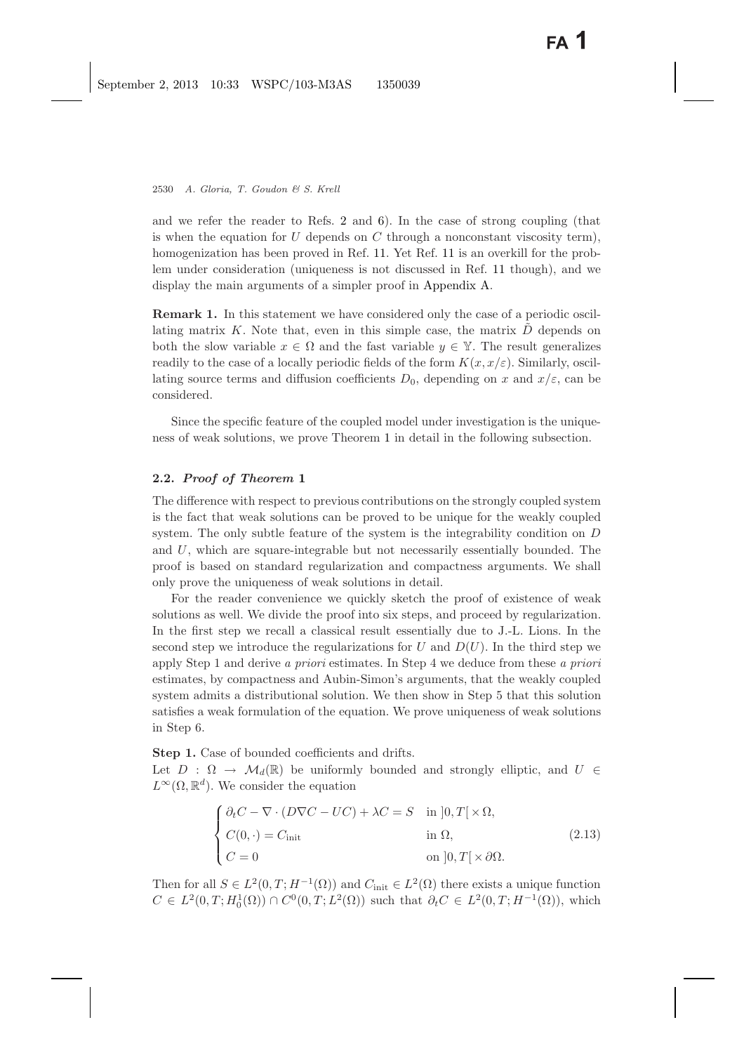and we refer the reader to Refs. [2](#page-36-7) and [6\)](#page-36-8). In the case of strong coupling (that is when the equation for U depends on  $C$  through a nonconstant viscosity term), homogenization has been proved in Ref. [11.](#page-36-5) Yet Ref. [11](#page-36-5) is an overkill for the problem under consideration (uniqueness is not discussed in Ref. [11](#page-36-5) though), and we display the main arguments of a simpler proof in [Appendix A.](#page-34-0)

<span id="page-7-1"></span>**Remark 1.** In this statement we have considered only the case of a periodic oscillating matrix K. Note that, even in this simple case, the matrix  $D$  depends on both the slow variable  $x \in \Omega$  and the fast variable  $y \in \mathbb{Y}$ . The result generalizes readily to the case of a locally periodic fields of the form  $K(x, x/\varepsilon)$ . Similarly, oscillating source terms and diffusion coefficients  $D_0$ , depending on x and  $x/\varepsilon$ , can be considered.

Since the specific feature of the coupled model under investigation is the uniqueness of weak solutions, we prove Theorem [1](#page-5-0) in detail in the following subsection.

## **2.2.** *Proof of Theorem* **[1](#page-5-0)**

The difference with respect to previous contributions on the strongly coupled system is the fact that weak solutions can be proved to be unique for the weakly coupled system. The only subtle feature of the system is the integrability condition on D and U, which are square-integrable but not necessarily essentially bounded. The proof is based on standard regularization and compactness arguments. We shall only prove the uniqueness of weak solutions in detail.

For the reader convenience we quickly sketch the proof of existence of weak solutions as well. We divide the proof into six steps, and proceed by regularization. In the first step we recall a classical result essentially due to J.-L. Lions. In the second step we introduce the regularizations for U and  $D(U)$ . In the third step we apply Step 1 and derive *a priori* estimates. In Step 4 we deduce from these *a priori* estimates, by compactness and Aubin-Simon's arguments, that the weakly coupled system admits a distributional solution. We then show in Step 5 that this solution satisfies a weak formulation of the equation. We prove uniqueness of weak solutions in Step 6.

**Step 1.** Case of bounded coefficients and drifts.

Let  $D : \Omega \to \mathcal{M}_d(\mathbb{R})$  be uniformly bounded and strongly elliptic, and  $U \in$  $L^{\infty}(\Omega,\mathbb{R}^d)$ . We consider the equation

<span id="page-7-0"></span>
$$
\begin{cases}\n\partial_t C - \nabla \cdot (D \nabla C - UC) + \lambda C = S & \text{in } ]0, T[ \times \Omega, \\
C(0, \cdot) = C_{\text{init}} & \text{in } \Omega, \\
C = 0 & \text{on } ]0, T[ \times \partial \Omega.\n\end{cases}
$$
\n(2.13)

Then for all  $S \in L^2(0,T; H^{-1}(\Omega))$  and  $C_{\text{init}} \in L^2(\Omega)$  there exists a unique function  $C \in L^2(0,T; H_0^1(\Omega)) \cap C^0(0,T; L^2(\Omega))$  such that  $\partial_t C \in L^2(0,T; H^{-1}(\Omega))$ , which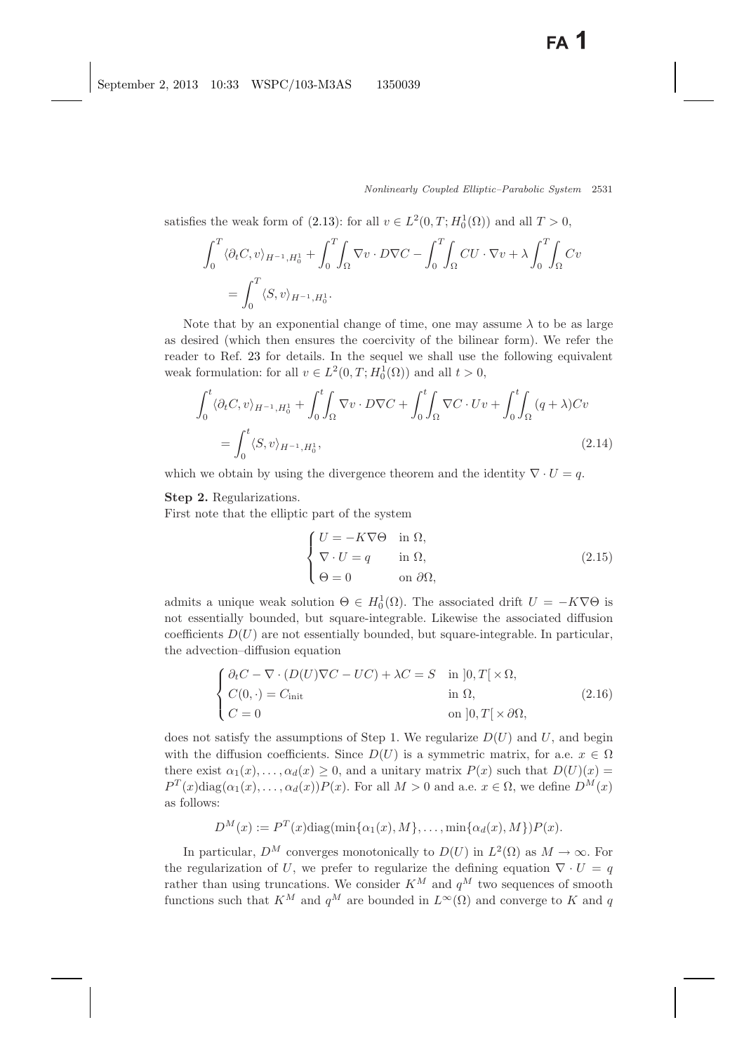satisfies the weak form of [\(2.13\)](#page-7-0): for all  $v \in L^2(0,T; H_0^1(\Omega))$  and all  $T > 0$ ,

$$
\begin{split} \int_0^T \langle \partial_t C, v \rangle_{H^{-1}, H_0^1} + \int_0^T \!\! \int_{\Omega} \nabla v \cdot D \nabla C - \int_0^T \!\! \int_{\Omega} C U \cdot \nabla v + \lambda \int_0^T \!\! \int_{\Omega} C v \\ = \int_0^T \langle S, v \rangle_{H^{-1}, H_0^1}. \end{split}
$$

Note that by an exponential change of time, one may assume  $\lambda$  to be as large as desired (which then ensures the coercivity of the bilinear form). We refer the reader to Ref. [23](#page-37-1) for details. In the sequel we shall use the following equivalent weak formulation: for all  $v \in L^2(0,T; H_0^1(\Omega))$  and all  $t > 0$ ,

$$
\int_0^t \langle \partial_t C, v \rangle_{H^{-1}, H_0^1} + \int_0^t \int_{\Omega} \nabla v \cdot D \nabla C + \int_0^t \int_{\Omega} \nabla C \cdot U v + \int_0^t \int_{\Omega} (q + \lambda) C v
$$
  
= 
$$
\int_0^t \langle S, v \rangle_{H^{-1}, H_0^1},
$$
 (2.14)

<span id="page-8-1"></span>which we obtain by using the divergence theorem and the identity  $\nabla \cdot U = q$ .

# **Step 2.** Regularizations.

First note that the elliptic part of the system

$$
\begin{cases}\nU = -K\nabla\Theta & \text{in } \Omega, \\
\nabla \cdot U = q & \text{in } \Omega, \\
\Theta = 0 & \text{on } \partial\Omega,\n\end{cases}
$$
\n(2.15)

admits a unique weak solution  $\Theta \in H_0^1(\Omega)$ . The associated drift  $U = -K\nabla\Theta$  is not essentially bounded, but square-integrable. Likewise the associated diffusion coefficients  $D(U)$  are not essentially bounded, but square-integrable. In particular, the advection–diffusion equation

<span id="page-8-2"></span><span id="page-8-0"></span>
$$
\begin{cases}\n\partial_t C - \nabla \cdot (D(U) \nabla C - UC) + \lambda C = S & \text{in } [0, T] \times \Omega, \\
C(0, \cdot) = C_{\text{init}} & \text{in } \Omega, \\
C = 0 & \text{on } [0, T] \times \partial \Omega,\n\end{cases}
$$
\n(2.16)

does not satisfy the assumptions of Step 1. We regularize  $D(U)$  and  $U$ , and begin with the diffusion coefficients. Since  $D(U)$  is a symmetric matrix, for a.e.  $x \in \Omega$ there exist  $\alpha_1(x), \ldots, \alpha_d(x) \geq 0$ , and a unitary matrix  $P(x)$  such that  $D(U)(x) =$  $P^{T}(x)$ diag $(\alpha_1(x),\ldots,\alpha_d(x))P(x)$ . For all  $M > 0$  and a.e.  $x \in \Omega$ , we define  $D^{M}(x)$ as follows:

$$
D^{M}(x) := P^{T}(x) \operatorname{diag}(\min\{\alpha_1(x), M\}, \dots, \min\{\alpha_d(x), M\}) P(x).
$$

In particular,  $D^M$  converges monotonically to  $D(U)$  in  $L^2(\Omega)$  as  $M \to \infty$ . For the regularization of U, we prefer to regularize the defining equation  $\nabla \cdot U = q$ rather than using truncations. We consider  $K^M$  and  $q^M$  two sequences of smooth functions such that  $K^M$  and  $q^M$  are bounded in  $L^{\infty}(\Omega)$  and converge to K and q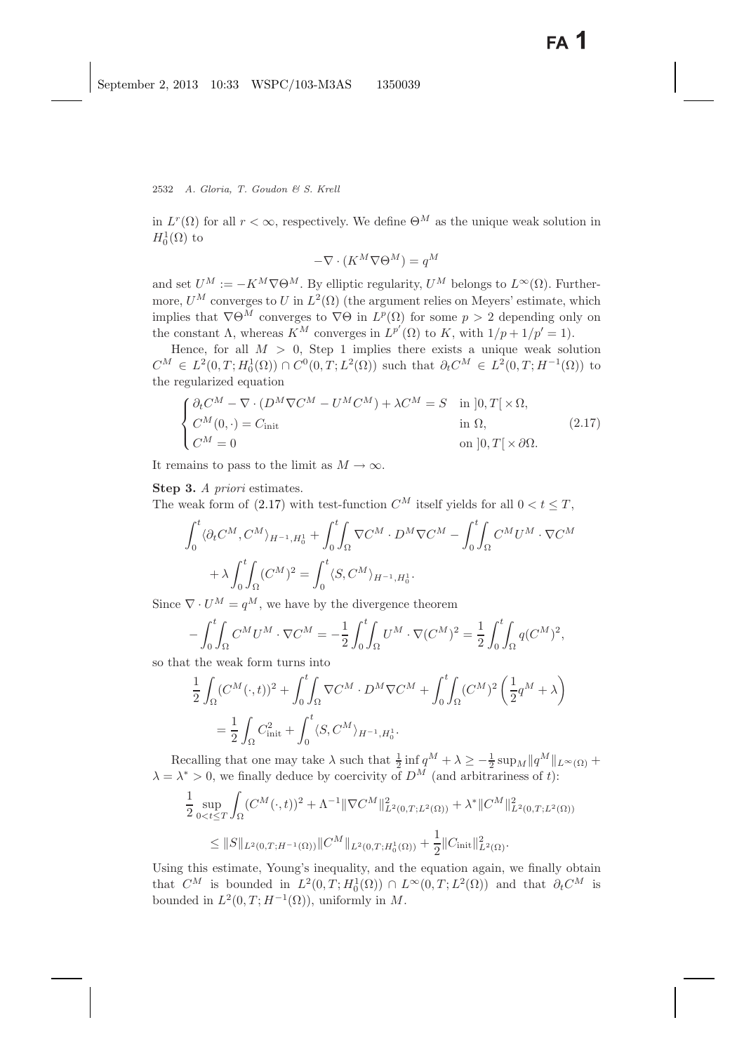in  $L^r(\Omega)$  for all  $r < \infty$ , respectively. We define  $\Theta^M$  as the unique weak solution in  $H_0^1(\Omega)$  to

$$
-\nabla \cdot (K^M \nabla \Theta^M) = q^M
$$

and set  $U^M := -K^M \nabla \Theta^M$ . By elliptic regularity,  $U^M$  belongs to  $L^{\infty}(\Omega)$ . Furthermore,  $U^M$  converges to U in  $L^2(\Omega)$  (the argument relies on Meyers' estimate, which implies that  $\nabla \Theta^M$  converges to  $\nabla \Theta$  in  $L^p(\Omega)$  for some  $p > 2$  depending only on the constant  $\Lambda$ , whereas  $K^M$  converges in  $L^{p'}(\Omega)$  to K, with  $1/p + 1/p' = 1$ .

Hence, for all  $M > 0$ , Step 1 implies there exists a unique weak solution  $C^M \in L^2(0,T;H_0^1(\Omega)) \cap C^0(0,T;L^2(\Omega))$  such that  $\partial_t C^M \in L^2(0,T;H^{-1}(\Omega))$  to the regularized equation

<span id="page-9-0"></span>
$$
\begin{cases} \partial_t C^M - \nabla \cdot (D^M \nabla C^M - U^M C^M) + \lambda C^M = S & \text{in } ]0, T[ \times \Omega, \\ C^M(0, \cdot) = C_{\text{init}} & \text{in } \Omega, \\ C^M = 0 & \text{on } ]0, T[ \times \partial \Omega. \end{cases}
$$
(2.17)

It remains to pass to the limit as  $M \to \infty$ .

**Step 3.** *A priori* estimates.

The weak form of [\(2.17\)](#page-9-0) with test-function  $C^M$  itself yields for all  $0 < t \leq T$ ,

$$
\int_0^t \langle \partial_t C^M, C^M \rangle_{H^{-1}, H_0^1} + \int_0^t \int_{\Omega} \nabla C^M \cdot D^M \nabla C^M - \int_0^t \int_{\Omega} C^M U^M \cdot \nabla C^M
$$

$$
+ \lambda \int_0^t \int_{\Omega} (C^M)^2 = \int_0^t \langle S, C^M \rangle_{H^{-1}, H_0^1}.
$$

Since  $\nabla \cdot U^M = q^M$ , we have by the divergence theorem

$$
-\int_0^t \int_{\Omega} C^M U^M \cdot \nabla C^M = -\frac{1}{2} \int_0^t \int_{\Omega} U^M \cdot \nabla (C^M)^2 = \frac{1}{2} \int_0^t \int_{\Omega} q (C^M)^2,
$$

so that the weak form turns into

$$
\frac{1}{2} \int_{\Omega} (C^M(\cdot, t))^2 + \int_0^t \int_{\Omega} \nabla C^M \cdot D^M \nabla C^M + \int_0^t \int_{\Omega} (C^M)^2 \left( \frac{1}{2} q^M + \lambda \right)
$$

$$
= \frac{1}{2} \int_{\Omega} C_{\text{init}}^2 + \int_0^t \langle S, C^M \rangle_{H^{-1}, H_0^1}.
$$

Recalling that one may take  $\lambda$  such that  $\frac{1}{2}$  inf  $q^M + \lambda \ge -\frac{1}{2} \sup_M ||q^M||_{L^{\infty}(\Omega)} +$  $\lambda = \lambda^* > 0$ , we finally deduce by coercivity of  $D^M$  (and arbitrariness of t):

$$
\frac{1}{2} \sup_{0 < t \le T} \int_{\Omega} (C^M(\cdot, t))^2 + \Lambda^{-1} \|\nabla C^M\|_{L^2(0, T; L^2(\Omega))}^2 + \lambda^* \|C^M\|_{L^2(0, T; L^2(\Omega))}^2
$$
\n
$$
\le \|S\|_{L^2(0, T; H^{-1}(\Omega))} \|C^M\|_{L^2(0, T; H_0^1(\Omega))} + \frac{1}{2} \|C_{\text{init}}\|_{L^2(\Omega)}^2.
$$

Using this estimate, Young's inequality, and the equation again, we finally obtain that  $C^M$  is bounded in  $L^2(0,T; H_0^1(\Omega)) \cap L^{\infty}(0,T; L^2(\Omega))$  and that  $\partial_t C^M$  is bounded in  $L^2(0,T;H^{-1}(\Omega))$ , uniformly in M.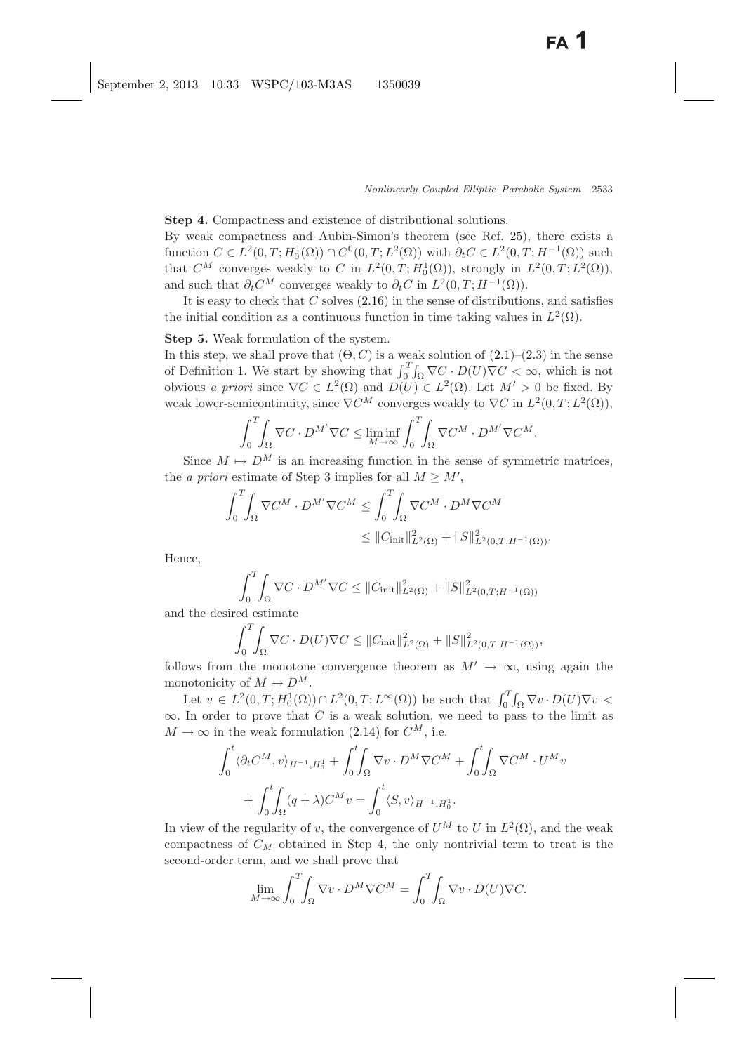**Step 4.** Compactness and existence of distributional solutions.

By weak compactness and Aubin-Simon's theorem (see Ref. [25\)](#page-37-2), there exists a function  $C \in L^2(0,T; H_0^1(\Omega)) \cap C^0(0,T; L^2(\Omega))$  with  $\partial_t C \in L^2(0,T; H^{-1}(\Omega))$  such that  $C^M$  converges weakly to C in  $L^2(0,T;H_0^1(\Omega))$ , strongly in  $L^2(0,T;L^2(\Omega))$ , and such that  $\partial_t C^M$  converges weakly to  $\partial_t C$  in  $L^2(0,T;H^{-1}(\Omega))$ .

It is easy to check that  $C$  solves  $(2.16)$  in the sense of distributions, and satisfies the initial condition as a continuous function in time taking values in  $L^2(\Omega)$ .

**Step 5.** Weak formulation of the system.

In this step, we shall prove that  $(\Theta, C)$  is a weak solution of  $(2.1)$ – $(2.3)$  in the sense of Definition [1.](#page-4-7) We start by showing that  $\int_0^T \int_{\Omega} \nabla C \cdot D(U) \nabla C < \infty$ , which is not obvious *a priori* since  $\nabla C \in L^2(\Omega)$  and  $D(U) \in L^2(\Omega)$ . Let  $M' > 0$  be fixed. By weak lower-semicontinuity, since  $\nabla C^M$  converges weakly to  $\nabla C$  in  $L^2(0,T;L^2(\Omega))$ ,

$$
\int_0^T\!\!\int_\Omega \nabla C\cdot D^{M'}\nabla C\leq \liminf_{M\to\infty}\int_0^T\!\!\int_\Omega \nabla C^M\cdot D^{M'}\nabla C^M.
$$

Since  $M \mapsto D^M$  is an increasing function in the sense of symmetric matrices, the *a priori* estimate of Step 3 implies for all  $M \geq M'$ ,

$$
\int_0^T \int_{\Omega} \nabla C^M \cdot D^{M'} \nabla C^M \le \int_0^T \int_{\Omega} \nabla C^M \cdot D^M \nabla C^M
$$
  

$$
\le ||C_{\text{init}}||_{L^2(\Omega)}^2 + ||S||_{L^2(0,T;H^{-1}(\Omega))}^2.
$$

Hence,

$$
\int_0^T \int_{\Omega} \nabla C \cdot D^{M'} \nabla C \le ||C_{\rm init}||^2_{L^2(\Omega)} + ||S||^2_{L^2(0,T;H^{-1}(\Omega))}
$$

and the desired estimate

$$
\int_0^T \int_{\Omega} \nabla C \cdot D(U) \nabla C \leq ||C_{\rm init}||_{L^2(\Omega)}^2 + ||S||_{L^2(0,T;H^{-1}(\Omega))}^2,
$$

follows from the monotone convergence theorem as  $M' \to \infty$ , using again the monotonicity of  $M \mapsto D^M$ .

Let  $v \in L^2(0,T;H_0^1(\Omega)) \cap L^2(0,T;L^{\infty}(\Omega))$  be such that  $\int_0^T \int_{\Omega} \nabla v \cdot D(U) \nabla v <$  $\infty$ . In order to prove that C is a weak solution, we need to pass to the limit as  $M \to \infty$  in the weak formulation [\(2.14\)](#page-8-1) for  $C^M$ , i.e.

$$
\int_0^t \langle \partial_t C^M, v \rangle_{H^{-1}, H_0^1} + \int_0^t \int_{\Omega} \nabla v \cdot D^M \nabla C^M + \int_0^t \int_{\Omega} \nabla C^M \cdot U^M v + \int_0^t \int_{\Omega} (q + \lambda) C^M v = \int_0^t \langle S, v \rangle_{H^{-1}, H_0^1}.
$$

In view of the regularity of v, the convergence of  $U^M$  to U in  $L^2(\Omega)$ , and the weak compactness of  $C_M$  obtained in Step 4, the only nontrivial term to treat is the second-order term, and we shall prove that

$$
\lim_{M \to \infty} \int_0^T \int_{\Omega} \nabla v \cdot D^M \nabla C^M = \int_0^T \int_{\Omega} \nabla v \cdot D(U) \nabla C.
$$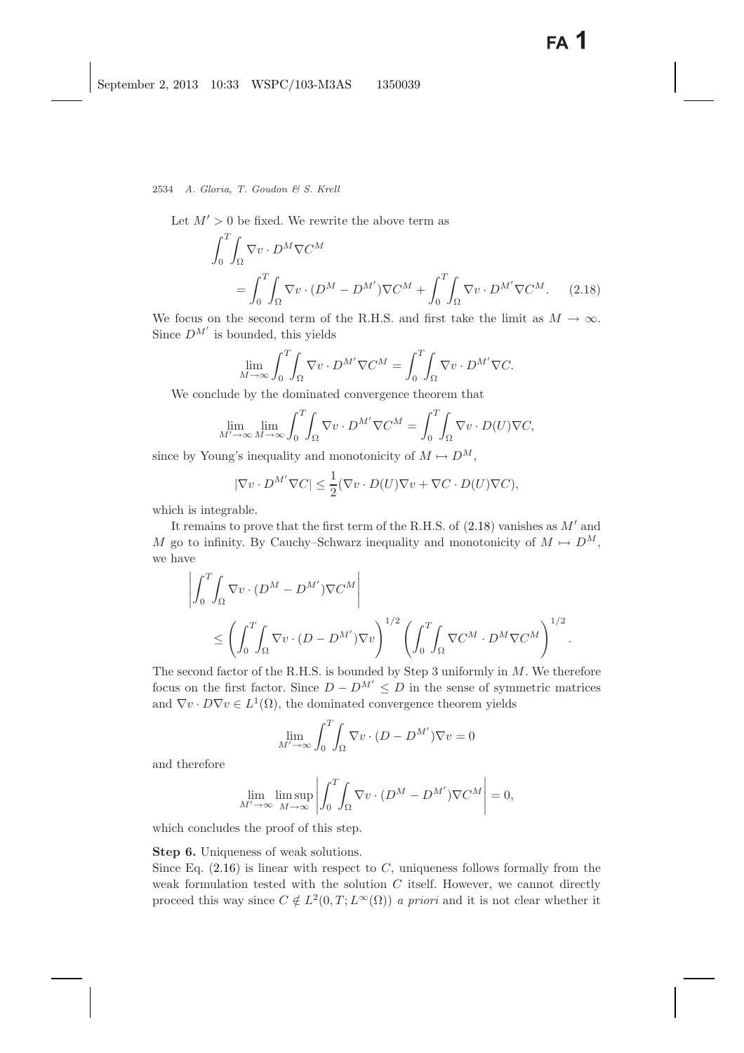2534 *A. Gloria, T. Goudon & S. Krell*

<span id="page-11-0"></span>Let  $M' > 0$  be fixed. We rewrite the above term as

$$
\int_0^T \int_{\Omega} \nabla v \cdot D^M \nabla C^M
$$
  
= 
$$
\int_0^T \int_{\Omega} \nabla v \cdot (D^M - D^M') \nabla C^M + \int_0^T \int_{\Omega} \nabla v \cdot D^M' \nabla C^M.
$$
 (2.18)

We focus on the second term of the R.H.S. and first take the limit as  $M \to \infty$ . Since  $D^{M'}$  is bounded, this yields

$$
\lim_{M \to \infty} \int_0^T \int_{\Omega} \nabla v \cdot D^{M'} \nabla C^M = \int_0^T \int_{\Omega} \nabla v \cdot D^{M'} \nabla C.
$$

We conclude by the dominated convergence theorem that

$$
\lim_{M' \to \infty} \lim_{M \to \infty} \int_0^T \int_{\Omega} \nabla v \cdot D^{M'} \nabla C^M = \int_0^T \int_{\Omega} \nabla v \cdot D(U) \nabla C,
$$

since by Young's inequality and monotonicity of  $M \mapsto D^M$ ,

$$
|\nabla v \cdot D^{M'} \nabla C| \leq \frac{1}{2} (\nabla v \cdot D(U) \nabla v + \nabla C \cdot D(U) \nabla C),
$$

which is integrable.

It remains to prove that the first term of the R.H.S. of  $(2.18)$  vanishes as  $M'$  and M go to infinity. By Cauchy–Schwarz inequality and monotonicity of  $M \mapsto D^M$ . we have

$$
\left| \int_0^T \int_{\Omega} \nabla v \cdot (D^M - D^{M'}) \nabla C^M \right|
$$
  
\$\leq \left( \int\_0^T \int\_{\Omega} \nabla v \cdot (D - D^{M'}) \nabla v \right)^{1/2} \left( \int\_0^T \int\_{\Omega} \nabla C^M \cdot D^M \nabla C^M \right)^{1/2}\$.

The second factor of the R.H.S. is bounded by Step 3 uniformly in M. We therefore focus on the first factor. Since  $D - D^{M'} \leq D$  in the sense of symmetric matrices and  $\nabla v \cdot D\nabla v \in L^1(\Omega)$ , the dominated convergence theorem yields

$$
\lim_{M' \to \infty} \int_0^T \int_{\Omega} \nabla v \cdot (D - D^{M'}) \nabla v = 0
$$

and therefore

$$
\lim_{M' \to \infty} \limsup_{M \to \infty} \left| \int_0^T \int_{\Omega} \nabla v \cdot (D^M - D^{M'}) \nabla C^M \right| = 0,
$$

which concludes the proof of this step.

### **Step 6.** Uniqueness of weak solutions.

Since Eq.  $(2.16)$  is linear with respect to C, uniqueness follows formally from the weak formulation tested with the solution  $C$  itself. However, we cannot directly proceed this way since  $C \notin L^2(0,T;L^{\infty}(\Omega))$  *a priori* and it is not clear whether it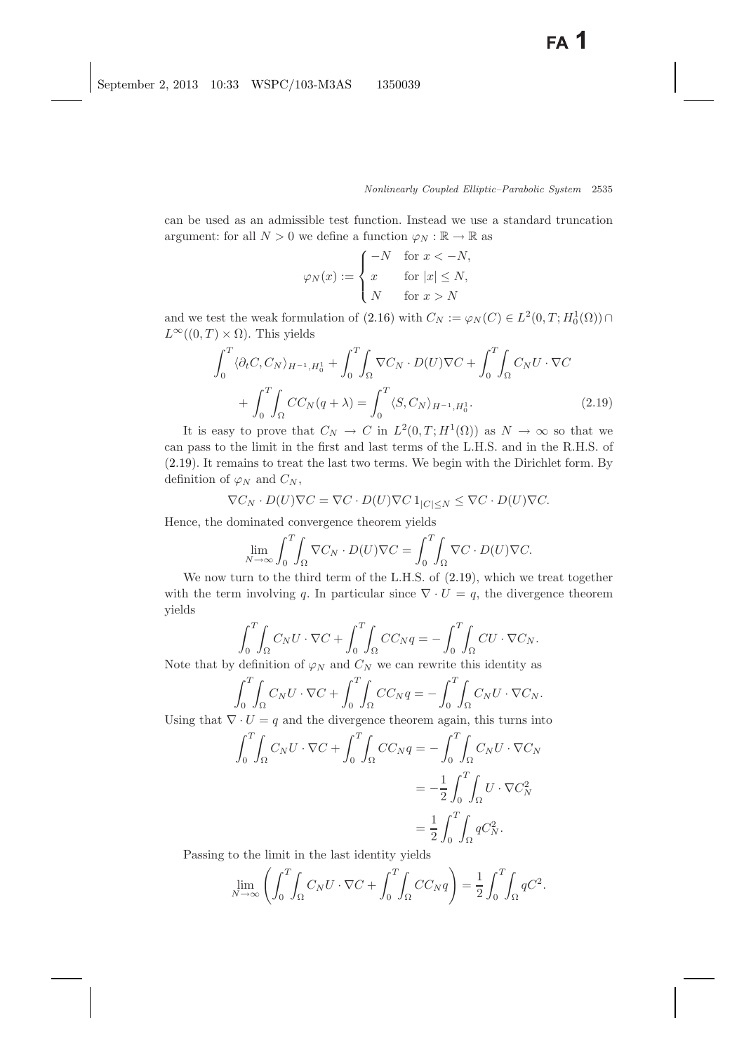can be used as an admissible test function. Instead we use a standard truncation argument: for all  $N > 0$  we define a function  $\varphi_N : \mathbb{R} \to \mathbb{R}$  as

$$
\varphi_N(x) := \begin{cases}\n-N & \text{for } x < -N, \\
x & \text{for } |x| \le N, \\
N & \text{for } x > N\n\end{cases}
$$

<span id="page-12-0"></span>and we test the weak formulation of  $(2.16)$  with  $C_N := \varphi_N(C) \in L^2(0,T; H_0^1(\Omega)) \cap$  $L^{\infty}((0,T)\times\Omega)$ . This yields

$$
\int_0^T \langle \partial_t C, C_N \rangle_{H^{-1}, H_0^1} + \int_0^T \int_{\Omega} \nabla C_N \cdot D(U) \nabla C + \int_0^T \int_{\Omega} C_N U \cdot \nabla C + \int_0^T \int_{\Omega} C C_N (q + \lambda) = \int_0^T \langle S, C_N \rangle_{H^{-1}, H_0^1}.
$$
\n(2.19)

It is easy to prove that  $C_N \to C$  in  $L^2(0,T;H^1(\Omega))$  as  $N \to \infty$  so that we can pass to the limit in the first and last terms of the L.H.S. and in the R.H.S. of [\(2.19\)](#page-12-0). It remains to treat the last two terms. We begin with the Dirichlet form. By definition of  $\varphi_N$  and  $C_N$ ,

$$
\nabla C_N \cdot D(U) \nabla C = \nabla C \cdot D(U) \nabla C \mathbf{1}_{|C| \leq N} \leq \nabla C \cdot D(U) \nabla C.
$$

Hence, the dominated convergence theorem yields

$$
\lim_{N \to \infty} \int_0^T \int_{\Omega} \nabla C_N \cdot D(U) \nabla C = \int_0^T \int_{\Omega} \nabla C \cdot D(U) \nabla C.
$$

We now turn to the third term of the L.H.S. of [\(2.19\)](#page-12-0), which we treat together with the term involving q. In particular since  $\nabla \cdot U = q$ , the divergence theorem yields

$$
\int_0^T \int_{\Omega} C_N U \cdot \nabla C + \int_0^T \int_{\Omega} C C_N q = - \int_0^T \int_{\Omega} C U \cdot \nabla C_N.
$$

Note that by definition of  $\varphi_N$  and  $C_N$  we can rewrite this identity as

$$
\int_0^T \int_{\Omega} C_N U \cdot \nabla C + \int_0^T \int_{\Omega} C C_N q = - \int_0^T \int_{\Omega} C_N U \cdot \nabla C_N.
$$

Using that  $\nabla \cdot U = q$  and the divergence theorem again, this turns into

$$
\int_0^T \int_{\Omega} C_N U \cdot \nabla C + \int_0^T \int_{\Omega} C C_N q = -\int_0^T \int_{\Omega} C_N U \cdot \nabla C_N
$$

$$
= -\frac{1}{2} \int_0^T \int_{\Omega} U \cdot \nabla C_N^2
$$

$$
= \frac{1}{2} \int_0^T \int_{\Omega} q C_N^2.
$$

Passing to the limit in the last identity yields

$$
\lim_{N \to \infty} \left( \int_0^T \int_{\Omega} C_N U \cdot \nabla C + \int_0^T \int_{\Omega} C C_N q \right) = \frac{1}{2} \int_0^T \int_{\Omega} q C^2.
$$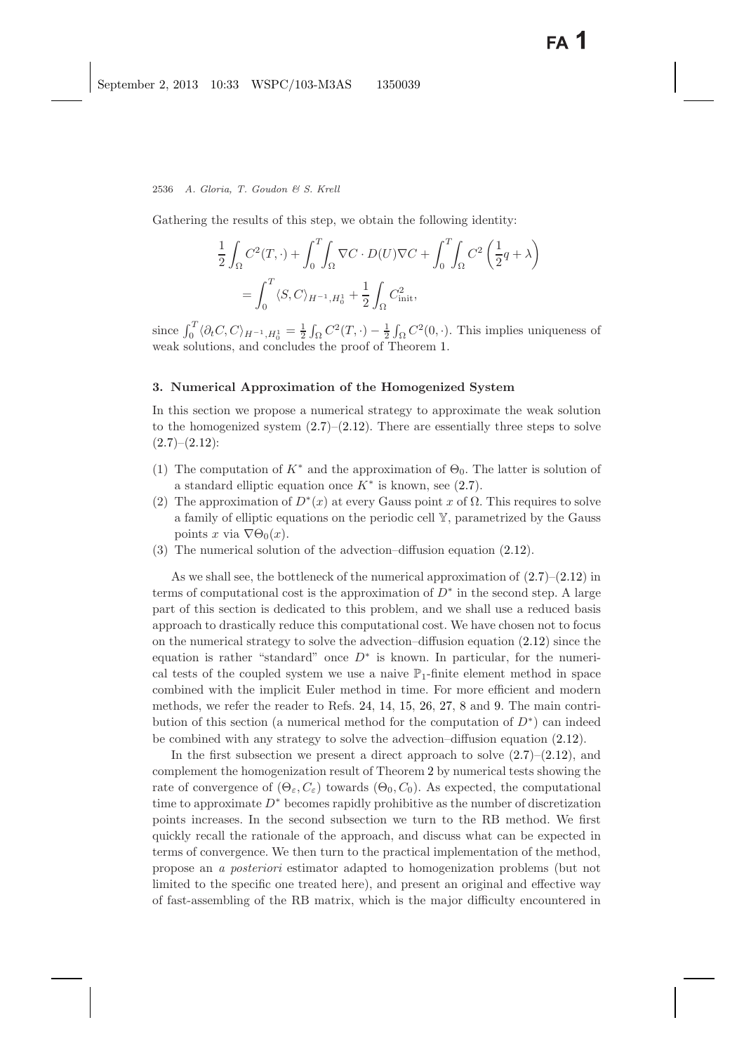2536 *A. Gloria, T. Goudon & S. Krell*

Gathering the results of this step, we obtain the following identity:

$$
\frac{1}{2} \int_{\Omega} C^2(T, \cdot) + \int_0^T \int_{\Omega} \nabla C \cdot D(U) \nabla C + \int_0^T \int_{\Omega} C^2 \left( \frac{1}{2} q + \lambda \right)
$$

$$
= \int_0^T \langle S, C \rangle_{H^{-1}, H_0^1} + \frac{1}{2} \int_{\Omega} C_{\text{init}}^2,
$$

since  $\int_0^T \langle \partial_t C, C \rangle_{H^{-1}, H_0^1} = \frac{1}{2} \int_{\Omega} C^2(T, \cdot) - \frac{1}{2} \int_{\Omega} C^2(0, \cdot)$ . This implies uniqueness of weak solutions, and concludes the proof of Theorem [1.](#page-5-0)

#### <span id="page-13-0"></span>**3. Numerical Approximation of the Homogenized System**

In this section we propose a numerical strategy to approximate the weak solution to the homogenized system  $(2.7)$ – $(2.12)$ . There are essentially three steps to solve  $(2.7)$ – $(2.12)$ :

- (1) The computation of  $K^*$  and the approximation of  $\Theta_0$ . The latter is solution of a standard elliptic equation once  $K^*$  is known, see [\(2.7\)](#page-5-7).
- (2) The approximation of  $D^*(x)$  at every Gauss point x of  $\Omega$ . This requires to solve a family of elliptic equations on the periodic cell Y, parametrized by the Gauss points x via  $\nabla \Theta_0(x)$ .
- (3) The numerical solution of the advection–diffusion equation [\(2.12\)](#page-6-2).

As we shall see, the bottleneck of the numerical approximation of  $(2.7)$ – $(2.12)$  in terms of computational cost is the approximation of  $D^*$  in the second step. A large part of this section is dedicated to this problem, and we shall use a reduced basis approach to drastically reduce this computational cost. We have chosen not to focus on the numerical strategy to solve the advection–diffusion equation [\(2.12\)](#page-6-2) since the equation is rather "standard" once  $D^*$  is known. In particular, for the numerical tests of the coupled system we use a naive  $\mathbb{P}_1$ -finite element method in space combined with the implicit Euler method in time. For more efficient and modern methods, we refer the reader to Refs. [24,](#page-37-3) [14,](#page-36-9) [15,](#page-36-10) [26,](#page-37-4) [27,](#page-37-5) [8](#page-36-11) and [9.](#page-36-12) The main contribution of this section (a numerical method for the computation of  $D^*$ ) can indeed be combined with any strategy to solve the advection–diffusion equation [\(2.12\)](#page-6-2).

In the first subsection we present a direct approach to solve  $(2.7)-(2.12)$  $(2.7)-(2.12)$  $(2.7)-(2.12)$ , and complement the homogenization result of Theorem [2](#page-6-3) by numerical tests showing the rate of convergence of  $(\Theta_{\varepsilon}, C_{\varepsilon})$  towards  $(\Theta_0, C_0)$ . As expected, the computational time to approximate  $D^*$  becomes rapidly prohibitive as the number of discretization points increases. In the second subsection we turn to the RB method. We first quickly recall the rationale of the approach, and discuss what can be expected in terms of convergence. We then turn to the practical implementation of the method, propose an *a posteriori* estimator adapted to homogenization problems (but not limited to the specific one treated here), and present an original and effective way of fast-assembling of the RB matrix, which is the major difficulty encountered in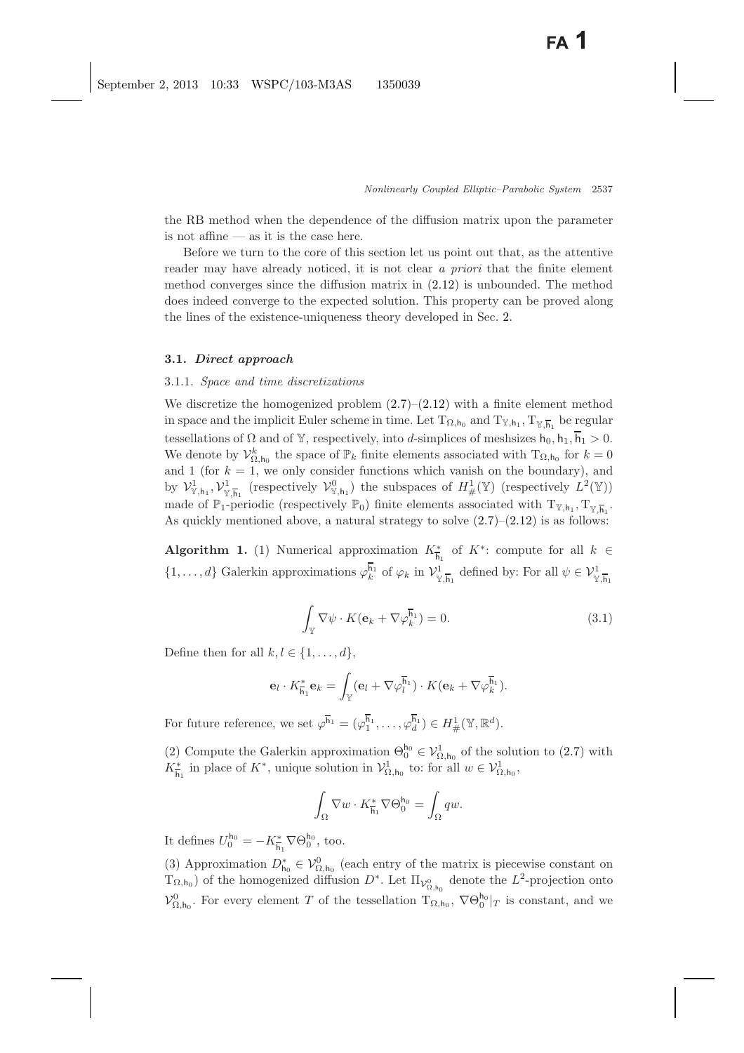the RB method when the dependence of the diffusion matrix upon the parameter is not affine — as it is the case here.

Before we turn to the core of this section let us point out that, as the attentive reader may have already noticed, it is not clear *a priori* that the finite element method converges since the diffusion matrix in [\(2.12\)](#page-6-4) is unbounded. The method does indeed converge to the expected solution. This property can be proved along the lines of the existence-uniqueness theory developed in Sec. [2.](#page-4-8)

#### **3.1.** *Direct approach*

# 3.1.1. *Space and time discretizations*

We discretize the homogenized problem  $(2.7)$ – $(2.12)$  with a finite element method in space and the implicit Euler scheme in time. Let  $T_{\Omega,h_0}$  and  $T_{\mathbb{Y},h_1}, T_{\mathbb{Y},\overline{h}_1}$  be regular tessellations of  $\Omega$  and of Y, respectively, into d-simplices of meshsizes  $h_0, h_1, \overline{h}_1 > 0$ . We denote by  $\mathcal{V}_{\Omega,\mathsf{h}_0}^k$  the space of  $\mathbb{P}_k$  finite elements associated with  $\mathrm{T}_{\Omega,\mathsf{h}_0}$  for  $k=0$ and 1 (for  $k = 1$ , we only consider functions which vanish on the boundary), and by  $\mathcal{V}_{\mathbb{Y},h_1}^1, \mathcal{V}_{\mathbb{Y},h_1}^1$  (respectively  $\mathcal{V}_{\mathbb{Y},h_1}^0$ ) the subspaces of  $H^1_{\#}(\mathbb{Y})$  (respectively  $L^2(\mathbb{Y})$ ) made of  $\mathbb{P}_1$ -periodic (respectively  $\mathbb{P}_0$ ) finite elements associated with  $T_{\mathbb{Y},h_1}, T_{\mathbb{Y},\overline{h}_1}$ . As quickly mentioned above, a natural strategy to solve  $(2.7)$ – $(2.12)$  is as follows:

<span id="page-14-2"></span><span id="page-14-1"></span><span id="page-14-0"></span>**Algorithm 1.** (1) Numerical approximation  $K^*_{\overline{h}_1}$  of  $K^*$ : compute for all  $k \in$  $\{1,\ldots,d\}$  Galerkin approximations  $\varphi_k^{h_1}$  of  $\varphi_k$  in  $\mathcal{V}_{\mathbb{Y},\overline{h}_1}^1$  defined by: For all  $\psi \in \mathcal{V}_{\mathbb{Y},\overline{h}_1}^1$ 

$$
\int_{\mathbb{Y}} \nabla \psi \cdot K(\mathbf{e}_k + \nabla \varphi_k^{\overline{\mathfrak{h}}_1}) = 0.
$$
\n(3.1)

Define then for all  $k, l \in \{1, ..., d\}$ ,

$$
\mathbf{e}_{l} \cdot K_{\overline{\mathbf{h}}_{1}}^* \mathbf{e}_{k} = \int_{\mathbb{Y}} (\mathbf{e}_{l} + \nabla \varphi_{l}^{\overline{\mathbf{h}}_{1}}) \cdot K(\mathbf{e}_{k} + \nabla \varphi_{k}^{\overline{\mathbf{h}}_{1}}).
$$

For future reference, we set  $\varphi^{\overline{h}_1} = (\varphi_1^{h_1}, \dots, \varphi_d^{h_1}) \in H^1_{\#}(\mathbb{Y}, \mathbb{R}^d)$ .

(2) Compute the Galerkin approximation  $\Theta_0^{h_0} \in V_{\Omega,h_0}^1$  of the solution to [\(2.7\)](#page-5-3) with  $K_{\overline{\mathsf{h}}_1}^*$  in place of  $K^*$ , unique solution in  $\mathcal{V}_{\Omega,\mathsf{h}_0}^1$  to: for all  $w \in \mathcal{V}_{\Omega,\mathsf{h}_0}^1$ ,

$$
\int_{\Omega} \nabla w \cdot K^*_{\overline{\mathsf{h}}_1} \nabla \Theta_0^{\mathsf{h}_0} = \int_{\Omega} q w.
$$

It defines  $U_0^{\mathsf{h}_0} = -K_{\overline{\mathsf{h}}_1}^* \nabla \Theta_0^{\mathsf{h}_0}$ , too.

(3) Approximation  $D_{h_0}^* \in V^0_{\Omega,h_0}$  (each entry of the matrix is piecewise constant on  $T_{\Omega, h_0}$ ) of the homogenized diffusion  $D^*$ . Let  $\Pi_{\mathcal{V}_{\Omega, h_0}^0}$  denote the  $L^2$ -projection onto  $\mathcal{V}_{\Omega,h_0}^0$ . For every element T of the tessellation  $T_{\Omega,h_0}$ ,  $\nabla\Theta_0^{h_0}|_T$  is constant, and we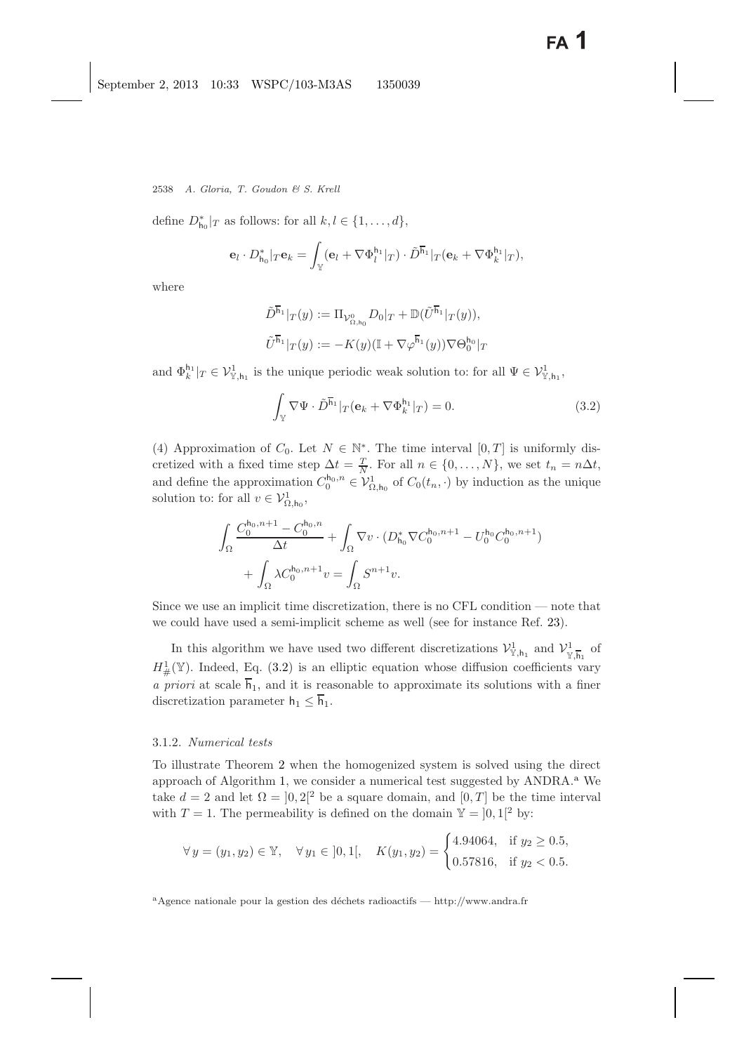2538 *A. Gloria, T. Goudon & S. Krell*

define  $D_{h_0}^*|_T$  as follows: for all  $k, l \in \{1, ..., d\}$ ,

$$
\mathbf{e}_{l} \cdot D_{\mathsf{h}_{0}}^{*} \vert_{T} \mathbf{e}_{k} = \int_{\mathbb{Y}} (\mathbf{e}_{l} + \nabla \Phi_{l}^{\mathsf{h}_{1}} \vert_{T}) \cdot \tilde{D}^{\overline{\mathsf{h}}_{1}} \vert_{T} (\mathbf{e}_{k} + \nabla \Phi_{k}^{\mathsf{h}_{1}} \vert_{T}),
$$

where

$$
\tilde{D}^{\overline{h}_1}|_{T}(y) := \Pi_{\mathcal{V}_{\Omega, h_0}^0} D_0|_{T} + \mathbb{D}(\tilde{U}^{\overline{h}_1}|_{T}(y)),
$$
  

$$
\tilde{U}^{\overline{h}_1}|_{T}(y) := -K(y)(\mathbb{I} + \nabla \varphi^{\overline{h}_1}(y))\nabla \Theta_0^{h_0}|_{T}
$$

and  $\Phi_k^{h_1}|_T \in \mathcal{V}_{\mathbb{Y},h_1}^1$  is the unique periodic weak solution to: for all  $\Psi \in \mathcal{V}_{\mathbb{Y},h_1}^1$ ,

<span id="page-15-0"></span>
$$
\int_{\mathbb{Y}} \nabla \Psi \cdot \tilde{D}^{\overline{\mathsf{h}}_1}|_{T}(\mathbf{e}_k + \nabla \Phi_k^{\mathsf{h}_1}|_{T}) = 0.
$$
\n(3.2)

(4) Approximation of  $C_0$ . Let  $N \in \mathbb{N}^*$ . The time interval  $[0, T]$  is uniformly discretized with a fixed time step  $\Delta t = \frac{T}{N}$ . For all  $n \in \{0, ..., N\}$ , we set  $t_n = n\Delta t$ , and define the approximation  $C_0^{h_0,n} \in V^1_{\Omega,h_0}$  of  $C_0(t_n, \cdot)$  by induction as the unique solution to: for all  $v \in \mathcal{V}_{\Omega,\mathsf{h}_0}^1$ ,

$$
\int_{\Omega} \frac{C_0^{h_0, n+1} - C_0^{h_0, n}}{\Delta t} + \int_{\Omega} \nabla v \cdot (D_{h_0}^* \nabla C_0^{h_0, n+1} - U_0^{h_0} C_0^{h_0, n+1}) + \int_{\Omega} \lambda C_0^{h_0, n+1} v = \int_{\Omega} S^{n+1} v.
$$

Since we use an implicit time discretization, there is no CFL condition — note that we could have used a semi-implicit scheme as well (see for instance Ref. [23\)](#page-37-6).

In this algorithm we have used two different discretizations  $\mathcal{V}_{\mathbb{Y},h_1}^1$  and  $\mathcal{V}_{\mathbb{Y},\overline{h}_1}^1$  of  $H^1_{\#}(\mathbb{Y})$ . Indeed, Eq. [\(3.2\)](#page-15-0) is an elliptic equation whose diffusion coefficients vary *a priori* at scale  $\overline{h}_1$ , and it is reasonable to approximate its solutions with a finer discretization parameter  $h_1 \n\t\leq \overline{h}_1$ .

#### 3.1.2. *Numerical tests*

To illustrate Theorem [2](#page-6-3) when the homogenized system is solved using the direct approach of Algorithm [1,](#page-14-0) we consider [a](#page-15-1) numerical test suggested by ANDRA.<sup>a</sup> We take  $d = 2$  and let  $\Omega = [0, 2]^2$  be a square domain, and  $[0, T]$  be the time interval with  $T = 1$ . The permeability is defined on the domain  $\mathbb{Y} = [0, 1]^2$  by:

$$
\forall y = (y_1, y_2) \in \mathbb{Y}, \quad \forall y_1 \in \left]0, 1\right], \quad K(y_1, y_2) = \begin{cases} 4.94064, & \text{if } y_2 \ge 0.5, \\ 0.57816, & \text{if } y_2 < 0.5. \end{cases}
$$

<span id="page-15-1"></span><sup>a</sup>Agence nationale pour la gestion des déchets radioactifs — http://www.andra.fr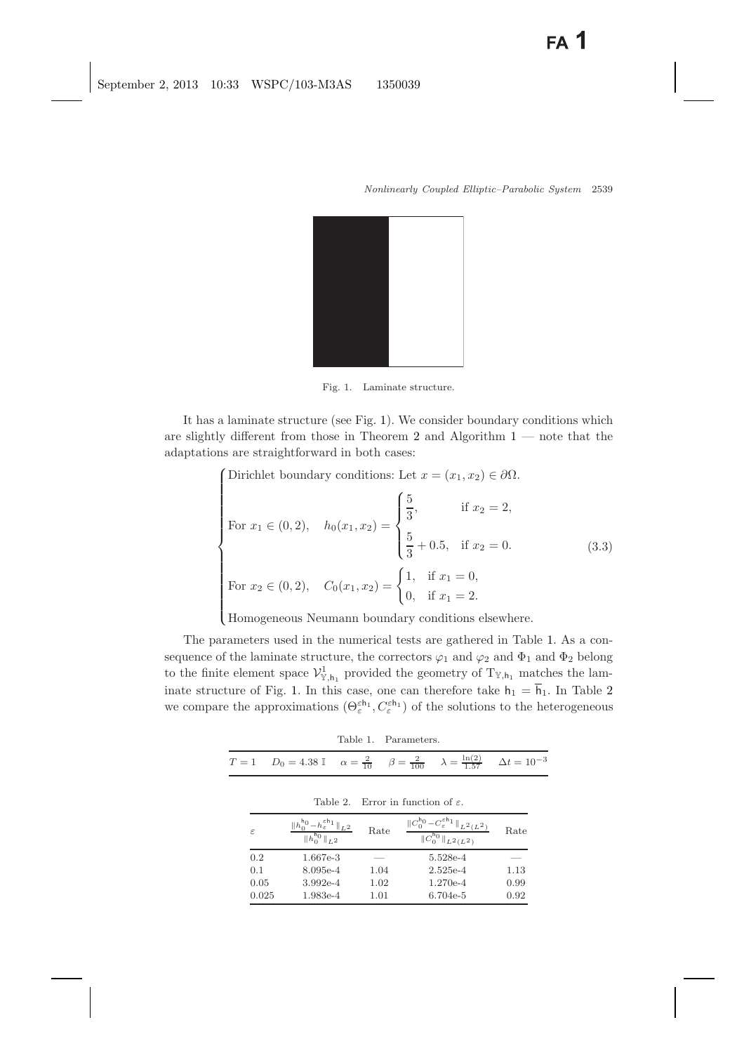

Fig. 1. Laminate structure.

It has a laminate structure (see Fig. [1\)](#page-16-0). We consider boundary conditions which are slightly different from those in Theorem [2](#page-6-1) and Algorithm [1](#page-14-1) — note that the adaptations are straightforward in both cases:

> <span id="page-16-0"></span> $\sqrt{ }$ Dirichlet boundary conditions: Let  $x = (x_1, x_2) \in \partial \Omega$ .

From the standard differential equation, we have:

\n
$$
\begin{aligned}\n\text{For } x_1 \in (0, 2), \quad h_0(x_1, x_2) = \begin{cases}\n\frac{5}{3}, & \text{if } x_2 = 2, \\
\frac{5}{3} + 0.5, & \text{if } x_2 = 0.\n\end{cases}\n\end{aligned}
$$
\nFor  $x_2 \in (0, 2), \quad C_0(x_1, x_2) = \begin{cases}\n1, & \text{if } x_1 = 0, \\
0, & \text{if } x_1 = 2.\n\end{cases}$ 

\nHomogeneous Neumann boundary conditions elsewhere.

Homogeneous Neumann boundary conditions elsewhere.

The parameters used in the numerical tests are gathered in Table [1.](#page-16-1) As a consequence of the laminate structure, the correctors  $\varphi_1$  and  $\varphi_2$  and  $\Phi_1$  and  $\Phi_2$  belong to the finite element space  $\mathcal{V}_{\mathbb{Y},h_1}^1$  provided the geometry of  $T_{\mathbb{Y},h_1}$  matches the lam-inate structure of Fig. [1.](#page-16-0) In this case, one can therefore take  $h_1 = \overline{h}_1$ . In Table [2](#page-16-2) we compare the approximations  $(\Theta_{\varepsilon}^{\varepsilon h_1}, C_{\varepsilon}^{\varepsilon h_1})$  of the solutions to the heterogeneous

<span id="page-16-4"></span><span id="page-16-1"></span>

| $T = 1$ $D_0 = 4.38$ $\mathbb{I}$ $\alpha = \frac{2}{10}$ $\beta = \frac{2}{100}$ $\lambda = \frac{\ln(2)}{1.57}$ $\Delta t = 10^{-3}$ |  |  |
|----------------------------------------------------------------------------------------------------------------------------------------|--|--|
|----------------------------------------------------------------------------------------------------------------------------------------|--|--|

#### <span id="page-16-3"></span>Table 2. Error in function of  $\varepsilon$ .

<span id="page-16-2"></span>

| ε     | r <sub>L</sub><br>$\parallel$ r 2 | Rate | $-C_{\varepsilon}^{\varepsilon h_1} \Vert_{L^2(L^2)}$<br>$  C_0^{h_0}  $<br>$L^2(L^2)$ | Rate |
|-------|-----------------------------------|------|----------------------------------------------------------------------------------------|------|
| 0.2   | $1.667e-3$                        |      | 5.528e-4                                                                               |      |
| 0.1   | 8.095e-4                          | 1.04 | $2.525e-4$                                                                             | 1.13 |
| 0.05  | $3.992e-4$                        | 1.02 | 1.270e-4                                                                               | 0.99 |
| 0.025 | 1.983e-4                          | 1.01 | $6.704e-5$                                                                             | 0.92 |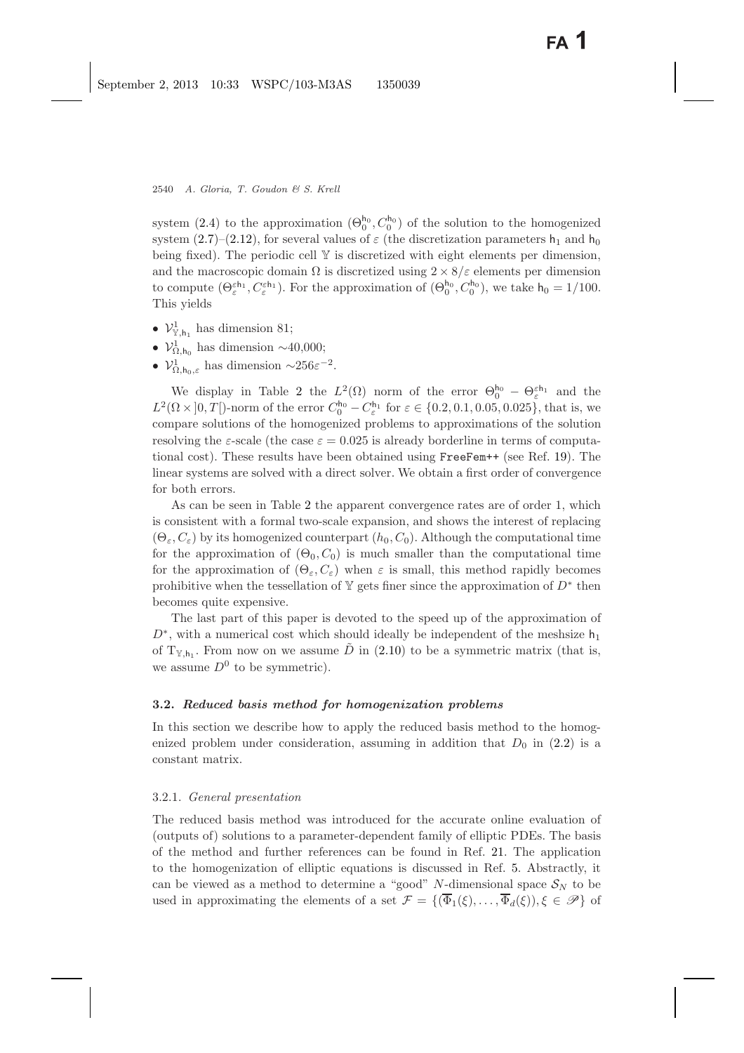system [\(2.4\)](#page-5-1) to the approximation  $(\Theta_0^{\mathsf{h}_0}, C_0^{\mathsf{h}_0})$  of the solution to the homogenized system  $(2.7)$ – $(2.12)$ , for several values of  $\varepsilon$  (the discretization parameters  $h_1$  and  $h_0$ being fixed). The periodic cell Y is discretized with eight elements per dimension, and the macroscopic domain  $\Omega$  is discretized using  $2 \times 8/\varepsilon$  elements per dimension to compute  $(\Theta_{\varepsilon}^{\varepsilon h_1}, C_{\varepsilon}^{\varepsilon h_1})$ . For the approximation of  $(\Theta_0^{h_0}, C_0^{h_0})$ , we take  $h_0 = 1/100$ . This yields

- $\mathcal{V}_{\mathbb{Y},h_1}^1$  has dimension 81;
- $\mathcal{V}_{\Omega,\mathsf{h}_0}^1$  has dimension ~40,000;
- $\mathcal{V}_{\Omega,h_0,\varepsilon}^1$  has dimension  $\sim 256\varepsilon^{-2}$ .

We display in Table [2](#page-16-3) the  $L^2(\Omega)$  norm of the error  $\Theta_0^{h_0} - \Theta_{\varepsilon}^{\varepsilon h_1}$  and the  $L^2(\Omega \times ]0,T[$ )-norm of the error  $C_0^{\mathsf{h}_0} - C_{\varepsilon}^{\mathsf{h}_1}$  for  $\varepsilon \in \{0.2, 0.1, 0.05, 0.025\}$ , that is, we compare solutions of the homogenized problems to approximations of the solution resolving the  $\varepsilon$ -scale (the case  $\varepsilon = 0.025$  is already borderline in terms of computational cost). These results have been obtained using FreeFem++ (see Ref. [19\)](#page-36-13). The linear systems are solved with a direct solver. We obtain a first order of convergence for both errors.

As can be seen in Table [2](#page-16-3) the apparent convergence rates are of order 1, which is consistent with a formal two-scale expansion, and shows the interest of replacing  $(\Theta_{\varepsilon}, C_{\varepsilon})$  by its homogenized counterpart  $(h_0, C_0)$ . Although the computational time for the approximation of  $(\Theta_0, C_0)$  is much smaller than the computational time for the approximation of  $(\Theta_{\varepsilon}, C_{\varepsilon})$  when  $\varepsilon$  is small, this method rapidly becomes prohibitive when the tessellation of Y gets finer since the approximation of  $D^*$  then becomes quite expensive.

The last part of this paper is devoted to the speed up of the approximation of  $D^*$ , with a numerical cost which should ideally be independent of the meshsize  $h_1$ of  $T_{Y,h_1}$ . From now on we assume D in [\(2.10\)](#page-6-5) to be a symmetric matrix (that is, we assume  $D^0$  to be symmetric).

### **3.2.** *Reduced basis method for homogenization problems*

In this section we describe how to apply the reduced basis method to the homogenized problem under consideration, assuming in addition that  $D_0$  in [\(2.2\)](#page-4-9) is a constant matrix.

### 3.2.1. *General presentation*

The reduced basis method was introduced for the accurate online evaluation of (outputs of) solutions to a parameter-dependent family of elliptic PDEs. The basis of the method and further references can be found in Ref. [21.](#page-37-0) The application to the homogenization of elliptic equations is discussed in Ref. [5.](#page-36-6) Abstractly, it can be viewed as a method to determine a "good" N-dimensional space  $S_N$  to be used in approximating the elements of a set  $\mathcal{F} = \{(\overline{\Phi}_1(\xi), \ldots, \overline{\Phi}_d(\xi)), \xi \in \mathcal{P}\}\$  of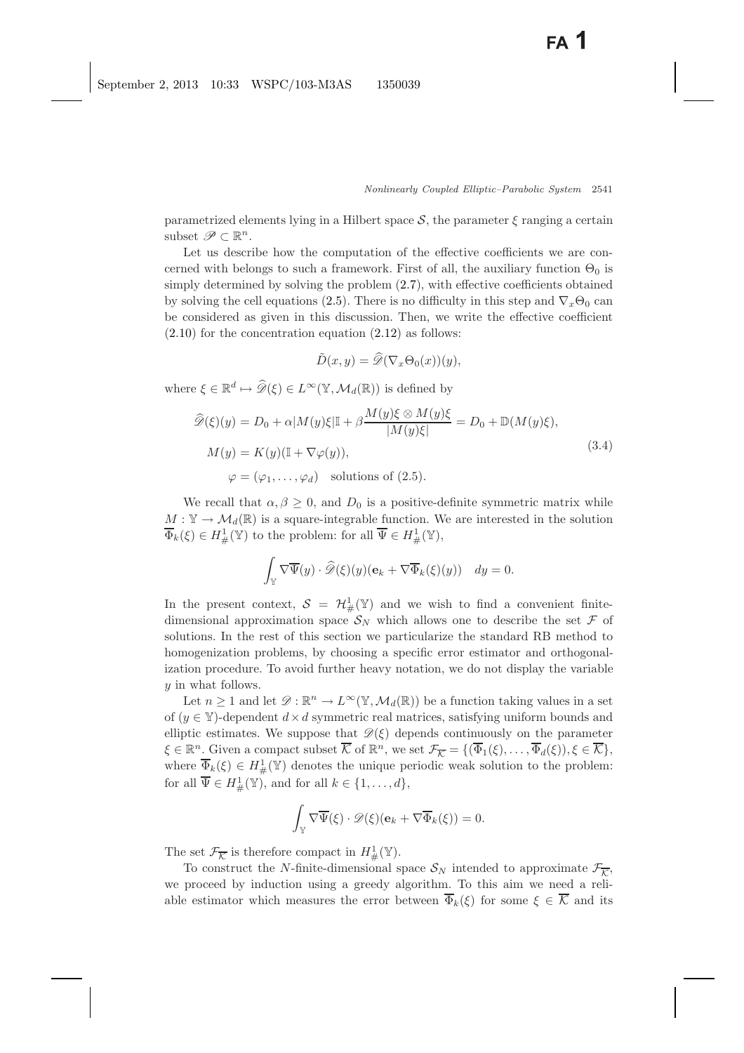parametrized elements lying in a Hilbert space  $S$ , the parameter  $\xi$  ranging a certain subset  $\mathscr{P} \subset \mathbb{R}^n$ .

Let us describe how the computation of the effective coefficients we are concerned with belongs to such a framework. First of all, the auxiliary function  $\Theta_0$  is simply determined by solving the problem [\(2.7\)](#page-5-3), with effective coefficients obtained by solving the cell equations [\(2.5\)](#page-5-8). There is no difficulty in this step and  $\nabla_x\Theta_0$  can be considered as given in this discussion. Then, we write the effective coefficient  $(2.10)$  for the concentration equation  $(2.12)$  as follows:

<span id="page-18-1"></span><span id="page-18-0"></span>
$$
\tilde{D}(x,y) = \widehat{\mathscr{D}}(\nabla_x \Theta_0(x))(y),
$$

where  $\xi \in \mathbb{R}^d \mapsto \widehat{\mathscr{D}}(\xi) \in L^\infty(\mathbb{Y}, \mathcal{M}_d(\mathbb{R}))$  is defined by

$$
\widehat{\mathscr{D}}(\xi)(y) = D_0 + \alpha |M(y)\xi|\mathbb{I} + \beta \frac{M(y)\xi \otimes M(y)\xi}{|M(y)\xi|} = D_0 + \mathbb{D}(M(y)\xi),
$$
  
\n
$$
M(y) = K(y)(\mathbb{I} + \nabla \varphi(y)),
$$
  
\n
$$
\varphi = (\varphi_1, \dots, \varphi_d) \quad \text{solutions of (2.5).}
$$
\n(3.4)

We recall that  $\alpha, \beta \geq 0$ , and  $D_0$  is a positive-definite symmetric matrix while  $M : \mathbb{Y} \to \mathcal{M}_d(\mathbb{R})$  is a square-integrable function. We are interested in the solution  $\overline{\Phi}_k(\xi) \in H^1_{\#}(\mathbb{Y})$  to the problem: for all  $\overline{\Psi} \in H^1_{\#}(\mathbb{Y}),$ 

$$
\int_{\mathbb{Y}} \nabla \overline{\Psi}(y) \cdot \widehat{\mathscr{D}}(\xi)(y)(\mathbf{e}_k + \nabla \overline{\Phi}_k(\xi)(y)) \, dy = 0.
$$

In the present context,  $S = H^1_{\#}(\mathbb{Y})$  and we wish to find a convenient finitedimensional approximation space  $\mathcal{S}_N$  which allows one to describe the set  $\mathcal F$  of solutions. In the rest of this section we particularize the standard RB method to homogenization problems, by choosing a specific error estimator and orthogonalization procedure. To avoid further heavy notation, we do not display the variable y in what follows.

Let  $n \geq 1$  and let  $\mathscr{D}: \mathbb{R}^n \to L^{\infty}(\mathbb{Y}, \mathcal{M}_d(\mathbb{R}))$  be a function taking values in a set of (y  $\in \mathbb{Y}$ )-dependent  $d \times d$  symmetric real matrices, satisfying uniform bounds and elliptic estimates. We suppose that  $\mathscr{D}(\xi)$  depends continuously on the parameter  $\xi \in \mathbb{R}^n$ . Given a compact subset  $\overline{\mathcal{K}}$  of  $\mathbb{R}^n$ , we set  $\mathcal{F}_{\overline{\mathcal{K}}} = \{(\overline{\Phi}_1(\xi), \ldots, \overline{\Phi}_d(\xi)), \xi \in \overline{\mathcal{K}}\},\$ where  $\overline{\Phi}_k(\xi) \in H^1_{\#}(\mathbb{Y})$  denotes the unique periodic weak solution to the problem: for all  $\overline{\Psi} \in H^1_{\#}(\mathbb{Y})$ , and for all  $k \in \{1, \ldots, d\}$ ,

$$
\int_{\mathbb{Y}} \nabla \overline{\Psi}(\xi) \cdot \mathscr{D}(\xi)(\mathbf{e}_k + \nabla \overline{\Phi}_k(\xi)) = 0.
$$

The set  $\mathcal{F}_{\overline{\mathcal{K}}}$  is therefore compact in  $H^1_{\#}(\mathbb{Y})$ .

To construct the N-finite-dimensional space  $S_N$  intended to approximate  $\mathcal{F}_{\overline{K}}$ , we proceed by induction using a greedy algorithm. To this aim we need a reliable estimator which measures the error between  $\overline{\Phi}_k(\xi)$  for some  $\xi \in \overline{\mathcal{K}}$  and its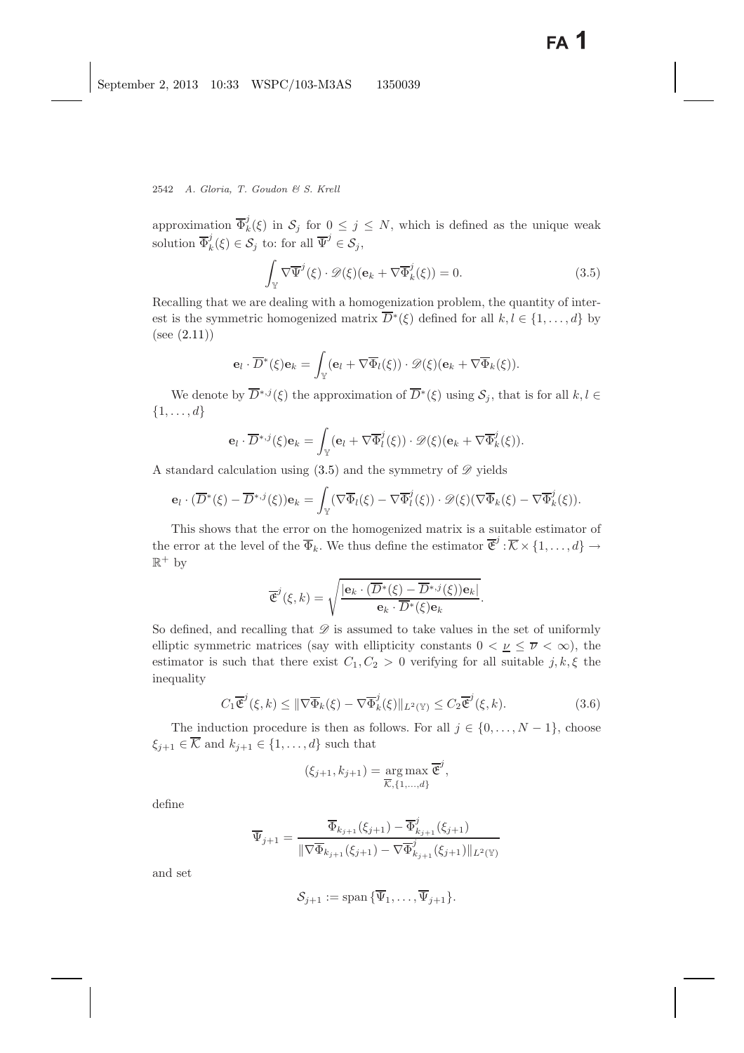2542 *A. Gloria, T. Goudon & S. Krell*

approximation  $\overline{\Phi}_k^j(\xi)$  in  $\mathcal{S}_j$  for  $0 \leq j \leq N$ , which is defined as the unique weak solution  $\overline{\Phi}_k^j(\xi) \in \mathcal{S}_j$  to: for all  $\overline{\Psi}^j \in \mathcal{S}_j$ ,

<span id="page-19-0"></span>
$$
\int_{\mathbb{Y}} \nabla \overline{\Psi}^{j}(\xi) \cdot \mathscr{D}(\xi)(\mathbf{e}_{k} + \nabla \overline{\Phi}_{k}^{j}(\xi)) = 0.
$$
\n(3.5)

Recalling that we are dealing with a homogenization problem, the quantity of interest is the symmetric homogenized matrix  $\overline{D}^*(\xi)$  defined for all  $k, l \in \{1, ..., d\}$  by (see [\(2.11\)](#page-6-7))

$$
\mathbf{e}_l \cdot \overline{D}^*(\xi) \mathbf{e}_k = \int_{\mathbb{Y}} (\mathbf{e}_l + \nabla \overline{\Phi}_l(\xi)) \cdot \mathscr{D}(\xi) (\mathbf{e}_k + \nabla \overline{\Phi}_k(\xi)).
$$

We denote by  $\overline{D}^{*,j}(\xi)$  the approximation of  $\overline{D}^{*}(\xi)$  using  $\mathcal{S}_i$ , that is for all  $k,l \in$  $\{1,\ldots,d\}$ 

$$
\mathbf{e}_l \cdot \overline{D}^{*,j}(\xi) \mathbf{e}_k = \int_{\mathbb{Y}} (\mathbf{e}_l + \nabla \overline{\Phi}_l^j(\xi)) \cdot \mathscr{D}(\xi) (\mathbf{e}_k + \nabla \overline{\Phi}_k^j(\xi)).
$$

A standard calculation using [\(3.5\)](#page-19-0) and the symmetry of *D* yields

$$
\mathbf{e}_l \cdot (\overline{D}^*(\xi) - \overline{D}^{*,j}(\xi)) \mathbf{e}_k = \int_{\mathbb{Y}} (\nabla \overline{\Phi}_l(\xi) - \nabla \overline{\Phi}_l^j(\xi)) \cdot \mathscr{D}(\xi) (\nabla \overline{\Phi}_k(\xi) - \nabla \overline{\Phi}_k^j(\xi)).
$$

This shows that the error on the homogenized matrix is a suitable estimator of the error at the level of the  $\overline{\Phi}_k$ . We thus define the estimator  $\overline{\mathfrak{E}}^j : \overline{\mathcal{K}} \times \{1, \ldots, d\} \to$  $\mathbb{R}^+$  by

$$
\overline{\mathfrak{E}}^{j}(\xi,k)=\sqrt{\frac{|\mathbf{e}_{k}\cdot(\overline{D}^{*}(\xi)-\overline{D}^{*,j}(\xi))\mathbf{e}_{k}|}{\mathbf{e}_{k}\cdot\overline{D}^{*}(\xi)\mathbf{e}_{k}}}
$$

<span id="page-19-1"></span>So defined, and recalling that  $\mathscr D$  is assumed to take values in the set of uniformly elliptic symmetric matrices (say with ellipticity constants  $0 < \nu \leq \overline{\nu} < \infty$ ), the estimator is such that there exist  $C_1, C_2 > 0$  verifying for all suitable j, k,  $\xi$  the inequality

$$
C_1 \overline{\mathfrak{E}}^j(\xi, k) \leq \|\nabla \overline{\Phi}_k(\xi) - \nabla \overline{\Phi}_k^j(\xi)\|_{L^2(\mathbb{Y})} \leq C_2 \overline{\mathfrak{E}}^j(\xi, k). \tag{3.6}
$$

The induction procedure is then as follows. For all  $j \in \{0, \ldots, N-1\}$ , choose  $\xi_{j+1} \in \overline{\mathcal{K}}$  and  $k_{j+1} \in \{1, \ldots, d\}$  such that

$$
(\xi_{j+1}, k_{j+1}) = \underset{\overline{\mathcal{K}}, \{1, \ldots, d\}}{\arg \max} \overline{\mathfrak{E}}^j,
$$

define

$$
\overline{\Psi}_{j+1} = \frac{\overline{\Phi}_{k_{j+1}}(\xi_{j+1}) - \overline{\Phi}_{k_{j+1}}^j(\xi_{j+1})}{\|\nabla \overline{\Phi}_{k_{j+1}}(\xi_{j+1}) - \nabla \overline{\Phi}_{k_{j+1}}^j(\xi_{j+1})\|_{L^2(\mathbb{Y})}}
$$

and set

$$
\mathcal{S}_{j+1} := \mathrm{span}\,\{\overline{\Psi}_1,\ldots,\overline{\Psi}_{j+1}\}.
$$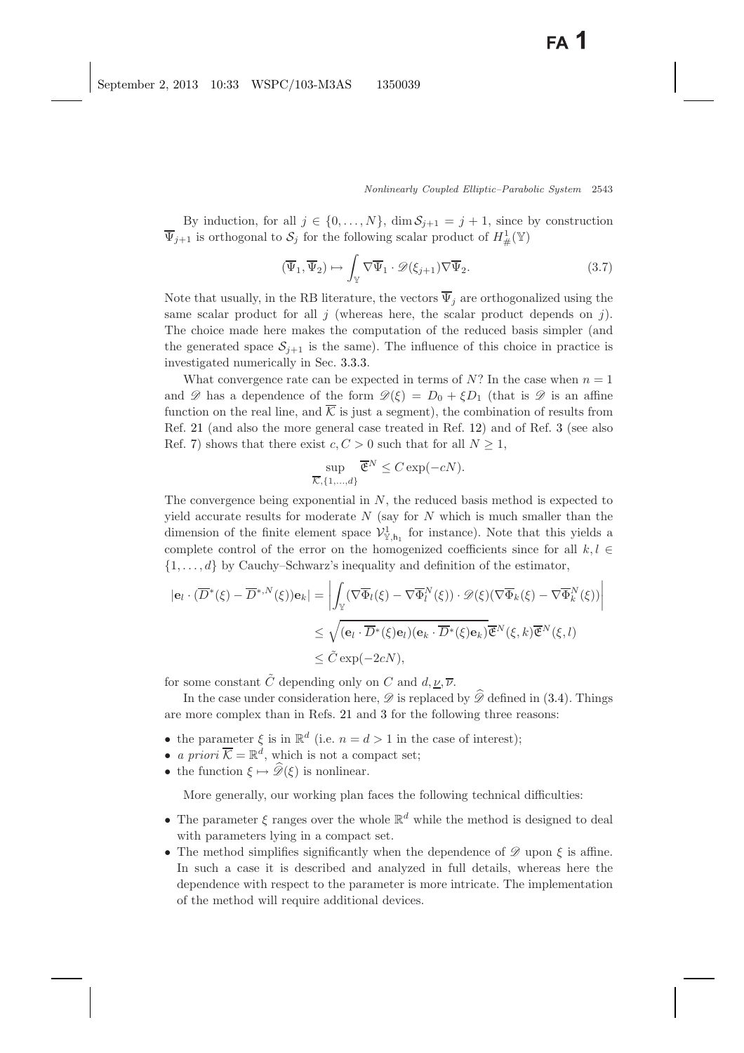By induction, for all  $j \in \{0, ..., N\}$ ,  $\dim S_{j+1} = j+1$ , since by construction  $\overline{\Psi}_{j+1}$  is orthogonal to  $\mathcal{S}_j$  for the following scalar product of  $H^1_{\#}(\mathbb{Y})$ 

<span id="page-20-0"></span>
$$
(\overline{\Psi}_1, \overline{\Psi}_2) \mapsto \int_{\mathbb{Y}} \nabla \overline{\Psi}_1 \cdot \mathscr{D}(\xi_{j+1}) \nabla \overline{\Psi}_2.
$$
 (3.7)

Note that usually, in the RB literature, the vectors  $\overline{\Psi}_i$  are orthogonalized using the same scalar product for all j (whereas here, the scalar product depends on j). The choice made here makes the computation of the reduced basis simpler (and the generated space  $S_{i+1}$  is the same). The influence of this choice in practice is investigated numerically in Sec. [3.3.3.](#page-28-0)

What convergence rate can be expected in terms of  $N$ ? In the case when  $n = 1$ and  $\mathscr{D}$  has a dependence of the form  $\mathscr{D}(\xi) = D_0 + \xi D_1$  (that is  $\mathscr{D}$  is an affine function on the real line, and  $\overline{\mathcal{K}}$  is just a segment), the combination of results from Ref. [21](#page-37-7) (and also the more general case treated in Ref. [12\)](#page-36-14) and of Ref. [3](#page-36-15) (see also Ref. [7\)](#page-36-16) shows that there exist  $c, C > 0$  such that for all  $N \geq 1$ ,

$$
\sup_{\overline{\mathcal{K}}, \{1,\dots,d\}} \overline{\mathfrak{E}}^N \leq C \exp(-cN).
$$

The convergence being exponential in  $N$ , the reduced basis method is expected to yield accurate results for moderate  $N$  (say for  $N$  which is much smaller than the dimension of the finite element space  $\mathcal{V}_{\mathbb{Y},h_1}^1$  for instance). Note that this yields a complete control of the error on the homogenized coefficients since for all  $k, l \in$  $\{1,\ldots,d\}$  by Cauchy–Schwarz's inequality and definition of the estimator,

$$
\begin{split} |\mathbf{e}_{l} \cdot (\overline{D}^{*}(\xi) - \overline{D}^{*,N}(\xi))\mathbf{e}_{k}| &= \left| \int_{\mathbb{Y}} (\nabla \overline{\Phi}_{l}(\xi) - \nabla \overline{\Phi}_{l}^{N}(\xi)) \cdot \mathscr{D}(\xi)(\nabla \overline{\Phi}_{k}(\xi) - \nabla \overline{\Phi}_{k}^{N}(\xi)) \right| \\ &\leq \sqrt{(\mathbf{e}_{l} \cdot \overline{D}^{*}(\xi)\mathbf{e}_{l})(\mathbf{e}_{k} \cdot \overline{D}^{*}(\xi)\mathbf{e}_{k})} \overline{\mathfrak{E}}^{N}(\xi, k) \overline{\mathfrak{E}}^{N}(\xi, l) \\ &\leq \tilde{C} \exp(-2cN), \end{split}
$$

for some constant  $\tilde{C}$  depending only on C and  $d, \underline{\nu}, \overline{\nu}$ .

In the case under consideration here,  $\mathscr D$  is replaced by  $\widehat{\mathscr D}$  defined in [\(3.4\)](#page-18-0). Things are more complex than in Refs. [21](#page-37-7) and [3](#page-36-15) for the following three reasons:

- the parameter  $\xi$  is in  $\mathbb{R}^d$  (i.e.  $n = d > 1$  in the case of interest);
- *a priori*  $\overline{\mathcal{K}} = \mathbb{R}^d$ , which is not a compact set;
- the function  $\xi \mapsto \widehat{\mathscr{D}}(\xi)$  is nonlinear.

More generally, our working plan faces the following technical difficulties:

- The parameter  $\xi$  ranges over the whole  $\mathbb{R}^d$  while the method is designed to deal with parameters lying in a compact set.
- The method simplifies significantly when the dependence of  $\mathscr{D}$  upon  $\xi$  is affine. In such a case it is described and analyzed in full details, whereas here the dependence with respect to the parameter is more intricate. The implementation of the method will require additional devices.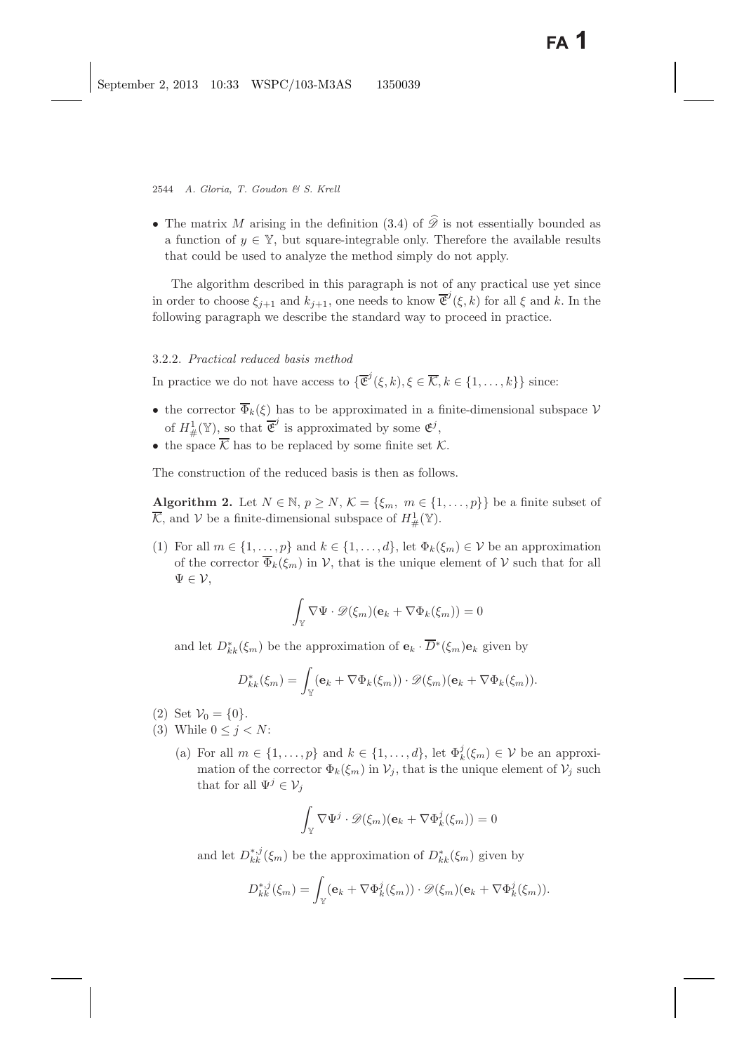• The matrix M arising in the definition  $(3.4)$  of  $\widehat{\mathscr{D}}$  is not essentially bounded as a function of  $y \in \mathbb{Y}$ , but square-integrable only. Therefore the available results that could be used to analyze the method simply do not apply.

The algorithm described in this paragraph is not of any practical use yet since in order to choose  $\xi_{j+1}$  and  $k_{j+1}$ , one needs to know  $\overline{\mathfrak{E}}^j(\xi, k)$  for all  $\xi$  and k. In the following paragraph we describe the standard way to proceed in practice.

# 3.2.2. *Practical reduced basis method*

In practice we do not have access to  $\{ \overline{\mathfrak{E}}^j(\xi, k), \xi \in \overline{\mathcal{K}}, k \in \{1, \ldots, k\} \}$  since:

- the corrector  $\overline{\Phi}_k(\xi)$  has to be approximated in a finite-dimensional subspace  $\mathcal V$ of  $H^1_{\#}(\mathbb{Y})$ , so that  $\overline{\mathfrak{E}}^j$  is approximated by some  $\mathfrak{E}^j$ ,
- the space  $\overline{\mathcal{K}}$  has to be replaced by some finite set  $\mathcal{K}$ .

<span id="page-21-1"></span><span id="page-21-0"></span>The construction of the reduced basis is then as follows.

**Algorithm 2.** Let  $N \in \mathbb{N}$ ,  $p \geq N$ ,  $\mathcal{K} = {\{\xi_m, m \in \{1, ..., p\}\}}$  be a finite subset of  $\overline{\mathcal{K}}$ , and  $\mathcal{V}$  be a finite-dimensional subspace of  $H^1_{\#}(\mathbb{Y})$ .

(1) For all  $m \in \{1, ..., p\}$  and  $k \in \{1, ..., d\}$ , let  $\Phi_k(\xi_m) \in \mathcal{V}$  be an approximation of the corrector  $\overline{\Phi}_k(\xi_m)$  in  $\mathcal V$ , that is the unique element of  $\mathcal V$  such that for all  $\Psi \in \mathcal{V},$ 

$$
\int_{\mathbb{Y}} \nabla \Psi \cdot \mathscr{D}(\xi_m)(\mathbf{e}_k + \nabla \Phi_k(\xi_m)) = 0
$$

and let  $D_{kk}^*(\xi_m)$  be the approximation of  $\mathbf{e}_k \cdot \overline{D}^*(\xi_m) \mathbf{e}_k$  given by

$$
D_{kk}^*(\xi_m) = \int_{\mathbb{Y}} (\mathbf{e}_k + \nabla \Phi_k(\xi_m)) \cdot \mathscr{D}(\xi_m)(\mathbf{e}_k + \nabla \Phi_k(\xi_m)).
$$

(2) Set  $\mathcal{V}_0 = \{0\}.$ 

- (3) While  $0 \leq j \leq N$ :
	- (a) For all  $m \in \{1, ..., p\}$  and  $k \in \{1, ..., d\}$ , let  $\Phi_k^j(\xi_m) \in \mathcal{V}$  be an approximation of the corrector  $\Phi_k(\xi_m)$  in  $\mathcal{V}_j$ , that is the unique element of  $\mathcal{V}_j$  such that for all  $\Psi^j \in \mathcal{V}_j$

$$
\int_{\mathbb{Y}} \nabla \Psi^{j} \cdot \mathscr{D}(\xi_{m}) (\mathbf{e}_{k} + \nabla \Phi_{k}^{j}(\xi_{m})) = 0
$$

and let  $D_{kk}^{*,j}(\xi_m)$  be the approximation of  $D_{kk}^{*}(\xi_m)$  given by

$$
D_{kk}^{*,j}(\xi_m) = \int_{\mathbb{Y}} (\mathbf{e}_k + \nabla \Phi_k^j(\xi_m)) \cdot \mathscr{D}(\xi_m) (\mathbf{e}_k + \nabla \Phi_k^j(\xi_m)).
$$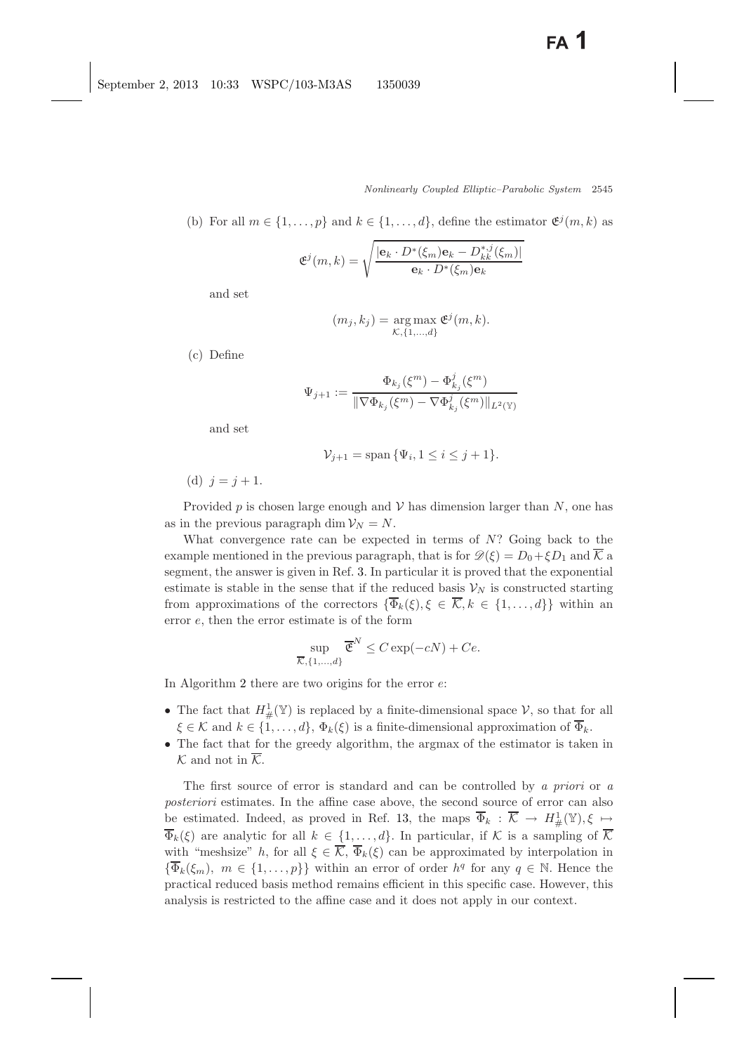(b) For all  $m \in \{1, ..., p\}$  and  $k \in \{1, ..., d\}$ , define the estimator  $\mathfrak{E}^j(m, k)$  as

$$
\mathfrak{E}^{j}(m,k) = \sqrt{\frac{|\mathbf{e}_k \cdot D^*(\xi_m)\mathbf{e}_k - D_{kk}^{*,j}(\xi_m)|}{\mathbf{e}_k \cdot D^*(\xi_m)\mathbf{e}_k}}
$$

and set

$$
(m_j, k_j) = \underset{\mathcal{K}, \{1, \ldots, d\}}{\arg \max} \mathfrak{E}^j(m, k).
$$

(c) Define

$$
\Psi_{j+1} := \frac{\Phi_{k_j}(\xi^m) - \Phi_{k_j}^j(\xi^m)}{\|\nabla \Phi_{k_j}(\xi^m) - \nabla \Phi_{k_j}^j(\xi^m)\|_{L^2(\mathbb{Y})}}
$$

and set

$$
\mathcal{V}_{j+1} = \text{span}\,\{\Psi_i, 1 \le i \le j+1\}.
$$

(d)  $j = j + 1$ .

Provided  $p$  is chosen large enough and  $V$  has dimension larger than  $N$ , one has as in the previous paragraph dim  $\mathcal{V}_N = N$ .

What convergence rate can be expected in terms of  $N$ ? Going back to the example mentioned in the previous paragraph, that is for  $\mathscr{D}(\xi) = D_0 + \xi D_1$  and  $\overline{\mathcal{K}}$  a segment, the answer is given in Ref. [3.](#page-36-15) In particular it is proved that the exponential estimate is stable in the sense that if the reduced basis  $\mathcal{V}_N$  is constructed starting from approximations of the correctors  $\{\overline{\Phi}_k(\xi), \xi \in \overline{\mathcal{K}}, k \in \{1,\ldots,d\}\}\$  within an error e, then the error estimate is of the form

$$
\sup_{\overline{\mathcal{K}}, \{1,\ldots,d\}} \overline{\mathfrak{E}}^N \le C \exp(-cN) + Ce.
$$

In Algorithm [2](#page-21-0) there are two origins for the error e:

- The fact that  $H^1_{\#}(\mathbb{Y})$  is replaced by a finite-dimensional space  $\mathcal{V}$ , so that for all  $\xi \in \mathcal{K}$  and  $k \in \{1, ..., d\}$ ,  $\Phi_k(\xi)$  is a finite-dimensional approximation of  $\overline{\Phi}_k$ .
- The fact that for the greedy algorithm, the argmax of the estimator is taken in  $\mathcal K$  and not in  $\overline{\mathcal K}$ .

The first source of error is standard and can be controlled by *a priori* or *a posteriori* estimates. In the affine case above, the second source of error can also be estimated. Indeed, as proved in Ref. [13,](#page-36-17) the maps  $\overline{\Phi}_k : \overline{\mathcal{K}} \to H^1_{\#}(\mathbb{Y}), \xi \mapsto$  $\overline{\Phi}_k(\xi)$  are analytic for all  $k \in \{1,\ldots,d\}$ . In particular, if K is a sampling of  $\overline{\mathcal{K}}$ with "meshsize" h, for all  $\xi \in \overline{\mathcal{K}}, \overline{\Phi}_k(\xi)$  can be approximated by interpolation in  ${\{\overline{\Phi}_k(\xi_m), m \in \{1,\ldots,p\}\}\}\$  within an error of order  $h^q$  for any  $q \in \mathbb{N}$ . Hence the practical reduced basis method remains efficient in this specific case. However, this analysis is restricted to the affine case and it does not apply in our context.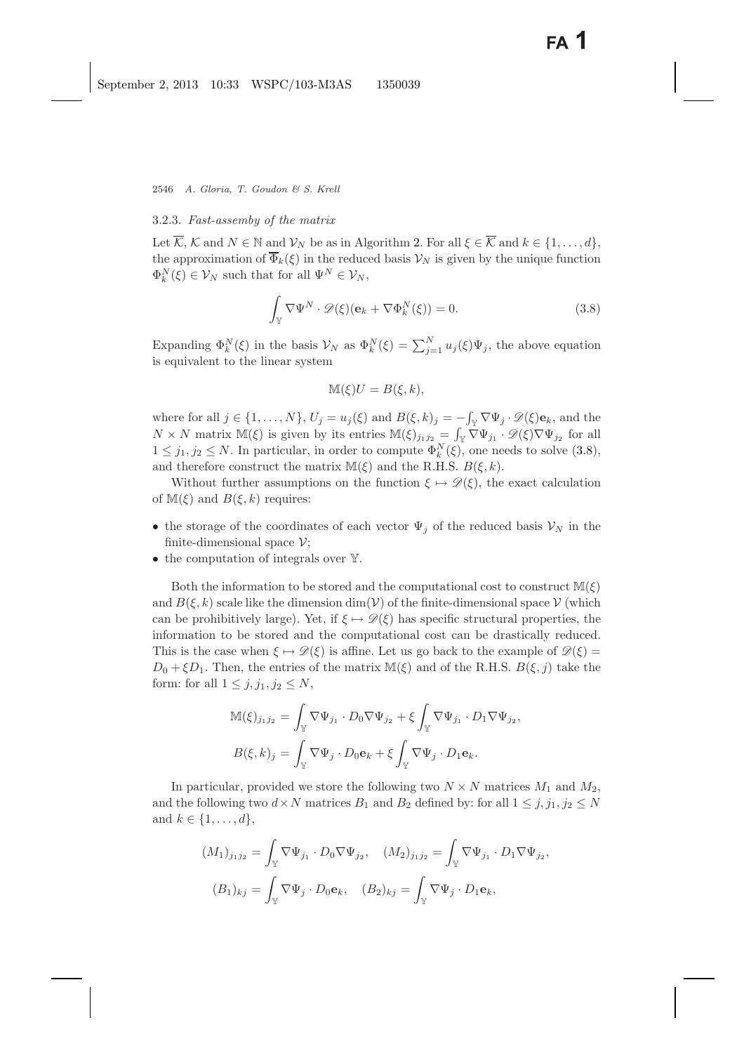#### 2546 *A. Gloria, T. Goudon & S. Krell*

#### 3.2.3. *Fast-assemby of the matrix*

Let  $\overline{\mathcal{K}}, \mathcal{K}$  and  $N \in \mathbb{N}$  and  $\mathcal{V}_N$  be as in Algorithm [2.](#page-21-1) For all  $\xi \in \overline{\mathcal{K}}$  and  $k \in \{1, \ldots, d\}$ , the approximation of  $\overline{\Phi}_k(\xi)$  in the reduced basis  $\mathcal{V}_N$  is given by the unique function  $\Phi_k^N(\xi) \in \mathcal{V}_N$  such that for all  $\Psi^N \in \mathcal{V}_N$ ,

<span id="page-23-0"></span>
$$
\int_{\mathbb{Y}} \nabla \Psi^{N} \cdot \mathscr{D}(\xi)(\mathbf{e}_{k} + \nabla \Phi_{k}^{N}(\xi)) = 0.
$$
\n(3.8)

Expanding  $\Phi_k^N(\xi)$  in the basis  $\mathcal{V}_N$  as  $\Phi_k^N(\xi) = \sum_{j=1}^N u_j(\xi) \Psi_j$ , the above equation is equivalent to the linear system

$$
\mathbb{M}(\xi)U = B(\xi, k),
$$

where for all  $j \in \{1, ..., N\}$ ,  $U_j = u_j(\xi)$  and  $B(\xi, k)_j = -\int_{\mathbb{Y}} \nabla \Psi_j \cdot \mathscr{D}(\xi) \mathbf{e}_k$ , and the  $N \times N$  matrix  $\mathbb{M}(\xi)$  is given by its entries  $\mathbb{M}(\xi)_{j_1j_2} = \int_{\mathbb{Y}} \overline{\nabla} \Psi_{j_1} \cdot \mathscr{D}(\xi) \nabla \Psi_{j_2}$  for all  $1 \leq j_1, j_2 \leq N$ . In particular, in order to compute  $\Phi_k^N(\xi)$ , one needs to solve  $(3.8)$ , and therefore construct the matrix  $M(\xi)$  and the R.H.S.  $B(\xi, k)$ .

Without further assumptions on the function  $\xi \mapsto \mathscr{D}(\xi)$ , the exact calculation of  $\mathbb{M}(\xi)$  and  $B(\xi, k)$  requires:

- the storage of the coordinates of each vector  $\Psi_i$  of the reduced basis  $V_N$  in the finite-dimensional space  $\mathcal{V}$ ;
- the computation of integrals over  $\mathbb{Y}$ .

Both the information to be stored and the computational cost to construct  $\mathbb{M}(\mathcal{E})$ and  $B(\xi, k)$  scale like the dimension dim(V) of the finite-dimensional space V (which can be prohibitively large). Yet, if  $\xi \mapsto \mathscr{D}(\xi)$  has specific structural properties, the information to be stored and the computational cost can be drastically reduced. This is the case when  $\xi \mapsto \mathcal{D}(\xi)$  is affine. Let us go back to the example of  $\mathcal{D}(\xi)$  =  $D_0 + \xi D_1$ . Then, the entries of the matrix  $M(\xi)$  and of the R.H.S.  $B(\xi, j)$  take the form: for all  $1 \leq j, j_1, j_2 \leq N$ ,

$$
\mathbb{M}(\xi)_{j_1 j_2} = \int_{\mathbb{Y}} \nabla \Psi_{j_1} \cdot D_0 \nabla \Psi_{j_2} + \xi \int_{\mathbb{Y}} \nabla \Psi_{j_1} \cdot D_1 \nabla \Psi_{j_2},
$$
  

$$
B(\xi, k)_j = \int_{\mathbb{Y}} \nabla \Psi_j \cdot D_0 \mathbf{e}_k + \xi \int_{\mathbb{Y}} \nabla \Psi_j \cdot D_1 \mathbf{e}_k.
$$

In particular, provided we store the following two  $N \times N$  matrices  $M_1$  and  $M_2$ , and the following two  $d \times N$  matrices  $B_1$  and  $B_2$  defined by: for all  $1 \leq j, j_1, j_2 \leq N$ and  $k \in \{1,\ldots,d\},\$ 

$$
(M_1)_{j_1j_2} = \int_{\mathbb{Y}} \nabla \Psi_{j_1} \cdot D_0 \nabla \Psi_{j_2}, \quad (M_2)_{j_1j_2} = \int_{\mathbb{Y}} \nabla \Psi_{j_1} \cdot D_1 \nabla \Psi_{j_2},
$$

$$
(B_1)_{kj} = \int_{\mathbb{Y}} \nabla \Psi_j \cdot D_0 \mathbf{e}_k, \quad (B_2)_{kj} = \int_{\mathbb{Y}} \nabla \Psi_j \cdot D_1 \mathbf{e}_k,
$$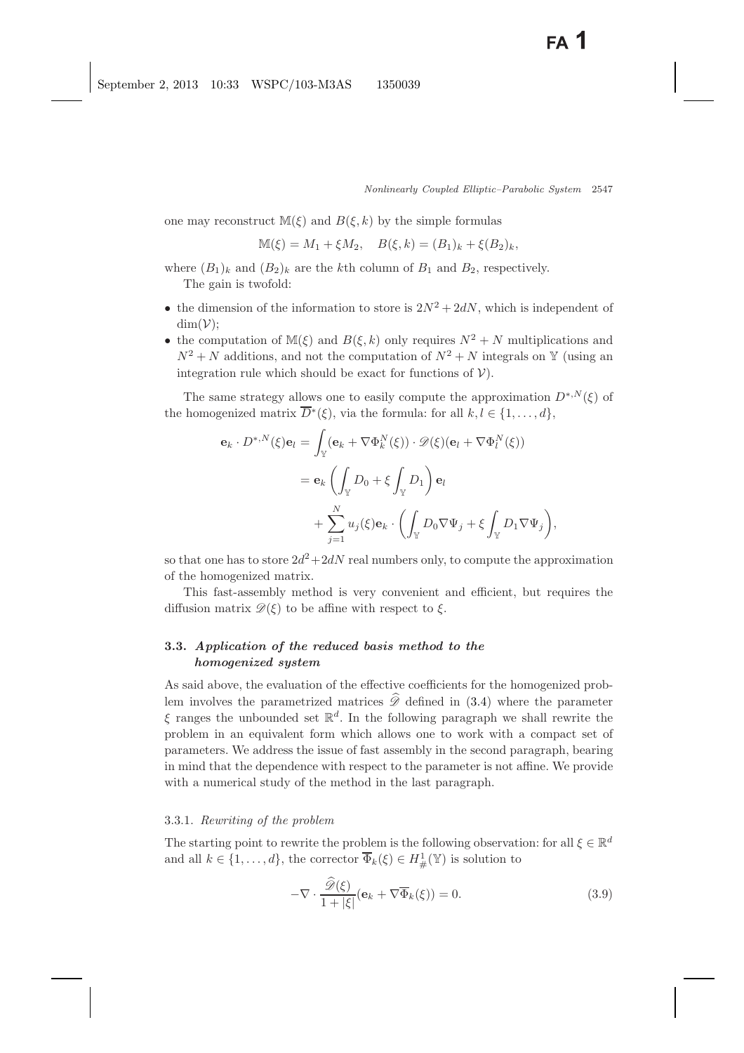one may reconstruct  $\mathbb{M}(\xi)$  and  $B(\xi, k)$  by the simple formulas

$$
M(\xi) = M_1 + \xi M_2, \quad B(\xi, k) = (B_1)_k + \xi (B_2)_k,
$$

where  $(B_1)_k$  and  $(B_2)_k$  are the kth column of  $B_1$  and  $B_2$ , respectively. The gain is twofold:

- the dimension of the information to store is  $2N^2 + 2dN$ , which is independent of  $\dim(V);$
- the computation of  $\mathbb{M}(\xi)$  and  $B(\xi, k)$  only requires  $N^2 + N$  multiplications and  $N^2 + N$  additions, and not the computation of  $N^2 + N$  integrals on Y (using an integration rule which should be exact for functions of  $V$ ).

The same strategy allows one to easily compute the approximation  $D^{*,N}(\xi)$  of the homogenized matrix  $\overline{D}^*(\xi)$ , via the formula: for all  $k, l \in \{1, \ldots, d\}$ ,

$$
\mathbf{e}_{k} \cdot D^{*,N}(\xi) \mathbf{e}_{l} = \int_{\mathbb{Y}} (\mathbf{e}_{k} + \nabla \Phi_{k}^{N}(\xi)) \cdot \mathscr{D}(\xi) (\mathbf{e}_{l} + \nabla \Phi_{l}^{N}(\xi))
$$
  

$$
= \mathbf{e}_{k} \left( \int_{\mathbb{Y}} D_{0} + \xi \int_{\mathbb{Y}} D_{1} \right) \mathbf{e}_{l}
$$
  

$$
+ \sum_{j=1}^{N} u_{j}(\xi) \mathbf{e}_{k} \cdot \left( \int_{\mathbb{Y}} D_{0} \nabla \Psi_{j} + \xi \int_{\mathbb{Y}} D_{1} \nabla \Psi_{j} \right),
$$

so that one has to store  $2d^2+2dN$  real numbers only, to compute the approximation of the homogenized matrix.

This fast-assembly method is very convenient and efficient, but requires the diffusion matrix  $\mathscr{D}(\xi)$  to be affine with respect to  $\xi$ .

# **3.3.** *Application of the reduced basis method to the homogenized system*

As said above, the evaluation of the effective coefficients for the homogenized problem involves the parametrized matrices  $\widehat{\mathscr{D}}$  defined in [\(3.4\)](#page-18-0) where the parameter  $\xi$  ranges the unbounded set  $\mathbb{R}^d$ . In the following paragraph we shall rewrite the problem in an equivalent form which allows one to work with a compact set of parameters. We address the issue of fast assembly in the second paragraph, bearing in mind that the dependence with respect to the parameter is not affine. We provide with a numerical study of the method in the last paragraph.

# 3.3.1. *Rewriting of the problem*

The starting point to rewrite the problem is the following observation: for all  $\xi \in \mathbb{R}^d$ and all  $k \in \{1, ..., d\}$ , the corrector  $\overline{\Phi}_k(\xi) \in H^1_{\#}(\mathbb{Y})$  is solution to

<span id="page-24-0"></span>
$$
-\nabla \cdot \frac{\widehat{\mathscr{D}}(\xi)}{1+|\xi|} (\mathbf{e}_k + \nabla \overline{\Phi}_k(\xi)) = 0.
$$
 (3.9)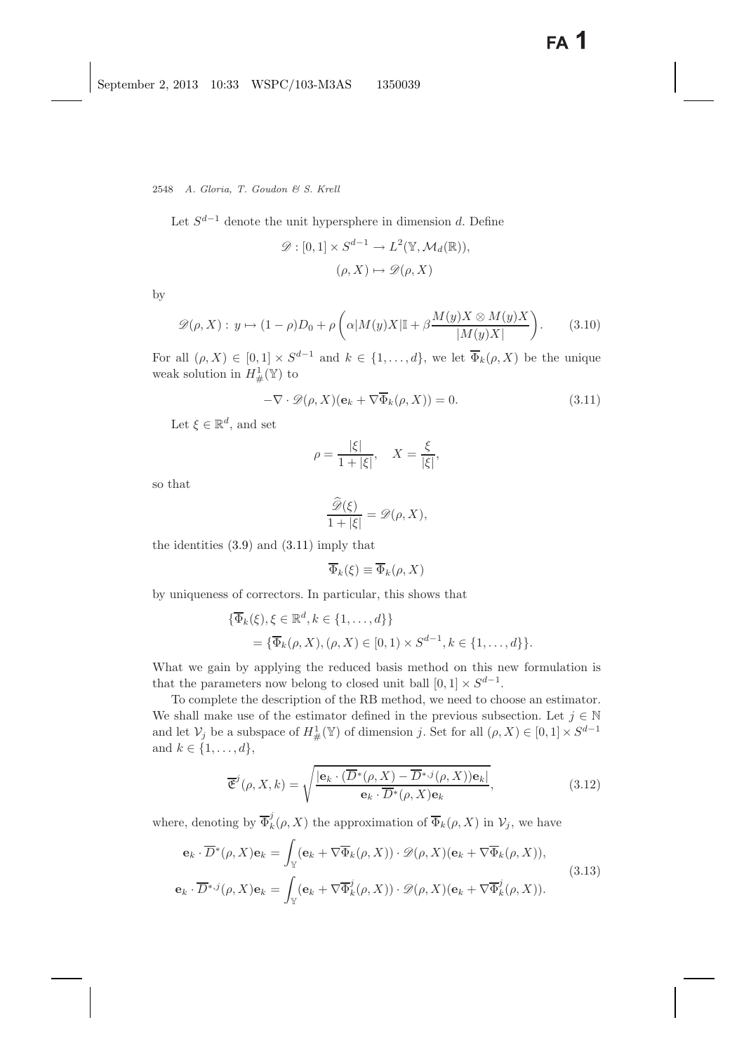2548 *A. Gloria, T. Goudon & S. Krell*

Let  $S^{d-1}$  denote the unit hypersphere in dimension d. Define

$$
\mathscr{D} : [0,1] \times S^{d-1} \to L^2(\mathbb{Y}, \mathcal{M}_d(\mathbb{R})),
$$
  

$$
(\rho, X) \mapsto \mathscr{D}(\rho, X)
$$

<span id="page-25-2"></span>by

$$
\mathscr{D}(\rho, X): y \mapsto (1 - \rho)D_0 + \rho \left( \alpha |M(y)X| \mathbb{I} + \beta \frac{M(y)X \otimes M(y)X}{|M(y)X|} \right). \tag{3.10}
$$

For all  $(\rho, X) \in [0, 1] \times S^{d-1}$  and  $k \in \{1, ..., d\}$ , we let  $\overline{\Phi}_k(\rho, X)$  be the unique weak solution in  $H^1_{\#}(\mathbb{Y})$  to

<span id="page-25-0"></span>
$$
-\nabla \cdot \mathscr{D}(\rho, X)(\mathbf{e}_k + \nabla \overline{\Phi}_k(\rho, X)) = 0.
$$
 (3.11)

Let  $\xi \in \mathbb{R}^d$ , and set

$$
\rho = \frac{|\xi|}{1 + |\xi|}, \quad X = \frac{\xi}{|\xi|},
$$

so that

$$
\frac{\widehat{\mathscr{D}}(\xi)}{1+|\xi|} = \mathscr{D}(\rho, X),
$$

the identities [\(3.9\)](#page-24-0) and [\(3.11\)](#page-25-0) imply that

$$
\overline{\Phi}_k(\xi) \equiv \overline{\Phi}_k(\rho, X)
$$

by uniqueness of correctors. In particular, this shows that

$$
\{\overline{\Phi}_k(\xi), \xi \in \mathbb{R}^d, k \in \{1, ..., d\}\}\
$$
  
=  $\{\overline{\Phi}_k(\rho, X), (\rho, X) \in [0, 1) \times S^{d-1}, k \in \{1, ..., d\}\}.$ 

What we gain by applying the reduced basis method on this new formulation is that the parameters now belong to closed unit ball  $[0, 1] \times S^{d-1}$ .

<span id="page-25-1"></span>To complete the description of the RB method, we need to choose an estimator. We shall make use of the estimator defined in the previous subsection. Let  $j \in \mathbb{N}$ and let  $\mathcal{V}_j$  be a subspace of  $H^1_{\#}(\mathbb{Y})$  of dimension j. Set for all  $(\rho, X) \in [0, 1] \times S^{d-1}$ and  $k \in \{1, ..., d\},\$ 

<span id="page-25-3"></span>
$$
\overline{\mathbf{E}}^{j}(\rho, X, k) = \sqrt{\frac{|\mathbf{e}_k \cdot (\overline{D}^*(\rho, X) - \overline{D}^{*,j}(\rho, X)) \mathbf{e}_k|}{\mathbf{e}_k \cdot \overline{D}^*(\rho, X) \mathbf{e}_k}},
$$
(3.12)

where, denoting by  $\overline{\Phi}_k^j(\rho, X)$  the approximation of  $\overline{\Phi}_k(\rho, X)$  in  $\mathcal{V}_j$ , we have

$$
\mathbf{e}_{k} \cdot \overline{D}^{*}(\rho, X) \mathbf{e}_{k} = \int_{\mathbb{Y}} (\mathbf{e}_{k} + \nabla \overline{\Phi}_{k}(\rho, X)) \cdot \mathscr{D}(\rho, X) (\mathbf{e}_{k} + \nabla \overline{\Phi}_{k}(\rho, X)),
$$
  
\n
$$
\mathbf{e}_{k} \cdot \overline{D}^{*,j}(\rho, X) \mathbf{e}_{k} = \int_{\mathbb{Y}} (\mathbf{e}_{k} + \nabla \overline{\Phi}_{k}^{j}(\rho, X)) \cdot \mathscr{D}(\rho, X) (\mathbf{e}_{k} + \nabla \overline{\Phi}_{k}^{j}(\rho, X)).
$$
\n(3.13)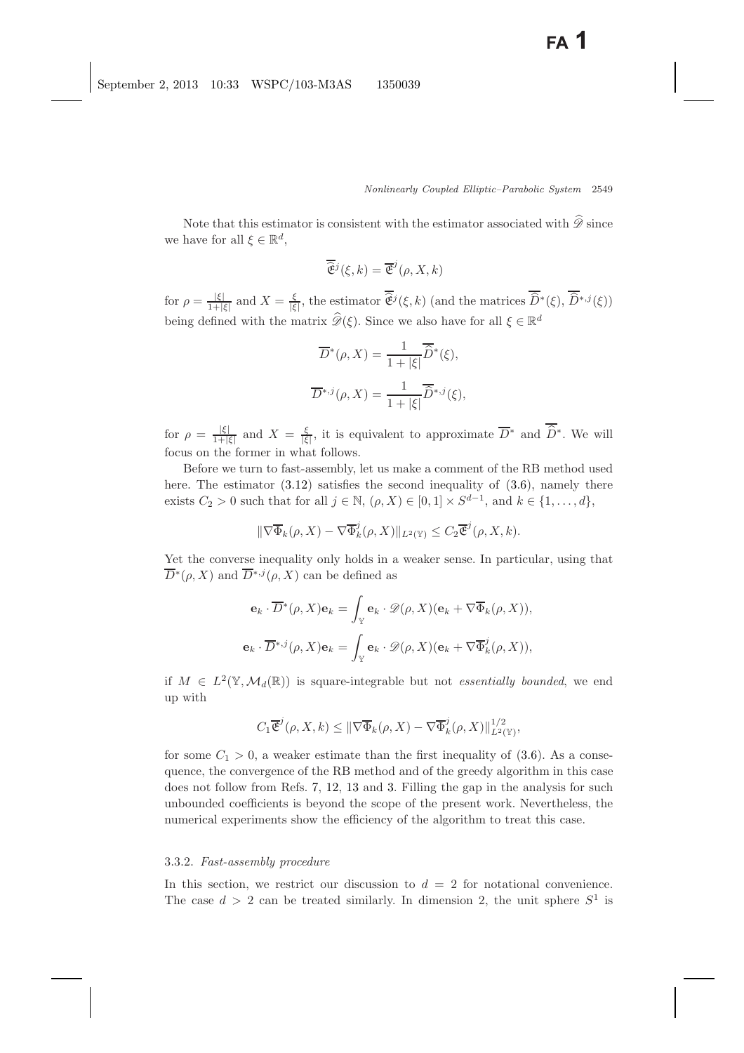Note that this estimator is consistent with the estimator associated with  $\widehat{\mathscr{D}}$  since we have for all  $\xi \in \mathbb{R}^d$ ,

$$
\overline{\widehat{\mathfrak{E}}^j}(\xi,k) = \overline{\mathfrak{E}}^j(\rho,X,k)
$$

for  $\rho = \frac{|\xi|}{1+|\xi|}$  and  $X = \frac{\xi}{|\xi|}$ , the estimator  $\hat{\mathfrak{E}}^j(\xi, k)$  (and the matrices  $\widehat{D}^*(\xi), \widehat{D}^{*,j}(\xi)$ ) being defined with the matrix  $\widehat{\mathscr{D}}(\xi)$ . Since we also have for all  $\xi \in \mathbb{R}^d$ 

$$
\overline{D}^*(\rho, X) = \frac{1}{1 + |\xi|} \overline{\widehat{D}}^*(\xi),
$$
  

$$
\overline{D}^{*,j}(\rho, X) = \frac{1}{1 + |\xi|} \overline{\widehat{D}}^{*,j}(\xi),
$$

for  $\rho = \frac{|\xi|}{1+|\xi|}$  and  $X = \frac{\xi}{|\xi|}$ , it is equivalent to approximate  $\overline{D}^*$  and  $\widehat{D}^*$ . We will focus on the former in what follows.

Before we turn to fast-assembly, let us make a comment of the RB method used here. The estimator  $(3.12)$  satisfies the second inequality of  $(3.6)$ , namely there exists  $C_2 > 0$  such that for all  $j \in \mathbb{N}$ ,  $(\rho, X) \in [0, 1] \times S^{d-1}$ , and  $k \in \{1, \ldots, d\}$ ,

$$
\|\nabla \overline{\Phi}_k(\rho, X) - \nabla \overline{\Phi}_k^j(\rho, X)\|_{L^2(\mathbb{Y})} \le C_2 \overline{\mathfrak{E}}^j(\rho, X, k).
$$

Yet the converse inequality only holds in a weaker sense. In particular, using that  $\overline{D}^*(\rho, X)$  and  $\overline{D}^{*,j}(\rho, X)$  can be defined as

$$
\mathbf{e}_k \cdot \overline{D}^*(\rho, X)\mathbf{e}_k = \int_{\mathbb{Y}} \mathbf{e}_k \cdot \mathscr{D}(\rho, X)(\mathbf{e}_k + \nabla \overline{\Phi}_k(\rho, X)),
$$

$$
\mathbf{e}_k \cdot \overline{D}^{*,j}(\rho, X)\mathbf{e}_k = \int_{\mathbb{Y}} \mathbf{e}_k \cdot \mathscr{D}(\rho, X)(\mathbf{e}_k + \nabla \overline{\Phi}_k^j(\rho, X)),
$$

if  $M \in L^2(\mathbb{Y}, \mathcal{M}_d(\mathbb{R}))$  is square-integrable but not *essentially bounded*, we end up with

$$
C_1 \overline{\mathfrak{E}}^j(\rho, X, k) \leq \|\nabla \overline{\Phi}_k(\rho, X) - \nabla \overline{\Phi}_k^j(\rho, X)\|_{L^2(\mathbb{Y})}^{1/2},
$$

for some  $C_1 > 0$ , a weaker estimate than the first inequality of [\(3.6\)](#page-19-1). As a consequence, the convergence of the RB method and of the greedy algorithm in this case does not follow from Refs. [7,](#page-36-16) [12,](#page-36-14) [13](#page-36-17) and [3.](#page-36-15) Filling the gap in the analysis for such unbounded coefficients is beyond the scope of the present work. Nevertheless, the numerical experiments show the efficiency of the algorithm to treat this case.

# 3.3.2. *Fast-assembly procedure*

In this section, we restrict our discussion to  $d = 2$  for notational convenience. The case  $d > 2$  can be treated similarly. In dimension 2, the unit sphere  $S<sup>1</sup>$  is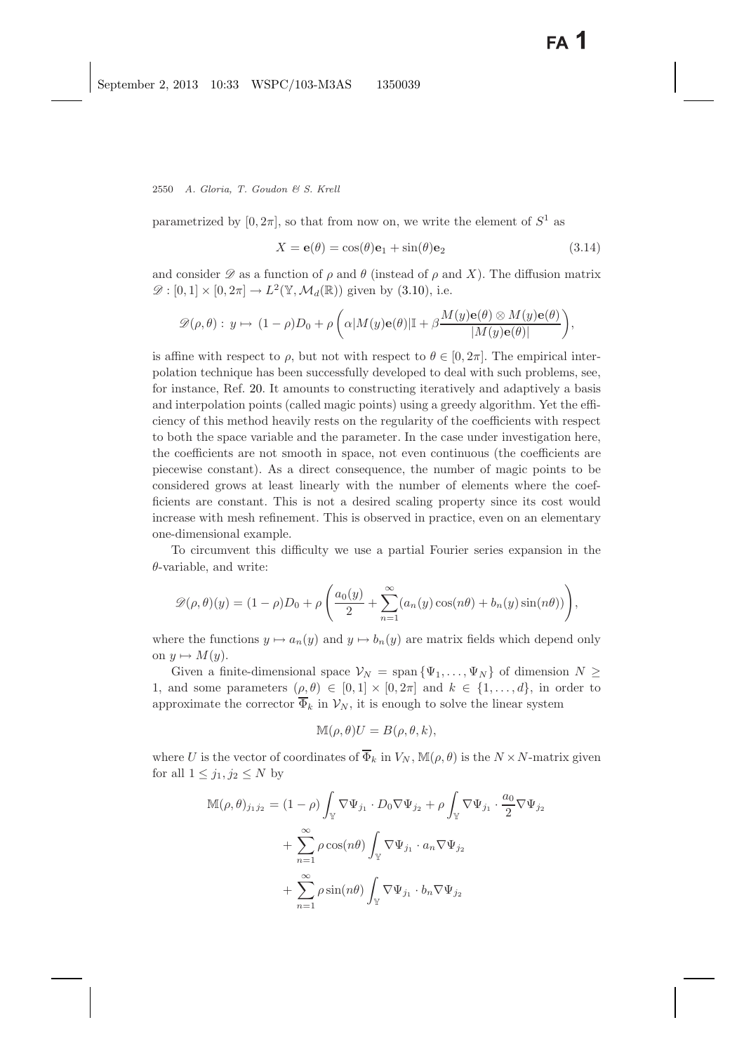parametrized by  $[0, 2\pi]$ , so that from now on, we write the element of  $S^1$  as

<span id="page-27-0"></span>
$$
X = \mathbf{e}(\theta) = \cos(\theta)\mathbf{e}_1 + \sin(\theta)\mathbf{e}_2 \tag{3.14}
$$

and consider  $\mathscr D$  as a function of  $\rho$  and  $\theta$  (instead of  $\rho$  and X). The diffusion matrix  $\mathscr{D}: [0,1] \times [0,2\pi] \to L^2(\mathbb{Y},\mathcal{M}_d(\mathbb{R}))$  given by [\(3.10\)](#page-25-2), i.e.

$$
\mathscr{D}(\rho,\theta): y \mapsto (1-\rho)D_0 + \rho \left( \alpha | M(y) \mathbf{e}(\theta) | \mathbb{I} + \beta \frac{M(y) \mathbf{e}(\theta) \otimes M(y) \mathbf{e}(\theta)}{|M(y) \mathbf{e}(\theta)|} \right),
$$

is affine with respect to  $\rho$ , but not with respect to  $\theta \in [0, 2\pi]$ . The empirical interpolation technique has been successfully developed to deal with such problems, see, for instance, Ref. [20.](#page-36-18) It amounts to constructing iteratively and adaptively a basis and interpolation points (called magic points) using a greedy algorithm. Yet the efficiency of this method heavily rests on the regularity of the coefficients with respect to both the space variable and the parameter. In the case under investigation here, the coefficients are not smooth in space, not even continuous (the coefficients are piecewise constant). As a direct consequence, the number of magic points to be considered grows at least linearly with the number of elements where the coefficients are constant. This is not a desired scaling property since its cost would increase with mesh refinement. This is observed in practice, even on an elementary one-dimensional example.

To circumvent this difficulty we use a partial Fourier series expansion in the  $\theta$ -variable, and write:

$$
\mathscr{D}(\rho,\theta)(y) = (1-\rho)D_0 + \rho \left( \frac{a_0(y)}{2} + \sum_{n=1}^{\infty} (a_n(y)\cos(n\theta) + b_n(y)\sin(n\theta)) \right),
$$

where the functions  $y \mapsto a_n(y)$  and  $y \mapsto b_n(y)$  are matrix fields which depend only on  $y \mapsto M(y)$ .

Given a finite-dimensional space  $V_N = \text{span}\{\Psi_1,\ldots,\Psi_N\}$  of dimension  $N \geq$ 1, and some parameters  $(\rho, \theta) \in [0, 1] \times [0, 2\pi]$  and  $k \in \{1, ..., d\}$ , in order to approximate the corrector  $\overline{\Phi}_k$  in  $\mathcal{V}_N$ , it is enough to solve the linear system

$$
\mathbb{M}(\rho,\theta)U = B(\rho,\theta,k),
$$

where U is the vector of coordinates of  $\overline{\Phi}_k$  in  $V_N$ ,  $\mathbb{M}(\rho,\theta)$  is the  $N \times N$ -matrix given for all  $1 \leq j_1, j_2 \leq N$  by

$$
\mathbb{M}(\rho,\theta)_{j_1j_2} = (1-\rho) \int_{\mathbb{Y}} \nabla \Psi_{j_1} \cdot D_0 \nabla \Psi_{j_2} + \rho \int_{\mathbb{Y}} \nabla \Psi_{j_1} \cdot \frac{a_0}{2} \nabla \Psi_{j_2}
$$

$$
+ \sum_{n=1}^{\infty} \rho \cos(n\theta) \int_{\mathbb{Y}} \nabla \Psi_{j_1} \cdot a_n \nabla \Psi_{j_2}
$$

$$
+ \sum_{n=1}^{\infty} \rho \sin(n\theta) \int_{\mathbb{Y}} \nabla \Psi_{j_1} \cdot b_n \nabla \Psi_{j_2}
$$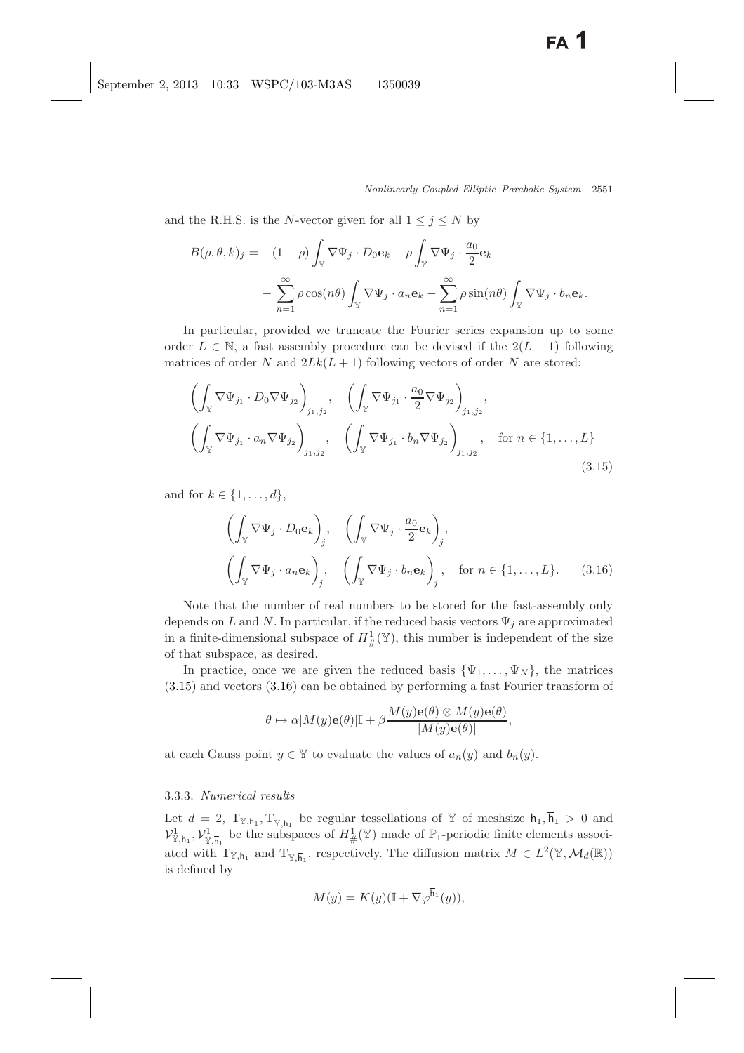and the R.H.S. is the N-vector given for all  $1 \leq j \leq N$  by

$$
B(\rho, \theta, k)_j = -(1 - \rho) \int_{\mathbb{Y}} \nabla \Psi_j \cdot D_0 \mathbf{e}_k - \rho \int_{\mathbb{Y}} \nabla \Psi_j \cdot \frac{a_0}{2} \mathbf{e}_k - \sum_{n=1}^{\infty} \rho \cos(n\theta) \int_{\mathbb{Y}} \nabla \Psi_j \cdot a_n \mathbf{e}_k - \sum_{n=1}^{\infty} \rho \sin(n\theta) \int_{\mathbb{Y}} \nabla \Psi_j \cdot b_n \mathbf{e}_k.
$$

<span id="page-28-1"></span>In particular, provided we truncate the Fourier series expansion up to some order  $L \in \mathbb{N}$ , a fast assembly procedure can be devised if the  $2(L + 1)$  following matrices of order N and  $2Lk(L+1)$  following vectors of order N are stored:

$$
\left(\int_{\mathbb{Y}} \nabla \Psi_{j_1} \cdot D_0 \nabla \Psi_{j_2}\right)_{j_1, j_2}, \quad \left(\int_{\mathbb{Y}} \nabla \Psi_{j_1} \cdot \frac{a_0}{2} \nabla \Psi_{j_2}\right)_{j_1, j_2},
$$
\n
$$
\left(\int_{\mathbb{Y}} \nabla \Psi_{j_1} \cdot a_n \nabla \Psi_{j_2}\right)_{j_1, j_2}, \quad \left(\int_{\mathbb{Y}} \nabla \Psi_{j_1} \cdot b_n \nabla \Psi_{j_2}\right)_{j_1, j_2}, \quad \text{for } n \in \{1, \dots, L\}
$$
\n(3.15)

<span id="page-28-2"></span>and for  $k \in \{1, \ldots, d\}$ ,

$$
\left(\int_{\mathbb{Y}} \nabla \Psi_j \cdot D_0 \mathbf{e}_k\right)_j, \quad \left(\int_{\mathbb{Y}} \nabla \Psi_j \cdot \frac{a_0}{2} \mathbf{e}_k\right)_j, \n\left(\int_{\mathbb{Y}} \nabla \Psi_j \cdot a_n \mathbf{e}_k\right)_j, \quad \left(\int_{\mathbb{Y}} \nabla \Psi_j \cdot b_n \mathbf{e}_k\right)_j, \quad \text{for } n \in \{1, \dots, L\}.
$$
\n(3.16)

Note that the number of real numbers to be stored for the fast-assembly only depends on L and N. In particular, if the reduced basis vectors  $\Psi_j$  are approximated in a finite-dimensional subspace of  $H^1_{\#}(\mathbb{Y})$ , this number is independent of the size of that subspace, as desired.

In practice, once we are given the reduced basis  $\{\Psi_1,\ldots,\Psi_N\}$ , the matrices [\(3.15\)](#page-28-1) and vectors [\(3.16\)](#page-28-2) can be obtained by performing a fast Fourier transform of

$$
\theta \mapsto \alpha |M(y)\mathbf{e}(\theta)| \mathbb{I} + \beta \frac{M(y)\mathbf{e}(\theta) \otimes M(y)\mathbf{e}(\theta)}{|M(y)\mathbf{e}(\theta)|},
$$

at each Gauss point  $y \in \mathbb{Y}$  to evaluate the values of  $a_n(y)$  and  $b_n(y)$ .

# <span id="page-28-0"></span>3.3.3. *Numerical results*

Let  $d = 2$ ,  $T_{\mathbb{Y},h_1}, T_{\mathbb{Y},\overline{h}_1}$  be regular tessellations of Y of meshsize  $h_1, \overline{h}_1 > 0$  and  $\mathcal{V}_{\mathbb{Y},h_1}^1, \mathcal{V}_{\mathbb{Y},h_1}^1$  be the subspaces of  $H^1_{\#}(\mathbb{Y})$  made of  $\mathbb{P}_1$ -periodic finite elements associated with  $T_{\mathbb{Y},h_1}$  and  $T_{\mathbb{Y},\overline{h}_1}$ , respectively. The diffusion matrix  $M \in L^2(\mathbb{Y},\mathcal{M}_d(\mathbb{R}))$ is defined by

$$
M(y) = K(y)(\mathbb{I} + \nabla \varphi^{\overline{\mathsf{h}}_1}(y)),
$$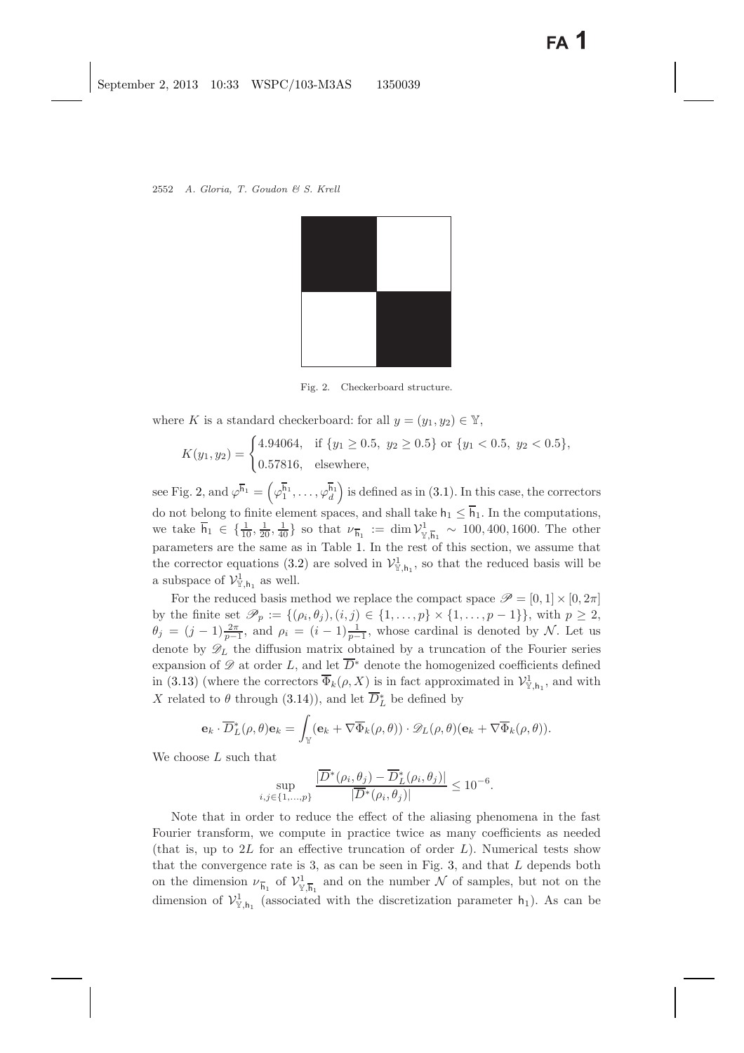

Fig. 2. Checkerboard structure.

where K is a standard checkerboard: for all  $y = (y_1, y_2) \in \mathbb{Y}$ ,

<span id="page-29-0"></span>
$$
K(y_1, y_2) = \begin{cases} 4.94064, & \text{if } \{y_1 \ge 0.5, \ y_2 \ge 0.5\} \text{ or } \{y_1 < 0.5, \ y_2 < 0.5\}, \\ 0.57816, & \text{elsewhere,} \end{cases}
$$

see Fig. [2,](#page-29-0) and  $\varphi^{\overline{h}_1} = \left(\varphi_1^{\overline{h}_1}, \ldots, \varphi_d^{\overline{h}_1}\right)$  is defined as in [\(3.1\)](#page-14-2). In this case, the correctors do not belong to finite element spaces, and shall take  $\mathsf{h}_1 \leq \overline{\mathsf{h}}_1.$  In the computations, we take  $\bar{h}_1 \in \{\frac{1}{10}, \frac{1}{20}, \frac{1}{40}\}\$  so that  $\nu_{\bar{h}_1} := \dim \mathcal{V}_{\mathbb{Y}, \bar{h}_1}^1 \sim 100, 400, 1600$ . The other parameters are the same as in Table [1.](#page-16-4) In the rest of this section, we assume that the corrector equations [\(3.2\)](#page-15-0) are solved in  $\mathcal{V}_{\mathbb{Y},h_1}^1$ , so that the reduced basis will be a subspace of  $\mathcal{V}_{\mathbb{Y},h_1}^1$  as well.

For the reduced basis method we replace the compact space  $\mathscr{P} = [0, 1] \times [0, 2\pi]$ by the finite set  $\mathscr{P}_p := \{(\rho_i, \theta_j), (i, j) \in \{1, ..., p\} \times \{1, ..., p - 1\}\}\,$ , with  $p \geq 2$ ,  $\theta_j = (j-1)\frac{2\pi}{p-1}$ , and  $\rho_i = (i-1)\frac{1}{p-1}$ , whose cardinal is denoted by N. Let us denote by  $\mathscr{D}_L$  the diffusion matrix obtained by a truncation of the Fourier series expansion of  $\mathscr D$  at order L, and let  $\overline{D}^*$  denote the homogenized coefficients defined in [\(3.13\)](#page-25-3) (where the correctors  $\overline{\Phi}_k(\rho, X)$  is in fact approximated in  $\mathcal{V}^1_{\mathbb{Y},h_1}$ , and with X related to  $\theta$  through [\(3.14\)](#page-27-0)), and let  $\overline{D}_L^*$  be defined by

$$
\mathbf{e}_k \cdot \overline{D}_L^*(\rho, \theta) \mathbf{e}_k = \int_{\mathbb{Y}} (\mathbf{e}_k + \nabla \overline{\Phi}_k(\rho, \theta)) \cdot \mathscr{D}_L(\rho, \theta) (\mathbf{e}_k + \nabla \overline{\Phi}_k(\rho, \theta)).
$$

We choose L such that

$$
\sup_{i,j\in\{1,\ldots,p\}}\frac{|\overline{D}^*(\rho_i,\theta_j)-\overline{D}^*_L(\rho_i,\theta_j)|}{|\overline{D}^*(\rho_i,\theta_j)|}\leq 10^{-6}.
$$

Note that in order to reduce the effect of the aliasing phenomena in the fast Fourier transform, we compute in practice twice as many coefficients as needed (that is, up to  $2L$  for an effective truncation of order  $L$ ). Numerical tests show that the convergence rate is 3, as can be seen in Fig. [3,](#page-30-0) and that L depends both on the dimension  $\nu_{\overline{h}_1}$  of  $\mathcal{V}^1_{\mathbb{Y},\overline{h}_1}$  and on the number  $\mathcal N$  of samples, but not on the dimension of  $\mathcal{V}_{\mathbb{Y},h_1}^1$  (associated with the discretization parameter  $h_1$ ). As can be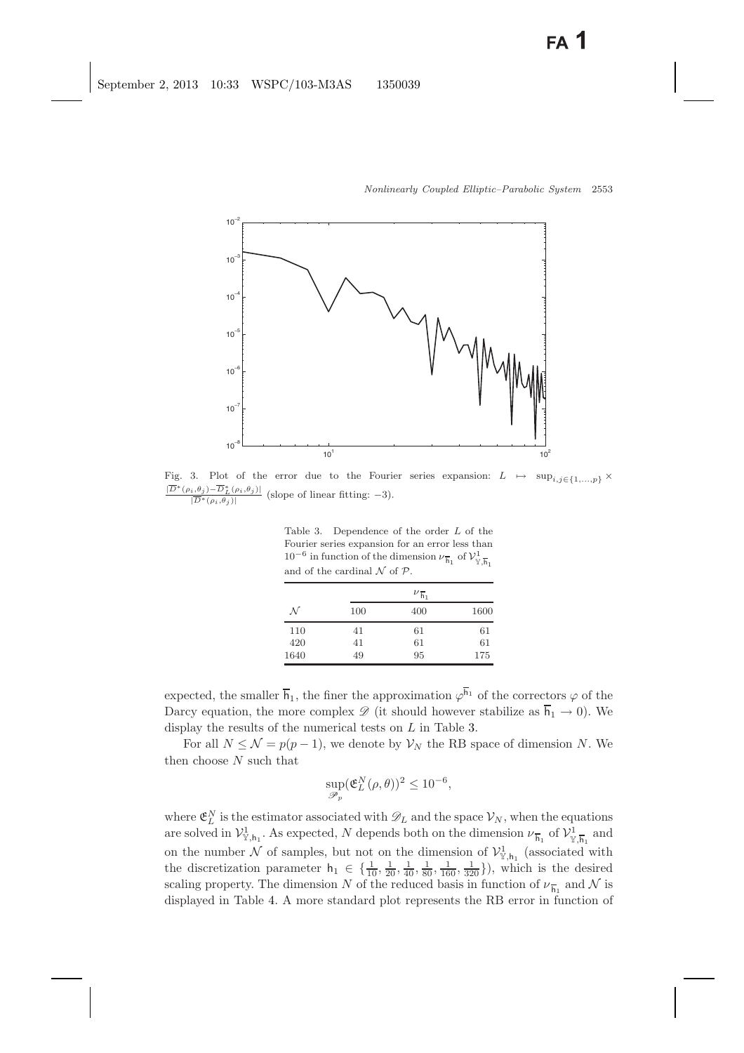

<span id="page-30-0"></span>Fig. 3. Plot of the error due to the Fourier series expansion:  $L \rightarrow \sup_{i,j \in \{1,...,p\}} \times$  $\frac{|D^*(\rho_i, \theta_j) - D_L^*(\rho_i, \theta_j)|}{|\overline{D^*(\rho_i, \theta_j)}|}$  (slope of linear fitting: -3).

<span id="page-30-1"></span>Table 3. Dependence of the order L of the Fourier series expansion for an error less than  $10^{-6}$  in function of the dimension  $\nu_{\overline{h}_1}$  of  $\mathcal{V}^1_{\mathbb{Y},\overline{h}_1}$ and of the cardinal  $\mathcal N$  of  $\mathcal P$ .

|      |     | $\nu_{\bar{\mathsf{h}}_1}$ |      |  |
|------|-----|----------------------------|------|--|
| N    | 100 | 400                        | 1600 |  |
| 110  | 41  | 61                         | 61   |  |
| 420  | 41  | 61                         | 61   |  |
| 1640 | 49  | 95                         | 175  |  |

expected, the smaller  $\overline{h}_1$ , the finer the approximation  $\varphi^{\overline{h}_1}$  of the correctors  $\varphi$  of the Darcy equation, the more complex  $\mathscr{D}$  (it should however stabilize as  $\bar{h}_1 \rightarrow 0$ ). We display the results of the numerical tests on L in Table [3.](#page-30-1)

For all  $N \leq \mathcal{N} = p(p-1)$ , we denote by  $\mathcal{V}_N$  the RB space of dimension N. We then choose  $N$  such that

$$
\sup_{\mathscr{P}_p} (\mathfrak{E}_L^N(\rho,\theta))^2 \le 10^{-6},
$$

where  $\mathfrak{E}_L^N$  is the estimator associated with  $\mathscr{D}_L$  and the space  $\mathcal{V}_N$ , when the equations are solved in  $\mathcal{V}_{\mathbb{Y},h_1}^1$ . As expected, N depends both on the dimension  $\nu_{\overline{h}_1}$  of  $\mathcal{V}_{\mathbb{Y},\overline{h}_1}^1$  and on the number  $\mathcal N$  of samples, but not on the dimension of  $\mathcal V^1_{\mathbb Y,h_1}$  (associated with the discretization parameter  $h_1 \in \{\frac{1}{10}, \frac{1}{20}, \frac{1}{40}, \frac{1}{80}, \frac{1}{160}, \frac{1}{320}\}\)$ , which is the desired scaling property. The dimension N of the reduced basis in function of  $\nu_{\overline{h}_1}$  and N is displayed in Table [4.](#page-31-0) A more standard plot represents the RB error in function of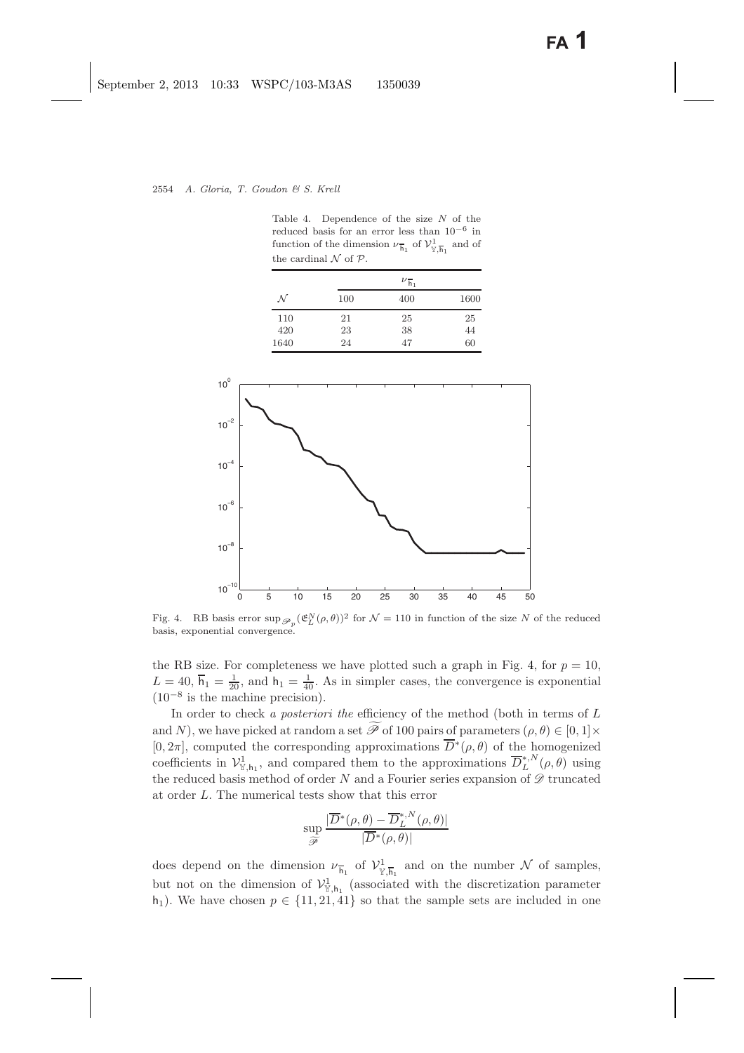<span id="page-31-0"></span>Table 4. Dependence of the size  $N$  of the reduced basis for an error less than  $10^{-6}$  in function of the dimension  $\nu_{\overline{h}_1}$  of  $\mathcal{V}_{\mathbb{Y},\overline{h}_1}^1$  and of the cardinal  $\mathcal N$  of  $\mathcal P$ .

|      |     | $\nu_{\overline{h}_1}$ |      |
|------|-----|------------------------|------|
| N    | 100 | 400                    | 1600 |
| 110  | 21  | 25                     | 25   |
| 420  | 23  | 38                     | 44   |
| 1640 | 24  | 47                     | 60   |



<span id="page-31-1"></span>Fig. 4. RB basis error  $\sup_{\mathcal{P}_p} (\mathfrak{E}_L^N(\rho, \theta))^2$  for  $\mathcal{N} = 110$  in function of the size N of the reduced basis, exponential convergence.

the RB size. For completeness we have plotted such a graph in Fig. [4,](#page-31-1) for  $p = 10$ ,  $L = 40$ ,  $\overline{h}_1 = \frac{1}{20}$ , and  $h_1 = \frac{1}{40}$ . As in simpler cases, the convergence is exponential  $(10^{-8}$  is the machine precision).

In order to check *a posteriori the* efficiency of the method (both in terms of L and N), we have picked at random a set  $\mathscr P$  of 100 pairs of parameters  $(\rho, \theta) \in [0, 1] \times$  $[0, 2\pi]$ , computed the corresponding approximations  $\overline{D}^*(\rho, \theta)$  of the homogenized coefficients in  $\mathcal{V}_{\mathbb{Y},h_1}^1$ , and compared them to the approximations  $\overline{D}_L^{*,N}(\rho,\theta)$  using the reduced basis method of order N and a Fourier series expansion of  $\mathscr{D}$  truncated at order L. The numerical tests show that this error

$$
\sup_{\widetilde{\mathscr{P}}} \frac{|\overline{D}^*(\rho,\theta) - \overline{D}^{*,N}_L(\rho,\theta)|}{|\overline{D}^*(\rho,\theta)|}
$$

does depend on the dimension  $\nu_{\overline{h}_1}$  of  $\mathcal{V}_{\mathbb{Y},\overline{h}_1}^1$  and on the number  $\mathcal N$  of samples, but not on the dimension of  $\mathcal{V}_{\mathbb{Y},h_1}^1$  (associated with the discretization parameter h<sub>1</sub>). We have chosen  $p \in \{11, 21, 41\}$  so that the sample sets are included in one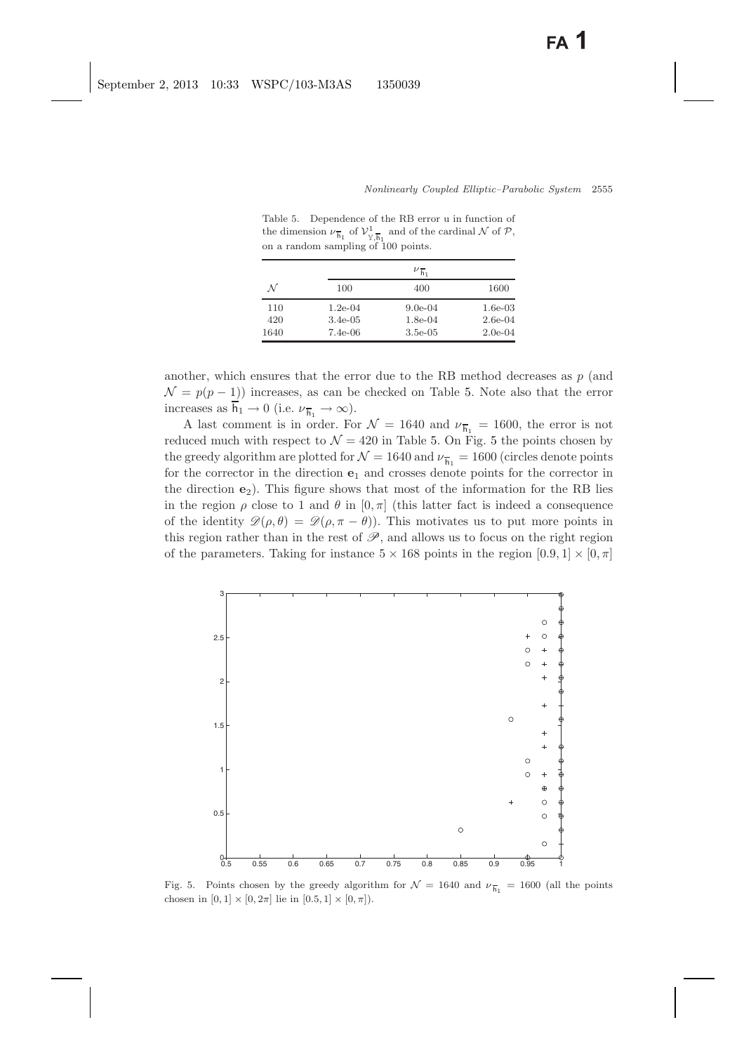|      |            | $\nu_{\overline{h}_1}$ |           |
|------|------------|------------------------|-----------|
| N    | 100        | 400                    | 1600      |
| 110  | $1.2e-04$  | $9.0e-04$              | $1.6e-03$ |
| 420  | $3.4e-0.5$ | $1.8e-04$              | $2.6e-04$ |
| 1640 | 7.4e-06    | $3.5e-0.5$             | $2.0e-04$ |

<span id="page-32-0"></span>Table 5. Dependence of the RB error u in function of the dimension  $\nu_{\overline{h}_1}$  of  $\mathcal{V}_{\mathbb{Y},\overline{h}_1}^1$  and of the cardinal  $\mathcal N$  of  $\mathcal P$ , on a random sampling of 100 points.

another, which ensures that the error due to the RB method decreases as  $p$  (and  $\mathcal{N} = p(p-1)$  increases, as can be checked on Table [5.](#page-32-0) Note also that the error increases as  $\overline{h}_1 \rightarrow 0$  (i.e.  $\nu_{\overline{h}_1} \rightarrow \infty$ ).

A last comment is in order. For  $\mathcal{N} = 1640$  and  $\nu_{\overline{h}_1} = 1600$ , the error is not reduced much with respect to  $\mathcal{N} = 420$  in Table [5.](#page-32-0) On Fig. [5](#page-32-1) the points chosen by the greedy algorithm are plotted for  $\mathcal{N} = 1640$  and  $\nu_{\overline{h}_1} = 1600$  (circles denote points for the corrector in the direction **e**<sup>1</sup> and crosses denote points for the corrector in the direction  $e_2$ ). This figure shows that most of the information for the RB lies in the region  $\rho$  close to 1 and  $\theta$  in  $[0, \pi]$  (this latter fact is indeed a consequence of the identity  $\mathscr{D}(\rho,\theta) = \mathscr{D}(\rho,\pi-\theta)$ . This motivates us to put more points in this region rather than in the rest of  $\mathscr{P}$ , and allows us to focus on the right region of the parameters. Taking for instance  $5 \times 168$  points in the region  $(0.9, 1] \times (0, \pi]$ 



<span id="page-32-1"></span>Fig. 5. Points chosen by the greedy algorithm for  $\mathcal{N} = 1640$  and  $\nu_{\overline{h}_1} = 1600$  (all the points chosen in  $[0, 1] \times [0, 2\pi]$  lie in  $[0.5, 1] \times [0, \pi]$ .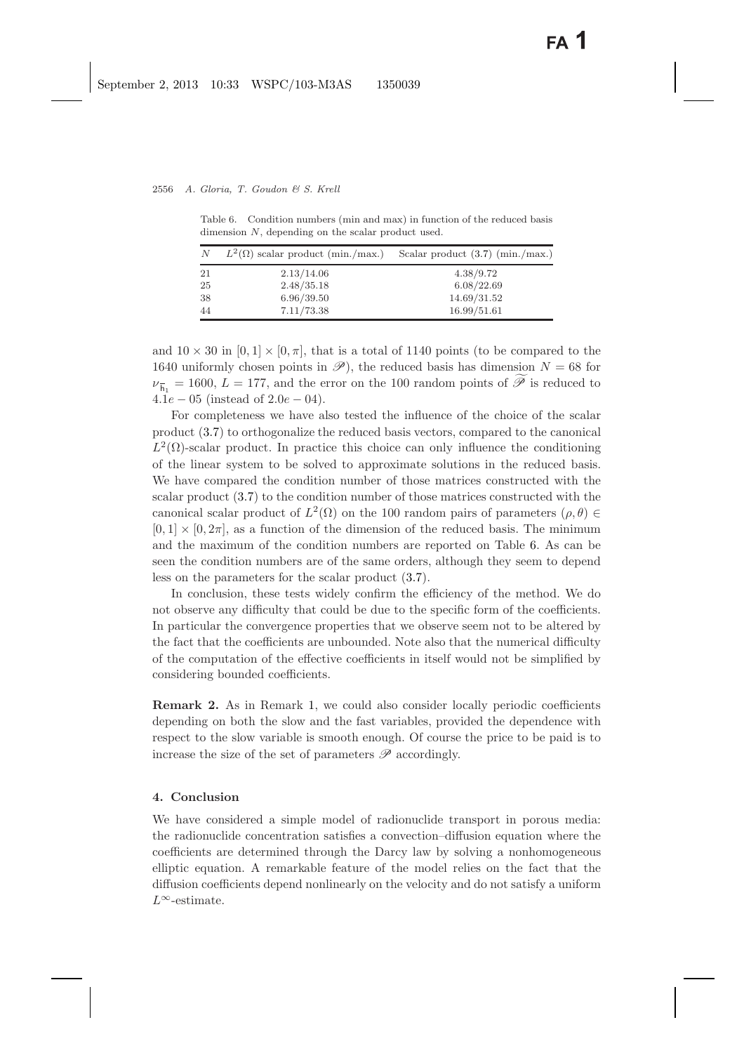| N  | $L^2(\Omega)$ scalar product (min./max.) | Scalar product $(3.7)$ (min./max.) |
|----|------------------------------------------|------------------------------------|
| 21 | 2.13/14.06                               | 4.38/9.72                          |
| 25 | 2.48/35.18                               | 6.08/22.69                         |
| 38 | 6.96/39.50                               | 14.69/31.52                        |
| 44 | 7.11/73.38                               | 16.99/51.61                        |

<span id="page-33-0"></span>Table 6. Condition numbers (min and max) in function of the reduced basis dimension N, depending on the scalar product used.

and  $10 \times 30$  in  $[0, 1] \times [0, \pi]$ , that is a total of 1140 points (to be compared to the 1640 uniformly chosen points in  $\mathscr{P}$ ), the reduced basis has dimension  $N = 68$  for  $\nu_{\overline{h}_1} = 1600, L = 177$ , and the error on the 100 random points of  $\widetilde{\mathscr{P}}$  is reduced to  $4.1e - 05$  (instead of  $2.0e - 04$ ).

For completeness we have also tested the influence of the choice of the scalar product [\(3.7\)](#page-20-0) to orthogonalize the reduced basis vectors, compared to the canonical  $L^2(\Omega)$ -scalar product. In practice this choice can only influence the conditioning of the linear system to be solved to approximate solutions in the reduced basis. We have compared the condition number of those matrices constructed with the scalar product [\(3.7\)](#page-20-0) to the condition number of those matrices constructed with the canonical scalar product of  $L^2(\Omega)$  on the 100 random pairs of parameters  $(\rho, \theta) \in$  $[0, 1] \times [0, 2\pi]$ , as a function of the dimension of the reduced basis. The minimum and the maximum of the condition numbers are reported on Table [6.](#page-33-0) As can be seen the condition numbers are of the same orders, although they seem to depend less on the parameters for the scalar product [\(3.7\)](#page-20-0).

In conclusion, these tests widely confirm the efficiency of the method. We do not observe any difficulty that could be due to the specific form of the coefficients. In particular the convergence properties that we observe seem not to be altered by the fact that the coefficients are unbounded. Note also that the numerical difficulty of the computation of the effective coefficients in itself would not be simplified by considering bounded coefficients.

**Remark 2.** As in Remark [1,](#page-7-1) we could also consider locally periodic coefficients depending on both the slow and the fast variables, provided the dependence with respect to the slow variable is smooth enough. Of course the price to be paid is to increase the size of the set of parameters  $\mathscr P$  accordingly.

# **4. Conclusion**

We have considered a simple model of radionuclide transport in porous media: the radionuclide concentration satisfies a convection–diffusion equation where the coefficients are determined through the Darcy law by solving a nonhomogeneous elliptic equation. A remarkable feature of the model relies on the fact that the diffusion coefficients depend nonlinearly on the velocity and do not satisfy a uniform  $L^{\infty}$ -estimate.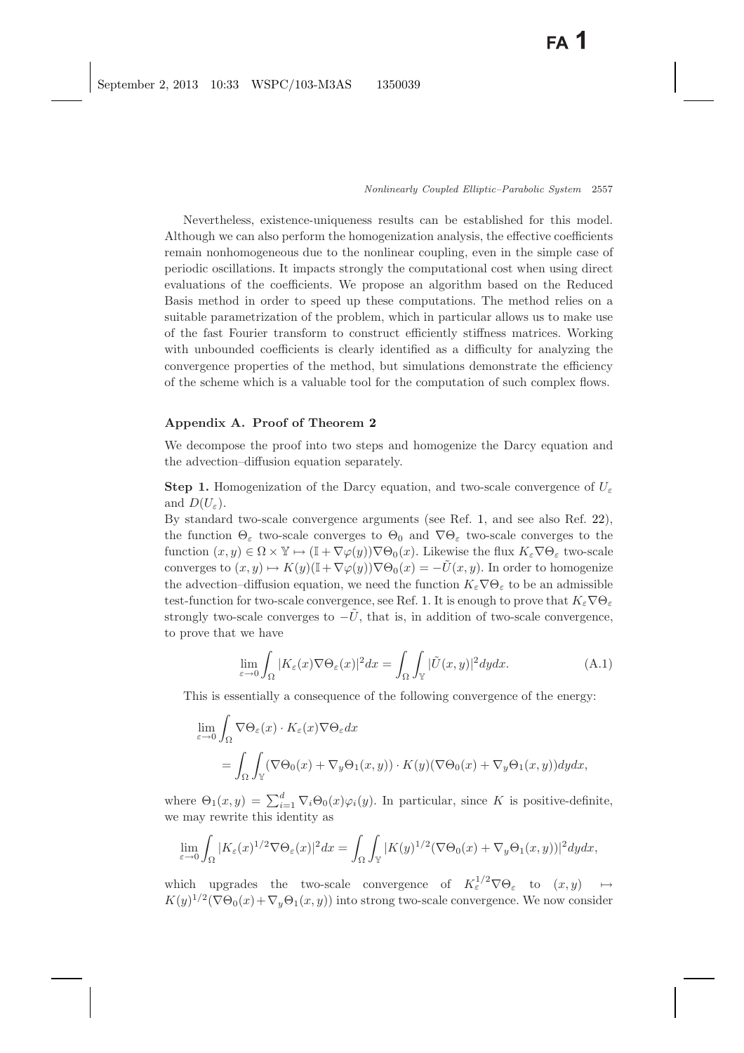Nevertheless, existence-uniqueness results can be established for this model. Although we can also perform the homogenization analysis, the effective coefficients remain nonhomogeneous due to the nonlinear coupling, even in the simple case of periodic oscillations. It impacts strongly the computational cost when using direct evaluations of the coefficients. We propose an algorithm based on the Reduced Basis method in order to speed up these computations. The method relies on a suitable parametrization of the problem, which in particular allows us to make use of the fast Fourier transform to construct efficiently stiffness matrices. Working with unbounded coefficients is clearly identified as a difficulty for analyzing the convergence properties of the method, but simulations demonstrate the efficiency of the scheme which is a valuable tool for the computation of such complex flows.

## <span id="page-34-0"></span>**Appendix A. Proof of Theorem [2](#page-6-1)**

We decompose the proof into two steps and homogenize the Darcy equation and the advection–diffusion equation separately.

**Step 1.** Homogenization of the Darcy equation, and two-scale convergence of  $U_{\varepsilon}$ and  $D(U_{\varepsilon}).$ 

By standard two-scale convergence arguments (see Ref. [1,](#page-36-19) and see also Ref. [22\)](#page-37-8), the function  $\Theta_{\varepsilon}$  two-scale converges to  $\Theta_0$  and  $\nabla \Theta_{\varepsilon}$  two-scale converges to the function  $(x, y) \in \Omega \times \mathbb{Y} \mapsto (\mathbb{I} + \nabla \varphi(y)) \nabla \Theta_0(x)$ . Likewise the flux  $K_{\varepsilon} \nabla \Theta_{\varepsilon}$  two-scale converges to  $(x, y) \mapsto K(y)(\mathbb{I} + \nabla \varphi(y))\nabla \Theta_0(x) = -\tilde{U}(x, y)$ . In order to homogenize the advection–diffusion equation, we need the function  $K_{\varepsilon} \nabla \Theta_{\varepsilon}$  to be an admissible test-function for two-scale convergence, see Ref. [1.](#page-36-19) It is enough to prove that  $K_{\varepsilon} \nabla \Theta_{\varepsilon}$ strongly two-scale converges to  $-\tilde{U}$ , that is, in addition of two-scale convergence, to prove that we have

<span id="page-34-1"></span>
$$
\lim_{\varepsilon \to 0} \int_{\Omega} |K_{\varepsilon}(x)\nabla \Theta_{\varepsilon}(x)|^2 dx = \int_{\Omega} \int_{\mathbb{Y}} |\tilde{U}(x,y)|^2 dy dx.
$$
 (A.1)

This is essentially a consequence of the following convergence of the energy:

$$
\lim_{\varepsilon \to 0} \int_{\Omega} \nabla \Theta_{\varepsilon}(x) \cdot K_{\varepsilon}(x) \nabla \Theta_{\varepsilon} dx
$$
\n
$$
= \int_{\Omega} \int_{\mathbb{Y}} (\nabla \Theta_{0}(x) + \nabla_{y} \Theta_{1}(x, y)) \cdot K(y) (\nabla \Theta_{0}(x) + \nabla_{y} \Theta_{1}(x, y)) dy dx,
$$

where  $\Theta_1(x,y) = \sum_{i=1}^d \nabla_i \Theta_0(x) \varphi_i(y)$ . In particular, since K is positive-definite, we may rewrite this identity as

$$
\lim_{\varepsilon \to 0} \int_{\Omega} |K_{\varepsilon}(x)|^{1/2} \nabla \Theta_{\varepsilon}(x)|^{2} dx = \int_{\Omega} \int_{\mathbb{Y}} |K(y)|^{1/2} (\nabla \Theta_{0}(x) + \nabla_{y} \Theta_{1}(x, y))|^{2} dy dx,
$$

which upgrades the two-scale convergence of  $K_{\varepsilon}^{1/2} \nabla \Theta_{\varepsilon}$  to  $(x, y) \mapsto$  $K(y)^{1/2}(\nabla\Theta_0(x)+\nabla_y\Theta_1(x, y))$  into strong two-scale convergence. We now consider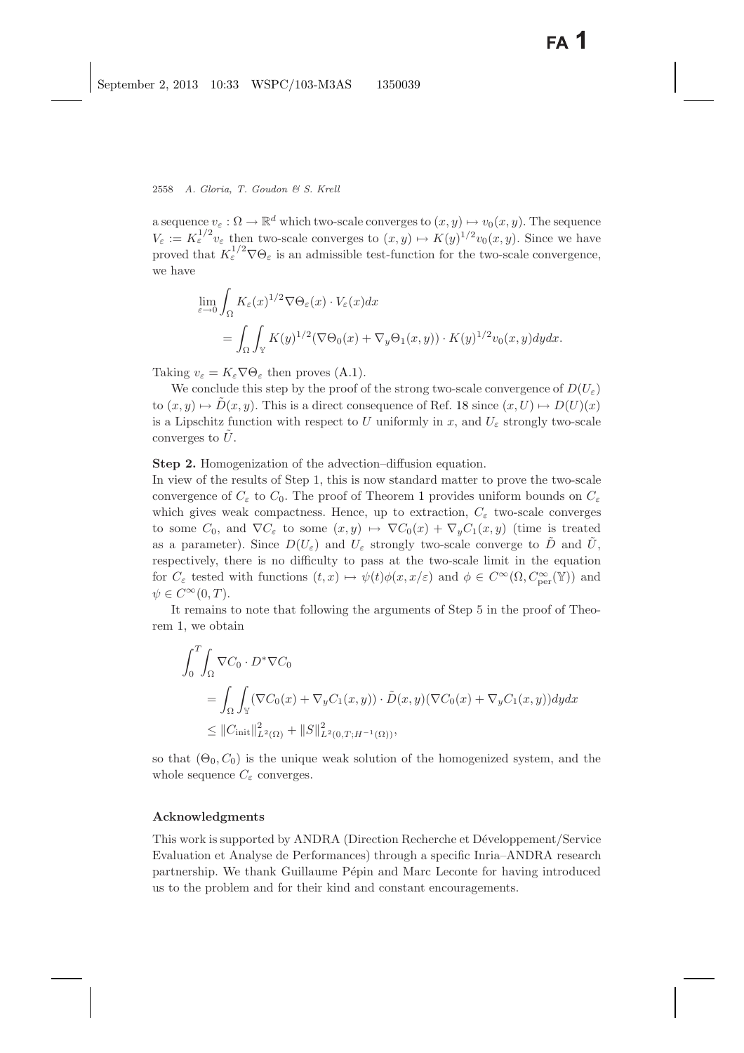a sequence  $v_{\varepsilon}: \Omega \to \mathbb{R}^d$  which two-scale converges to  $(x, y) \mapsto v_0(x, y)$ . The sequence  $V_{\varepsilon} := K_{\varepsilon}^{1/2} v_{\varepsilon}$  then two-scale converges to  $(x, y) \mapsto K(y)^{1/2} v_0(x, y)$ . Since we have proved that  $K_{\varepsilon}^{1/2} \nabla \Theta_{\varepsilon}$  is an admissible test-function for the two-scale convergence, we have

$$
\lim_{\varepsilon \to 0} \int_{\Omega} K_{\varepsilon}(x)^{1/2} \nabla \Theta_{\varepsilon}(x) \cdot V_{\varepsilon}(x) dx
$$
  
= 
$$
\int_{\Omega} \int_{\mathbb{Y}} K(y)^{1/2} (\nabla \Theta_{0}(x) + \nabla_{y} \Theta_{1}(x, y)) \cdot K(y)^{1/2} v_{0}(x, y) dy dx.
$$

Taking  $v_{\varepsilon} = K_{\varepsilon} \nabla \Theta_{\varepsilon}$  then proves  $(A.1)$ .

We conclude this step by the proof of the strong two-scale convergence of  $D(U_{\varepsilon})$ to  $(x, y) \mapsto D(x, y)$ . This is a direct consequence of Ref. [18](#page-36-20) since  $(x, U) \mapsto D(U)(x)$ is a Lipschitz function with respect to U uniformly in x, and  $U_{\varepsilon}$  strongly two-scale converges to  $U$ .

# **Step 2.** Homogenization of the advection–diffusion equation.

In view of the results of Step 1, this is now standard matter to prove the two-scale convergence of  $C_{\varepsilon}$  to  $C_0$ . The proof of Theorem [1](#page-5-0) provides uniform bounds on  $C_{\varepsilon}$ which gives weak compactness. Hence, up to extraction,  $C_{\varepsilon}$  two-scale converges to some  $C_0$ , and  $\nabla C_{\varepsilon}$  to some  $(x, y) \mapsto \nabla C_0(x) + \nabla_y C_1(x, y)$  (time is treated as a parameter). Since  $D(U_{\varepsilon})$  and  $U_{\varepsilon}$  strongly two-scale converge to  $\tilde{D}$  and  $\tilde{U}$ , respectively, there is no difficulty to pass at the two-scale limit in the equation for  $C_{\varepsilon}$  tested with functions  $(t, x) \mapsto \psi(t)\phi(x, x/\varepsilon)$  and  $\phi \in C^{\infty}(\Omega, C^{\infty}_{per}(\mathbb{Y}))$  and  $\psi \in C^{\infty}(0,T)$ .

It remains to note that following the arguments of Step 5 in the proof of Theorem [1,](#page-5-0) we obtain

$$
\int_0^T \int_{\Omega} \nabla C_0 \cdot D^* \nabla C_0
$$
  
= 
$$
\int_{\Omega} \int_{\mathbb{Y}} (\nabla C_0(x) + \nabla_y C_1(x, y)) \cdot \tilde{D}(x, y) (\nabla C_0(x) + \nabla_y C_1(x, y)) dy dx
$$
  
\$\leq \|C\_{\text{init}}\|\_{L^2(\Omega)}^2 + \|S\|\_{L^2(0, T; H^{-1}(\Omega))}^2,

so that  $(\Theta_0, C_0)$  is the unique weak solution of the homogenized system, and the whole sequence  $C_{\varepsilon}$  converges.

### **Acknowledgments**

This work is supported by ANDRA (Direction Recherche et Développement/Service) Evaluation et Analyse de Performances) through a specific Inria–ANDRA research partnership. We thank Guillaume Pépin and Marc Leconte for having introduced us to the problem and for their kind and constant encouragements.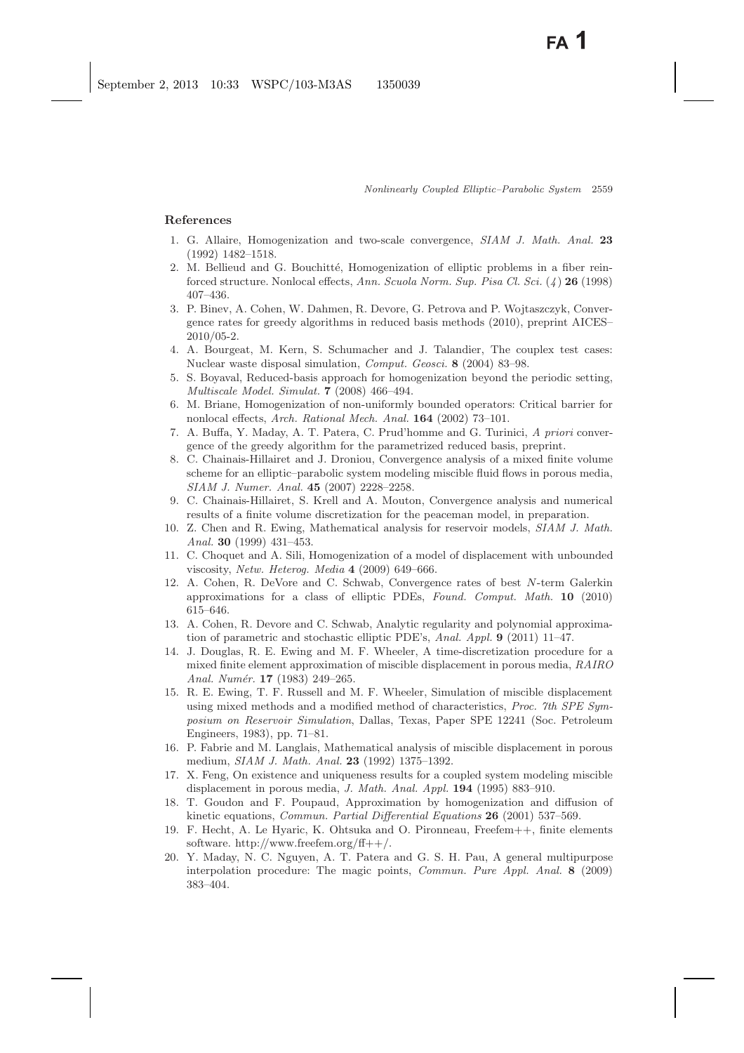## <span id="page-36-19"></span><span id="page-36-0"></span>**References**

- 1. G. Allaire, Homogenization and two-scale convergence, SIAM J. Math. Anal. **23** (1992) 1482–1518.
- <span id="page-36-7"></span>2. M. Bellieud and G. Bouchitté, Homogenization of elliptic problems in a fiber reinforced structure. Nonlocal effects, Ann. Scuola Norm. Sup. Pisa Cl. Sci. (4) **26** (1998) 407–436.
- <span id="page-36-15"></span>3. P. Binev, A. Cohen, W. Dahmen, R. Devore, G. Petrova and P. Wojtaszczyk, Convergence rates for greedy algorithms in reduced basis methods (2010), preprint AICES– 2010/05-2.
- <span id="page-36-6"></span><span id="page-36-1"></span>4. A. Bourgeat, M. Kern, S. Schumacher and J. Talandier, The couplex test cases: Nuclear waste disposal simulation, Comput. Geosci. **8** (2004) 83–98.
- 5. S. Boyaval, Reduced-basis approach for homogenization beyond the periodic setting, Multiscale Model. Simulat. **7** (2008) 466–494.
- <span id="page-36-8"></span>6. M. Briane, Homogenization of non-uniformly bounded operators: Critical barrier for nonlocal effects, Arch. Rational Mech. Anal. **164** (2002) 73–101.
- <span id="page-36-16"></span>7. A. Buffa, Y. Maday, A. T. Patera, C. Prud'homme and G. Turinici, A priori convergence of the greedy algorithm for the parametrized reduced basis, preprint.
- <span id="page-36-11"></span>8. C. Chainais-Hillairet and J. Droniou, Convergence analysis of a mixed finite volume scheme for an elliptic–parabolic system modeling miscible fluid flows in porous media, SIAM J. Numer. Anal. **45** (2007) 2228–2258.
- <span id="page-36-12"></span>9. C. Chainais-Hillairet, S. Krell and A. Mouton, Convergence analysis and numerical results of a finite volume discretization for the peaceman model, in preparation.
- <span id="page-36-4"></span>10. Z. Chen and R. Ewing, Mathematical analysis for reservoir models, SIAM J. Math. Anal. **30** (1999) 431–453.
- <span id="page-36-5"></span>11. C. Choquet and A. Sili, Homogenization of a model of displacement with unbounded viscosity, Netw. Heterog. Media **4** (2009) 649–666.
- <span id="page-36-14"></span>12. A. Cohen, R. DeVore and C. Schwab, Convergence rates of best *N*-term Galerkin approximations for a class of elliptic PDEs, Found. Comput. Math. **10** (2010) 615–646.
- <span id="page-36-17"></span>13. A. Cohen, R. Devore and C. Schwab, Analytic regularity and polynomial approximation of parametric and stochastic elliptic PDE's, Anal. Appl. **9** (2011) 11–47.
- <span id="page-36-9"></span>14. J. Douglas, R. E. Ewing and M. F. Wheeler, A time-discretization procedure for a mixed finite element approximation of miscible displacement in porous media, RAIRO Anal. Numér. **17** (1983) 249-265.
- <span id="page-36-10"></span>15. R. E. Ewing, T. F. Russell and M. F. Wheeler, Simulation of miscible displacement using mixed methods and a modified method of characteristics, Proc. 7th SPE Symposium on Reservoir Simulation, Dallas, Texas, Paper SPE 12241 (Soc. Petroleum Engineers, 1983), pp. 71–81.
- <span id="page-36-2"></span>16. P. Fabrie and M. Langlais, Mathematical analysis of miscible displacement in porous medium, SIAM J. Math. Anal. **23** (1992) 1375–1392.
- <span id="page-36-3"></span>17. X. Feng, On existence and uniqueness results for a coupled system modeling miscible displacement in porous media, J. Math. Anal. Appl. **194** (1995) 883–910.
- <span id="page-36-20"></span>18. T. Goudon and F. Poupaud, Approximation by homogenization and diffusion of kinetic equations, Commun. Partial Differential Equations **26** (2001) 537–569.
- <span id="page-36-13"></span>19. F. Hecht, A. Le Hyaric, K. Ohtsuka and O. Pironneau, Freefem++, finite elements software. http://www.freefem.org/ff++/.
- <span id="page-36-18"></span>20. Y. Maday, N. C. Nguyen, A. T. Patera and G. S. H. Pau, A general multipurpose interpolation procedure: The magic points, Commun. Pure Appl. Anal. **8** (2009) 383–404.